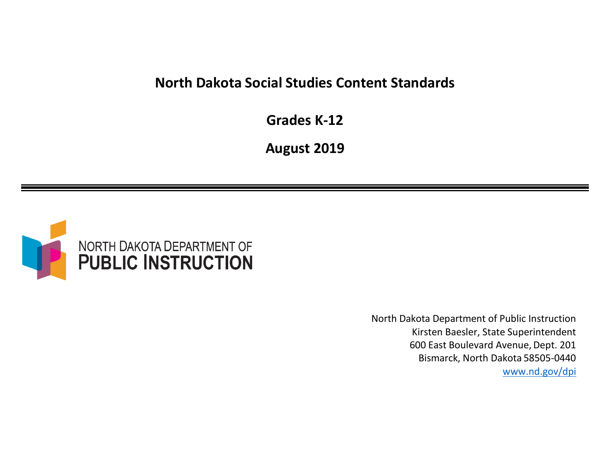# **North Dakota Social Studies Content Standards**

**Grades K-12**

**August 2019**



North Dakota Department of Public Instruction Kirsten Baesler, State Superintendent 600 East Boulevard Avenue, Dept. 201 Bismarck, North Dakota 58505-0440 [www.nd.gov/dpi](http://www.nd.gov/dpi)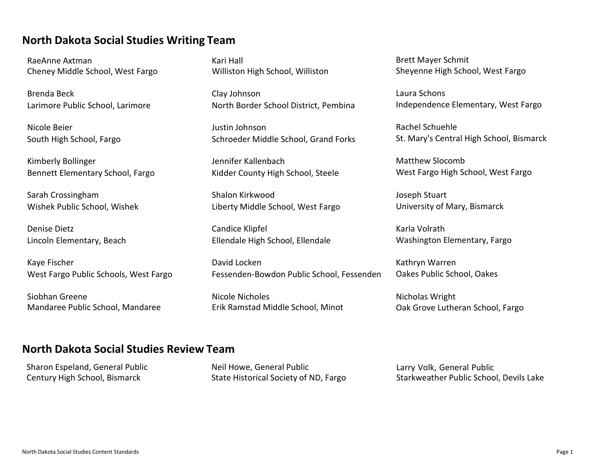## **North Dakota Social Studies Writing Team**

RaeAnne Axtman Kari Hall Cheney Middle School, West Fargo Williston High School, Williston

Brenda Beck Clay Johnson

Nicole Beier Justin Johnson

Kimberly Bollinger and Tennifer Kallenbach Bennett Elementary School, Fargo Kidder County High School, Steele

Sarah Crossingham Shalon Kirkwood

Denise Dietz **Candice Klipfel** 

Kaye Fischer National Contract Contract Contract David Locken

Siobhan Greene Nicole Nicholes Mandaree Public School, Mandaree Erik Ramstad Middle School, Minot

Larimore Public School, Larimore North Border School District, Pembina

South High School, Fargo Schroeder Middle School, Grand Forks

Wishek Public School, Wishek Liberty Middle School, West Fargo

Lincoln Elementary, Beach Ellendale High School, Ellendale

West Fargo Public Schools, West Fargo Fessenden-Bowdon Public School, Fessenden

Brett Mayer Schmit Sheyenne High School, West Fargo

Laura Schons Independence Elementary, West Fargo

Rachel Schuehle St. Mary's Central High School, Bismarck

Matthew Slocomb West Fargo High School, West Fargo

Joseph Stuart University of Mary, Bismarck

Karla Volrath Washington Elementary, Fargo

Kathryn Warren Oakes Public School, Oakes

Nicholas Wright Oak Grove Lutheran School, Fargo

### **North Dakota Social Studies Review Team**

Sharon Espeland, General Public Neil Howe, General Public

Century High School, Bismarck State Historical Society of ND, Fargo

Larry Volk, General Public Starkweather Public School, Devils Lake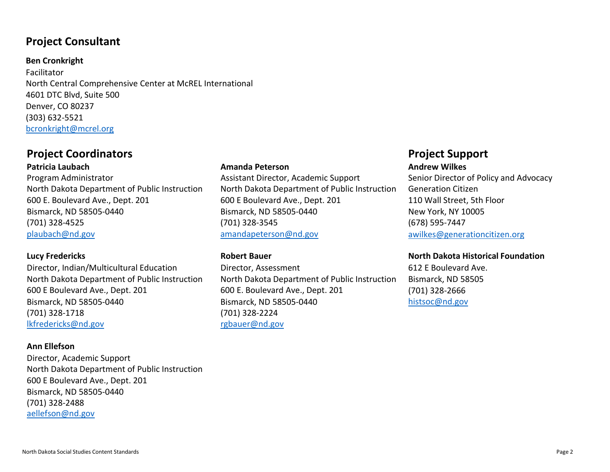## **Project Consultant**

#### **Ben Cronkright**

Facilitator North Central Comprehensive Center at McREL International 4601 DTC Blvd, Suite 500 Denver, CO 80237 (303) 632-5521 [bcronkright@mcrel.org](mailto:bcronkright@mcrel.org)

## **Project Coordinators Project Support**

Program Administrator **Assistant Director, Academic Support** Senior Director of Policy and Advocacy North Dakota Department of Public Instruction North Dakota Department of Public Instruction Generation Citizen 600 E. Boulevard Ave., Dept. 201 600 E Boulevard Ave., Dept. 201 110 Wall Street, 5th Floor Bismarck, ND 58505-0440 Bismarck, ND 58505-0440 New York, NY 10005 (701) 328-4525 (701) 328-3545 (678) 595-7447 [plaubach@nd.gov](mailto:plaubach@nd.gov) [amandapeterson@nd.gov](mailto:amandapeterson@nd.gov) [awilkes@generationcitizen.org](mailto:awilkes@generationcitizen.org)

(701) 328-1718 (701) 328-2224 [lkfredericks@nd.gov](mailto:lkfredericks@nd.gov) [rgbauer@nd.gov](mailto:rgbauer@nd.gov)

#### **Ann Ellefson**

Director, Academic Support North Dakota Department of Public Instruction 600 E Boulevard Ave., Dept. 201 Bismarck, ND 58505-0440 (701) 328-2488 [aellefson@nd.gov](mailto:aellefson@nd.gov)

#### **Patricia Laubach Amanda Peterson Andrew Wilkes**

Director, Indian/Multicultural Education Director, Assessment 612 E Boulevard Ave. North Dakota Department of Public Instruction North Dakota Department of Public Instruction Bismarck, ND 58505 600 E Boulevard Ave., Dept. 201 600 E. Boulevard Ave., Dept. 201 (701) 328-2666 Bismarck, ND 58505-0440 Bismarck, ND 58505-0440 [histsoc@nd.gov](mailto:histsoc@nd.gov)

#### **Lucy Fredericks Robert Bauer North Dakota Historical Foundation**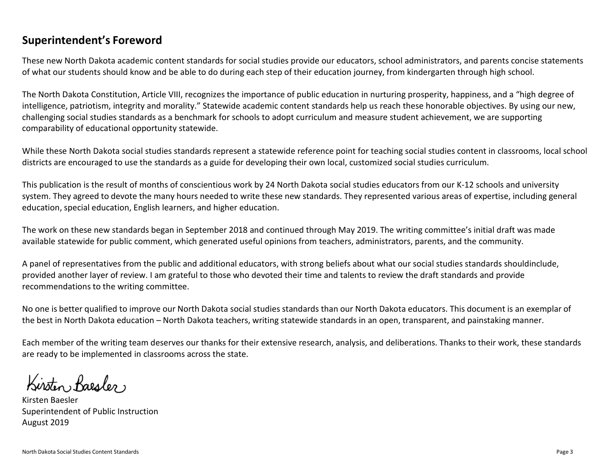## **Superintendent's Foreword**

These new North Dakota academic content standards for social studies provide our educators, school administrators, and parents concise statements of what our students should know and be able to do during each step of their education journey, from kindergarten through high school.

The North Dakota Constitution, Article VIII, recognizes the importance of public education in nurturing prosperity, happiness, and a "high degree of intelligence, patriotism, integrity and morality." Statewide academic content standards help us reach these honorable objectives. By using our new, challenging social studies standards as a benchmark for schools to adopt curriculum and measure student achievement, we are supporting comparability of educational opportunity statewide.

While these North Dakota social studies standards represent a statewide reference point for teaching social studies content in classrooms, local school districts are encouraged to use the standards as a guide for developing their own local, customized social studies curriculum.

This publication is the result of months of conscientious work by 24 North Dakota social studies educators from our K-12 schools and university system. They agreed to devote the many hours needed to write these new standards. They represented various areas of expertise, including general education, special education, English learners, and higher education.

The work on these new standards began in September 2018 and continued through May 2019. The writing committee's initial draft was made available statewide for public comment, which generated useful opinions from teachers, administrators, parents, and the community.

A panel of representatives from the public and additional educators, with strong beliefs about what our social studies standards shouldinclude, provided another layer of review. I am grateful to those who devoted their time and talents to review the draft standards and provide recommendations to the writing committee.

No one is better qualified to improve our North Dakota social studies standards than our North Dakota educators. This document is an exemplar of the best in North Dakota education – North Dakota teachers, writing statewide standards in an open, transparent, and painstaking manner.

Each member of the writing team deserves our thanks for their extensive research, analysis, and deliberations. Thanks to their work, these standards are ready to be implemented in classrooms across the state.

Kirsten Baesler

Kirsten Baesler Superintendent of Public Instruction August 2019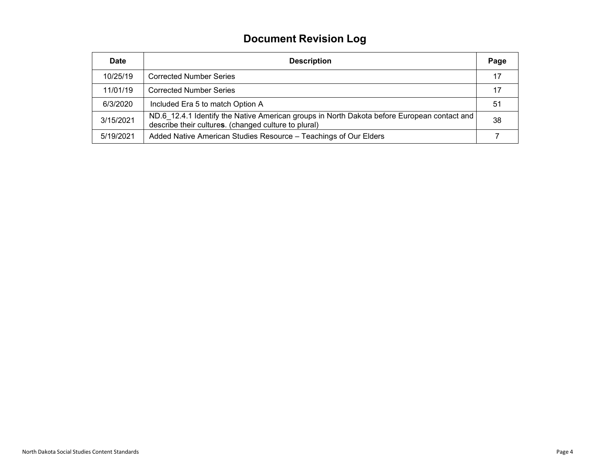# **Document Revision Log**

| Date      | <b>Description</b>                                                                                                                                  | Page |
|-----------|-----------------------------------------------------------------------------------------------------------------------------------------------------|------|
| 10/25/19  | <b>Corrected Number Series</b>                                                                                                                      | 17   |
| 11/01/19  | <b>Corrected Number Series</b>                                                                                                                      | 17   |
| 6/3/2020  | Included Era 5 to match Option A                                                                                                                    | 51   |
| 3/15/2021 | ND.6 12.4.1 Identify the Native American groups in North Dakota before European contact and<br>describe their cultures. (changed culture to plural) | 38   |
| 5/19/2021 | Added Native American Studies Resource - Teachings of Our Elders                                                                                    |      |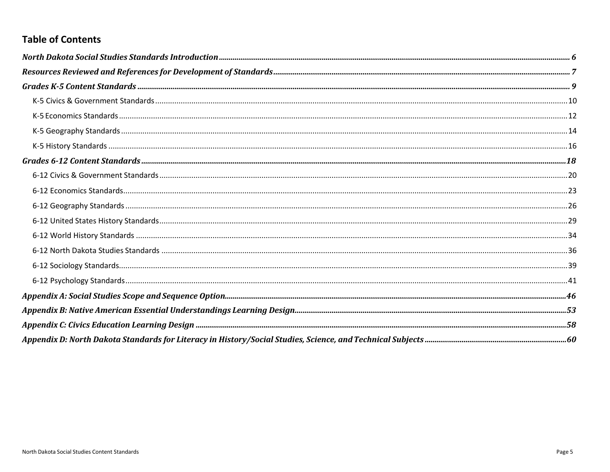## **Table of Contents**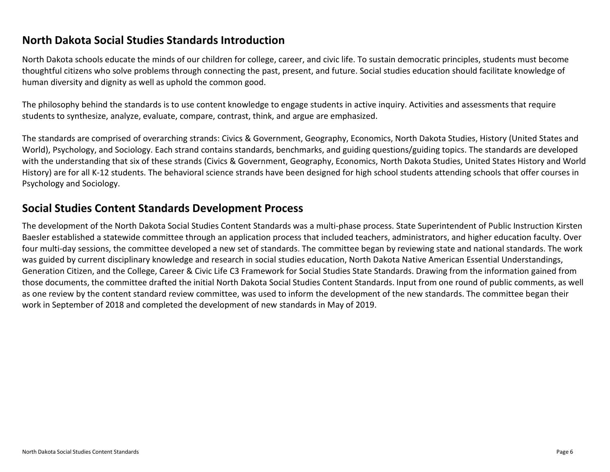## <span id="page-6-0"></span>**North Dakota Social Studies Standards Introduction**

North Dakota schools educate the minds of our children for college, career, and civic life. To sustain democratic principles, students must become thoughtful citizens who solve problems through connecting the past, present, and future. Social studies education should facilitate knowledge of human diversity and dignity as well as uphold the common good.

The philosophy behind the standards is to use content knowledge to engage students in active inquiry. Activities and assessments that require students to synthesize, analyze, evaluate, compare, contrast, think, and argue are emphasized.

The standards are comprised of overarching strands: Civics & Government, Geography, Economics, North Dakota Studies, History (United States and World), Psychology, and Sociology. Each strand contains standards, benchmarks, and guiding questions/guiding topics. The standards are developed with the understanding that six of these strands (Civics & Government, Geography, Economics, North Dakota Studies, United States History and World History) are for all K-12 students. The behavioral science strands have been designed for high school students attending schools that offer courses in Psychology and Sociology.

## **Social Studies Content Standards Development Process**

The development of the North Dakota Social Studies Content Standards was a multi-phase process. State Superintendent of Public Instruction Kirsten Baesler established a statewide committee through an application process that included teachers, administrators, and higher education faculty. Over four multi-day sessions, the committee developed a new set of standards. The committee began by reviewing state and national standards. The work was guided by current disciplinary knowledge and research in social studies education, North Dakota Native American Essential Understandings, Generation Citizen, and the College, Career & Civic Life C3 Framework for Social Studies State Standards. Drawing from the information gained from those documents, the committee drafted the initial North Dakota Social Studies Content Standards. Input from one round of public comments, as well as one review by the content standard review committee, was used to inform the development of the new standards. The committee began their work in September of 2018 and completed the development of new standards in May of 2019.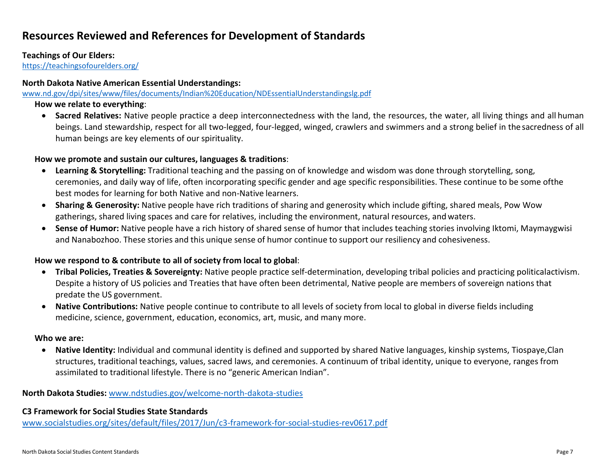## <span id="page-7-0"></span>**Resources Reviewed and References for Development of Standards**

#### **Teachings of Our Elders:**

<https://teachingsofourelders.org/>

#### **North Dakota Native American Essential Understandings:**

[www.nd.gov/dpi/sites/www/files/documents/Indian%20Education/NDEssentialUnderstandingslg.pdf](http://www.nd.gov/dpi/sites/www/files/documents/Indian%20Education/NDEssentialUnderstandingslg.pdf)

#### **How we relate to everything**:

• **Sacred Relatives:** Native people practice a deep interconnectedness with the land, the resources, the water, all living things and all human beings. Land stewardship, respect for all two-legged, four-legged, winged, crawlers and swimmers and a strong belief in the sacredness of all human beings are key elements of our spirituality.

#### **How we promote and sustain our cultures, languages & traditions**:

- **Learning & Storytelling:** Traditional teaching and the passing on of knowledge and wisdom was done through storytelling, song, ceremonies, and daily way of life, often incorporating specific gender and age specific responsibilities. These continue to be some ofthe best modes for learning for both Native and non-Native learners.
- **Sharing & Generosity:** Native people have rich traditions of sharing and generosity which include gifting, shared meals, Pow Wow gatherings, shared living spaces and care for relatives, including the environment, natural resources, and waters.
- **Sense of Humor:** Native people have a rich history of shared sense of humor that includes teaching stories involving Iktomi, Maymaygwisi and Nanabozhoo. These stories and this unique sense of humor continue to support our resiliency and cohesiveness.

#### **How we respond to & contribute to all of society from local to global**:

- **Tribal Policies, Treaties & Sovereignty:** Native people practice self-determination, developing tribal policies and practicing politicalactivism. Despite a history of US policies and Treaties that have often been detrimental, Native people are members of sovereign nations that predate the US government.
- **Native Contributions:** Native people continue to contribute to all levels of society from local to global in diverse fields including medicine, science, government, education, economics, art, music, and many more.

#### **Who we are:**

• **Native Identity:** Individual and communal identity is defined and supported by shared Native languages, kinship systems, Tiospaye,Clan structures, traditional teachings, values, sacred laws, and ceremonies. A continuum of tribal identity, unique to everyone, ranges from assimilated to traditional lifestyle. There is no "generic American Indian".

#### **North Dakota Studies:** [www.ndstudies.gov/welcome-north-dakota-studies](http://www.ndstudies.gov/welcome-north-dakota-studies)

#### **C3 Framework for Social Studies State Standards**

[www.socialstudies.org/sites/default/files/2017/Jun/c3-framework-for-social-studies-rev0617.pdf](http://www.socialstudies.org/sites/default/files/2017/Jun/c3-framework-for-social-studies-rev0617.pdf)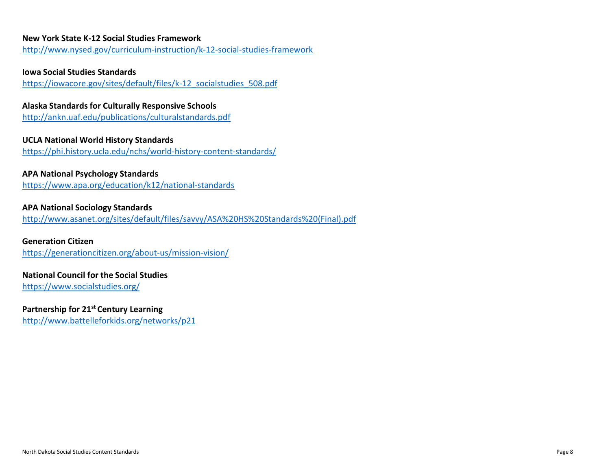#### **New York State K-12 Social Studies Framework**

<http://www.nysed.gov/curriculum-instruction/k-12-social-studies-framework>

#### **Iowa Social Studies Standards**

[https://iowacore.gov/sites/default/files/k-12\\_socialstudies\\_508.pdf](https://iowacore.gov/sites/default/files/k-12_socialstudies_508.pdf)

#### **Alaska Standards for Culturally Responsive Schools**

<http://ankn.uaf.edu/publications/culturalstandards.pdf>

#### **UCLA National World History Standards**

<https://phi.history.ucla.edu/nchs/world-history-content-standards/>

#### **APA National Psychology Standards**

<https://www.apa.org/education/k12/national-standards>

#### **APA National Sociology Standards**

[http://www.asanet.org/sites/default/files/savvy/ASA%20HS%20Standards%20\(Final\).pdf](http://www.asanet.org/sites/default/files/savvy/ASA%20HS%20Standards%20(Final).pdf)

#### **Generation Citizen**

<https://generationcitizen.org/about-us/mission-vision/>

#### **National Council for the Social Studies**

<https://www.socialstudies.org/>

#### **Partnership for 21st Century Learning**

<http://www.battelleforkids.org/networks/p21>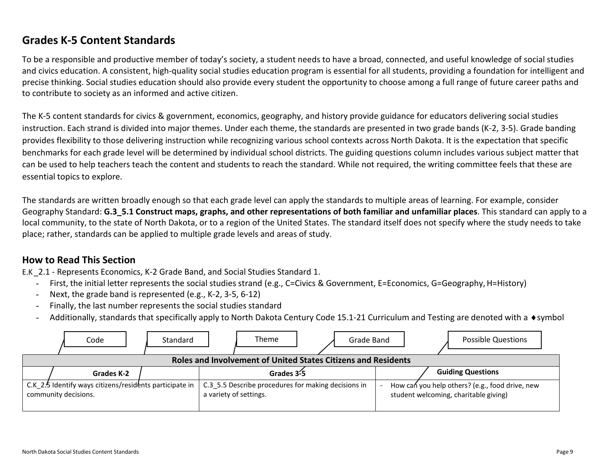## <span id="page-9-0"></span>**Grades K-5 Content Standards**

To be a responsible and productive member of today's society, a student needs to have a broad, connected, and useful knowledge of social studies and civics education. A consistent, high-quality social studies education program is essential for all students, providing a foundation for intelligent and precise thinking. Social studies education should also provide every student the opportunity to choose among a full range of future career paths and to contribute to society as an informed and active citizen.

The K-5 content standards for civics & government, economics, geography, and history provide guidance for educators delivering social studies instruction. Each strand is divided into major themes. Under each theme, the standards are presented in two grade bands (K-2, 3-5). Grade banding provides flexibility to those delivering instruction while recognizing various school contexts across North Dakota. It is the expectation that specific benchmarks for each grade level will be determined by individual school districts. The guiding questions column includes various subject matter that can be used to help teachers teach the content and students to reach the standard. While not required, the writing committee feels that these are essential topics to explore.

The standards are written broadly enough so that each grade level can apply the standards to multiple areas of learning. For example, consider Geography Standard: **G.3\_5.1 Construct maps, graphs, and other representations of both familiar and unfamiliar places**. This standard can apply to a local community, to the state of North Dakota, or to a region of the United States. The standard itself does not specify where the study needs to take place; rather, standards can be applied to multiple grade levels and areas of study.

#### **How to Read This Section**

E.K \_2.1 - Represents Economics, K-2 Grade Band, and Social Studies Standard 1.

- First, the initial letter represents the social studies strand (e.g., C=Civics & Government, E=Economics, G=Geography,H=History)
- Next, the grade band is represented (e.g., K-2, 3-5, 6-12)
- Finally, the last number represents the social studies standard
- Additionally, standards that specifically apply to North Dakota Century Code 15.1-21 Curriculum and Testing are denoted with a ◆symbol

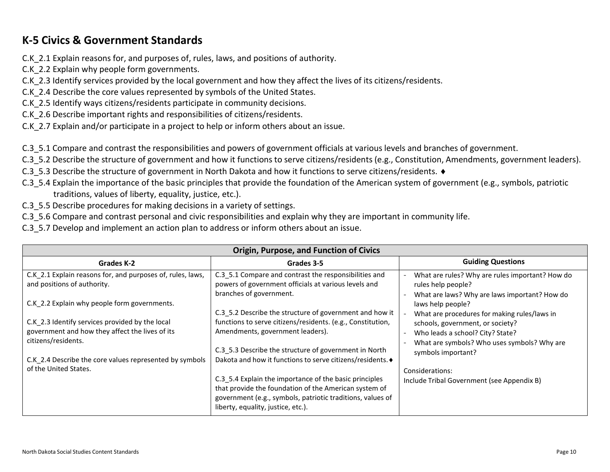## <span id="page-10-0"></span>**K-5 Civics & Government Standards**

C.K\_2.1 Explain reasons for, and purposes of, rules, laws, and positions of authority.

- C.K 2.2 Explain why people form governments.
- C.K 2.3 Identify services provided by the local government and how they affect the lives of its citizens/residents.
- C.K 2.4 Describe the core values represented by symbols of the United States.
- C.K\_2.5 Identify ways citizens/residents participate in community decisions.
- C.K\_2.6 Describe important rights and responsibilities of citizens/residents.
- C.K\_2.7 Explain and/or participate in a project to help or inform others about an issue.
- C.3 5.1 Compare and contrast the responsibilities and powers of government officials at various levels and branches of government.
- C.3 5.2 Describe the structure of government and how it functions to serve citizens/residents (e.g., Constitution, Amendments, government leaders).
- C.3 5.3 Describe the structure of government in North Dakota and how it functions to serve citizens/residents. ♦
- C.3 5.4 Explain the importance of the basic principles that provide the foundation of the American system of government (e.g., symbols, patriotic traditions, values of liberty, equality, justice, etc.).
- C.3\_5.5 Describe procedures for making decisions in a variety of settings.
- C.3\_5.6 Compare and contrast personal and civic responsibilities and explain why they are important in community life.
- C.3 5.7 Develop and implement an action plan to address or inform others about an issue.

| <b>Origin, Purpose, and Function of Civics</b>                                                                                                                            |                                                                                                                                                                                                                                                                                   |                                                                                                                                                                                                                |  |
|---------------------------------------------------------------------------------------------------------------------------------------------------------------------------|-----------------------------------------------------------------------------------------------------------------------------------------------------------------------------------------------------------------------------------------------------------------------------------|----------------------------------------------------------------------------------------------------------------------------------------------------------------------------------------------------------------|--|
| Grades K-2                                                                                                                                                                | Grades 3-5                                                                                                                                                                                                                                                                        | <b>Guiding Questions</b>                                                                                                                                                                                       |  |
| C.K_2.1 Explain reasons for, and purposes of, rules, laws,<br>and positions of authority.                                                                                 | C.3 5.1 Compare and contrast the responsibilities and<br>powers of government officials at various levels and<br>branches of government.                                                                                                                                          | What are rules? Why are rules important? How do<br>rules help people?<br>What are laws? Why are laws important? How do                                                                                         |  |
| C.K_2.2 Explain why people form governments.<br>C.K_2.3 Identify services provided by the local<br>government and how they affect the lives of its<br>citizens/residents. | C.3_5.2 Describe the structure of government and how it<br>functions to serve citizens/residents. (e.g., Constitution,<br>Amendments, government leaders).<br>C.3_5.3 Describe the structure of government in North                                                               | laws help people?<br>What are procedures for making rules/laws in<br>schools, government, or society?<br>Who leads a school? City? State?<br>What are symbols? Who uses symbols? Why are<br>symbols important? |  |
| C.K 2.4 Describe the core values represented by symbols<br>of the United States.                                                                                          | Dakota and how it functions to serve citizens/residents. ♦<br>C.3_5.4 Explain the importance of the basic principles<br>that provide the foundation of the American system of<br>government (e.g., symbols, patriotic traditions, values of<br>liberty, equality, justice, etc.). | Considerations:<br>Include Tribal Government (see Appendix B)                                                                                                                                                  |  |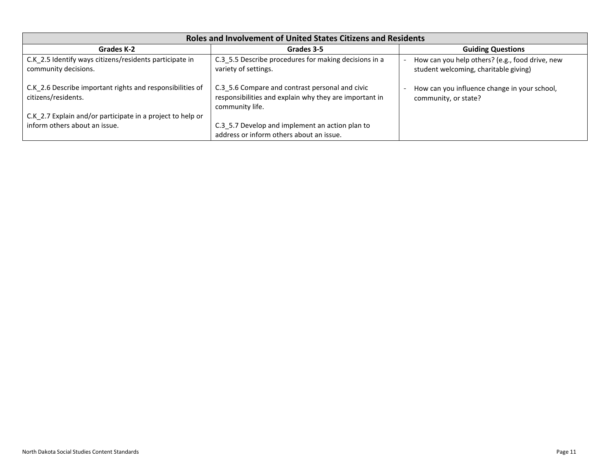| Roles and Involvement of United States Citizens and Residents                    |                                                                                                                              |                                                                                          |  |
|----------------------------------------------------------------------------------|------------------------------------------------------------------------------------------------------------------------------|------------------------------------------------------------------------------------------|--|
| Grades K-2                                                                       | Grades 3-5                                                                                                                   | <b>Guiding Questions</b>                                                                 |  |
| C.K_2.5 Identify ways citizens/residents participate in<br>community decisions.  | C.3_5.5 Describe procedures for making decisions in a<br>variety of settings.                                                | How can you help others? (e.g., food drive, new<br>student welcoming, charitable giving) |  |
| C.K 2.6 Describe important rights and responsibilities of<br>citizens/residents. | C.3_5.6 Compare and contrast personal and civic<br>responsibilities and explain why they are important in<br>community life. | How can you influence change in your school,<br>community, or state?                     |  |
| C.K_2.7 Explain and/or participate in a project to help or                       |                                                                                                                              |                                                                                          |  |
| inform others about an issue.                                                    | C.3 5.7 Develop and implement an action plan to<br>address or inform others about an issue.                                  |                                                                                          |  |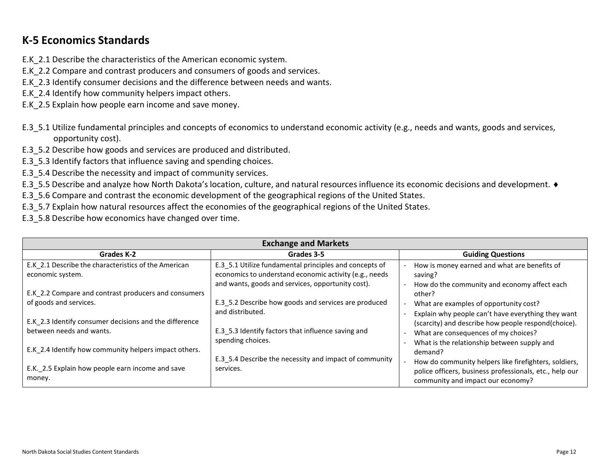## <span id="page-12-0"></span>**K-5 Economics Standards**

- E.K\_2.1 Describe the characteristics of the American economic system.
- E.K\_2.2 Compare and contrast producers and consumers of goods and services.
- E.K\_2.3 Identify consumer decisions and the difference between needs and wants.
- E.K\_2.4 Identify how community helpers impact others.
- E.K\_2.5 Explain how people earn income and save money.
- E.3 5.1 Utilize fundamental principles and concepts of economics to understand economic activity (e.g., needs and wants, goods and services, opportunity cost).
- E.3\_5.2 Describe how goods and services are produced and distributed.
- E.3\_5.3 Identify factors that influence saving and spending choices.
- E.3\_5.4 Describe the necessity and impact of community services.

E.3 5.5 Describe and analyze how North Dakota's location, culture, and natural resources influence its economic decisions and development. ♦

- E.3\_5.6 Compare and contrast the economic development of the geographical regions of the United States.
- E.3\_5.7 Explain how natural resources affect the economies of the geographical regions of the United States.

E.3\_5.8 Describe how economics have changed over time.

| <b>Exchange and Markets</b>                                                                                         |                                                                                                                                                                       |                                                                                                                                                                  |  |
|---------------------------------------------------------------------------------------------------------------------|-----------------------------------------------------------------------------------------------------------------------------------------------------------------------|------------------------------------------------------------------------------------------------------------------------------------------------------------------|--|
| Grades K-2                                                                                                          | Grades 3-5                                                                                                                                                            | <b>Guiding Questions</b>                                                                                                                                         |  |
| E.K_2.1 Describe the characteristics of the American<br>economic system.                                            | E.3_5.1 Utilize fundamental principles and concepts of<br>economics to understand economic activity (e.g., needs<br>and wants, goods and services, opportunity cost). | How is money earned and what are benefits of<br>saving?<br>How do the community and economy affect each                                                          |  |
| E.K_2.2 Compare and contrast producers and consumers<br>of goods and services.                                      | E.3 5.2 Describe how goods and services are produced<br>and distributed.                                                                                              | other?<br>What are examples of opportunity cost?<br>Explain why people can't have everything they want                                                           |  |
| E.K_2.3 Identify consumer decisions and the difference<br>between needs and wants.                                  | E.3 5.3 Identify factors that influence saving and<br>spending choices.                                                                                               | (scarcity) and describe how people respond(choice).<br>What are consequences of my choices?<br>What is the relationship between supply and                       |  |
| E.K 2.4 Identify how community helpers impact others.<br>E.K. 2.5 Explain how people earn income and save<br>money. | E.3_5.4 Describe the necessity and impact of community<br>services.                                                                                                   | demand?<br>How do community helpers like firefighters, soldiers,<br>police officers, business professionals, etc., help our<br>community and impact our economy? |  |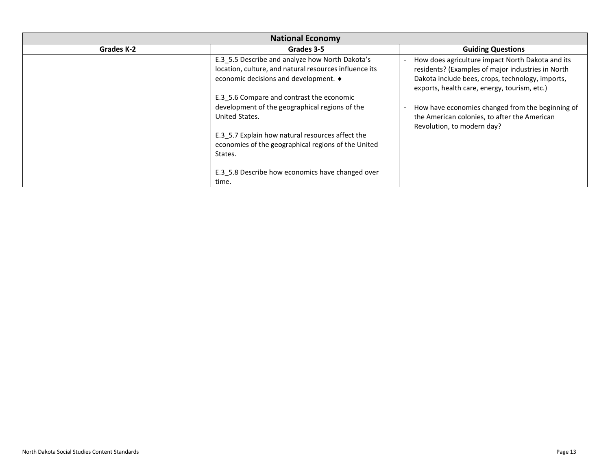| <b>National Economy</b> |                                                                                                                                                    |                                                                                                                                                                                                                     |
|-------------------------|----------------------------------------------------------------------------------------------------------------------------------------------------|---------------------------------------------------------------------------------------------------------------------------------------------------------------------------------------------------------------------|
| Grades K-2              | Grades 3-5                                                                                                                                         | <b>Guiding Questions</b>                                                                                                                                                                                            |
|                         | E.3 5.5 Describe and analyze how North Dakota's<br>location, culture, and natural resources influence its<br>economic decisions and development. ♦ | How does agriculture impact North Dakota and its<br>$\sim$<br>residents? (Examples of major industries in North<br>Dakota include bees, crops, technology, imports,<br>exports, health care, energy, tourism, etc.) |
|                         | E.3_5.6 Compare and contrast the economic                                                                                                          |                                                                                                                                                                                                                     |
|                         | development of the geographical regions of the<br>United States.                                                                                   | How have economies changed from the beginning of<br>the American colonies, to after the American<br>Revolution, to modern day?                                                                                      |
|                         | E.3 5.7 Explain how natural resources affect the<br>economies of the geographical regions of the United<br>States.                                 |                                                                                                                                                                                                                     |
|                         | E.3 5.8 Describe how economics have changed over<br>time.                                                                                          |                                                                                                                                                                                                                     |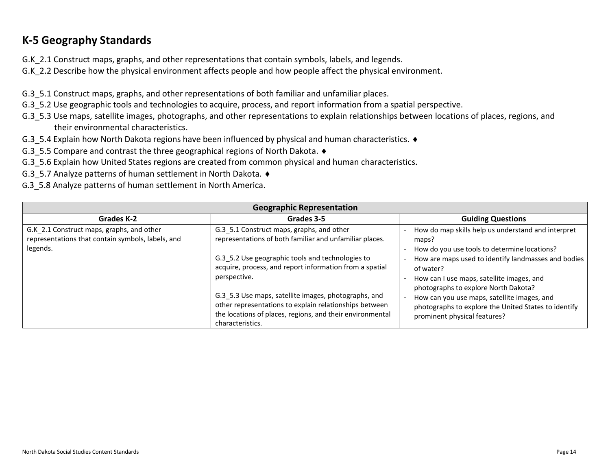## <span id="page-14-0"></span>**K-5 Geography Standards**

- G.K 2.1 Construct maps, graphs, and other representations that contain symbols, labels, and legends.
- G.K 2.2 Describe how the physical environment affects people and how people affect the physical environment.
- G.3\_5.1 Construct maps, graphs, and other representations of both familiar and unfamiliar places.
- G.3\_5.2 Use geographic tools and technologies to acquire, process, and report information from a spatial perspective.
- G.3 5.3 Use maps, satellite images, photographs, and other representations to explain relationships between locations of places, regions, and their environmental characteristics.
- G.3 5.4 Explain how North Dakota regions have been influenced by physical and human characteristics. ♦
- G.3 5.5 Compare and contrast the three geographical regions of North Dakota. ♦
- G.3\_5.6 Explain how United States regions are created from common physical and human characteristics.
- G.3\_5.7 Analyze patterns of human settlement in North Dakota. ♦
- G.3\_5.8 Analyze patterns of human settlement in North America.

| <b>Geographic Representation</b>                                                                           |                                                                                                                                                                                                                                                                                                                                                                                                                                        |                                                                                                                                                                                                                                                                                                                                                                                                                                                                     |  |
|------------------------------------------------------------------------------------------------------------|----------------------------------------------------------------------------------------------------------------------------------------------------------------------------------------------------------------------------------------------------------------------------------------------------------------------------------------------------------------------------------------------------------------------------------------|---------------------------------------------------------------------------------------------------------------------------------------------------------------------------------------------------------------------------------------------------------------------------------------------------------------------------------------------------------------------------------------------------------------------------------------------------------------------|--|
| Grades K-2                                                                                                 | Grades 3-5                                                                                                                                                                                                                                                                                                                                                                                                                             | <b>Guiding Questions</b>                                                                                                                                                                                                                                                                                                                                                                                                                                            |  |
| G.K_2.1 Construct maps, graphs, and other<br>representations that contain symbols, labels, and<br>legends. | G.3_5.1 Construct maps, graphs, and other<br>representations of both familiar and unfamiliar places.<br>G.3_5.2 Use geographic tools and technologies to<br>acquire, process, and report information from a spatial<br>perspective.<br>G.3_5.3 Use maps, satellite images, photographs, and<br>other representations to explain relationships between<br>the locations of places, regions, and their environmental<br>characteristics. | How do map skills help us understand and interpret<br>maps?<br>How do you use tools to determine locations?<br>How are maps used to identify landmasses and bodies<br>of water?<br>How can I use maps, satellite images, and<br>$\overline{\phantom{a}}$<br>photographs to explore North Dakota?<br>How can you use maps, satellite images, and<br>$\overline{\phantom{a}}$<br>photographs to explore the United States to identify<br>prominent physical features? |  |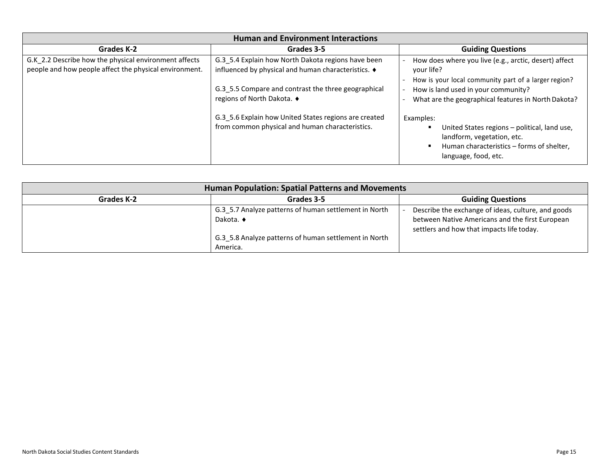| <b>Human and Environment Interactions</b>                                                                       |                                                                                                                                                                                                        |                                                                                                                                                                                                                           |  |
|-----------------------------------------------------------------------------------------------------------------|--------------------------------------------------------------------------------------------------------------------------------------------------------------------------------------------------------|---------------------------------------------------------------------------------------------------------------------------------------------------------------------------------------------------------------------------|--|
| Grades K-2                                                                                                      | Grades 3-5                                                                                                                                                                                             | <b>Guiding Questions</b>                                                                                                                                                                                                  |  |
| G.K_2.2 Describe how the physical environment affects<br>people and how people affect the physical environment. | G.3 5.4 Explain how North Dakota regions have been<br>influenced by physical and human characteristics. $\bullet$<br>G.3_5.5 Compare and contrast the three geographical<br>regions of North Dakota. ♦ | How does where you live (e.g., arctic, desert) affect<br>your life?<br>How is your local community part of a larger region?<br>How is land used in your community?<br>What are the geographical features in North Dakota? |  |
|                                                                                                                 | G.3_5.6 Explain how United States regions are created<br>from common physical and human characteristics.                                                                                               | Examples:<br>United States regions - political, land use,<br>landform, vegetation, etc.<br>Human characteristics – forms of shelter,<br>language, food, etc.                                                              |  |

| <b>Human Population: Spatial Patterns and Movements</b> |                                                                    |                                                                                                                                                    |
|---------------------------------------------------------|--------------------------------------------------------------------|----------------------------------------------------------------------------------------------------------------------------------------------------|
| Grades K-2                                              | Grades 3-5                                                         | <b>Guiding Questions</b>                                                                                                                           |
|                                                         | G.3 5.7 Analyze patterns of human settlement in North<br>Dakota. ♦ | Describe the exchange of ideas, culture, and goods<br>between Native Americans and the first European<br>settlers and how that impacts life today. |
|                                                         | G.3 5.8 Analyze patterns of human settlement in North<br>America.  |                                                                                                                                                    |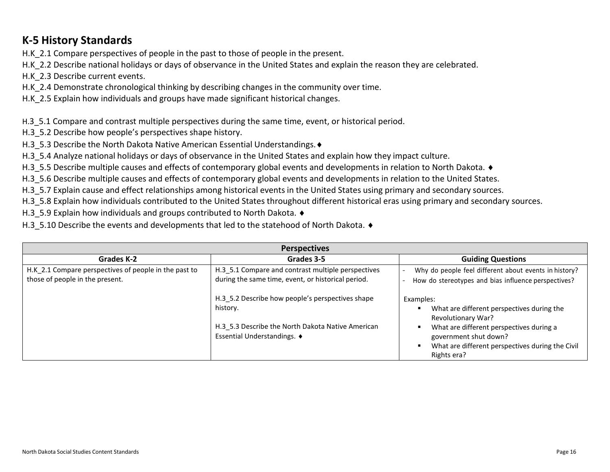## <span id="page-16-0"></span>**K-5 History Standards**

H.K\_2.1 Compare perspectives of people in the past to those of people in the present.

H.K 2.2 Describe national holidays or days of observance in the United States and explain the reason they are celebrated.

H.K 2.3 Describe current events.

H.K\_2.4 Demonstrate chronological thinking by describing changes in the community over time.

H.K 2.5 Explain how individuals and groups have made significant historical changes.

H.3 5.1 Compare and contrast multiple perspectives during the same time, event, or historical period.

H.3 5.2 Describe how people's perspectives shape history.

H.3 5.3 Describe the North Dakota Native American Essential Understandings. ♦

H.3\_5.4 Analyze national holidays or days of observance in the United States and explain how they impact culture.

H.3 5.5 Describe multiple causes and effects of contemporary global events and developments in relation to North Dakota. ♦

H.3 5.6 Describe multiple causes and effects of contemporary global events and developments in relation to the United States.

H.3 5.7 Explain cause and effect relationships among historical events in the United States using primary and secondary sources.

H.3 5.8 Explain how individuals contributed to the United States throughout different historical eras using primary and secondary sources.

H.3\_5.9 Explain how individuals and groups contributed to North Dakota. ♦

H.3 5.10 Describe the events and developments that led to the statehood of North Dakota. ♦

| <b>Perspectives</b>                                                                      |                                                                                                          |                                                                                                                                      |
|------------------------------------------------------------------------------------------|----------------------------------------------------------------------------------------------------------|--------------------------------------------------------------------------------------------------------------------------------------|
| Grades K-2                                                                               | Grades 3-5                                                                                               | <b>Guiding Questions</b>                                                                                                             |
| H.K_2.1 Compare perspectives of people in the past to<br>those of people in the present. | H.3 5.1 Compare and contrast multiple perspectives<br>during the same time, event, or historical period. | Why do people feel different about events in history?<br>How do stereotypes and bias influence perspectives?                         |
|                                                                                          | H.3_5.2 Describe how people's perspectives shape<br>history.                                             | Examples:<br>What are different perspectives during the<br>Revolutionary War?                                                        |
|                                                                                          | H.3 5.3 Describe the North Dakota Native American<br>Essential Understandings. ♦                         | What are different perspectives during a<br>government shut down?<br>What are different perspectives during the Civil<br>Rights era? |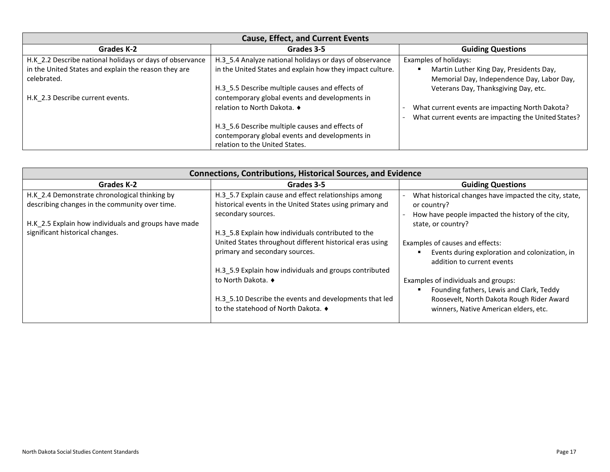| <b>Cause, Effect, and Current Events</b>                 |                                                           |                                                      |  |
|----------------------------------------------------------|-----------------------------------------------------------|------------------------------------------------------|--|
| Grades K-2                                               | Grades 3-5                                                | <b>Guiding Questions</b>                             |  |
| H.K_2.2 Describe national holidays or days of observance | H.3_5.4 Analyze national holidays or days of observance   | Examples of holidays:                                |  |
| in the United States and explain the reason they are     | in the United States and explain how they impact culture. | Martin Luther King Day, Presidents Day,              |  |
| celebrated.                                              |                                                           | Memorial Day, Independence Day, Labor Day,           |  |
|                                                          | H.3 5.5 Describe multiple causes and effects of           | Veterans Day, Thanksgiving Day, etc.                 |  |
| H.K 2.3 Describe current events.                         | contemporary global events and developments in            |                                                      |  |
|                                                          | relation to North Dakota. ♦                               | What current events are impacting North Dakota?      |  |
|                                                          |                                                           | What current events are impacting the United States? |  |
|                                                          | H.3_5.6 Describe multiple causes and effects of           |                                                      |  |
|                                                          | contemporary global events and developments in            |                                                      |  |
|                                                          | relation to the United States.                            |                                                      |  |

| <b>Connections, Contributions, Historical Sources, and Evidence</b>                             |                                                                                                                                                      |                                                                                                                                                                       |  |
|-------------------------------------------------------------------------------------------------|------------------------------------------------------------------------------------------------------------------------------------------------------|-----------------------------------------------------------------------------------------------------------------------------------------------------------------------|--|
| Grades K-2                                                                                      | Grades 3-5                                                                                                                                           | <b>Guiding Questions</b>                                                                                                                                              |  |
| H.K 2.4 Demonstrate chronological thinking by<br>describing changes in the community over time. | H.3 5.7 Explain cause and effect relationships among<br>historical events in the United States using primary and<br>secondary sources.               | What historical changes have impacted the city, state,<br>or country?                                                                                                 |  |
| H.K 2.5 Explain how individuals and groups have made<br>significant historical changes.         | H.3_5.8 Explain how individuals contributed to the                                                                                                   | How have people impacted the history of the city,<br>state, or country?                                                                                               |  |
|                                                                                                 | United States throughout different historical eras using<br>primary and secondary sources.<br>H.3_5.9 Explain how individuals and groups contributed | Examples of causes and effects:<br>Events during exploration and colonization, in<br>addition to current events                                                       |  |
|                                                                                                 | to North Dakota. ♦<br>H.3_5.10 Describe the events and developments that led<br>to the statehood of North Dakota. ♦                                  | Examples of individuals and groups:<br>Founding fathers, Lewis and Clark, Teddy<br>Roosevelt, North Dakota Rough Rider Award<br>winners, Native American elders, etc. |  |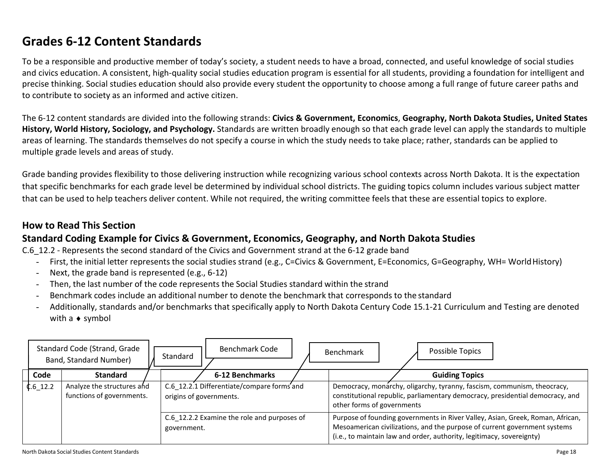# <span id="page-18-0"></span>**Grades 6-12 Content Standards**

To be a responsible and productive member of today's society, a student needs to have a broad, connected, and useful knowledge of social studies and civics education. A consistent, high-quality social studies education program is essential for all students, providing a foundation for intelligent and precise thinking. Social studies education should also provide every student the opportunity to choose among a full range of future career paths and to contribute to society as an informed and active citizen.

The 6-12 content standards are divided into the following strands: **Civics & Government, Economics**, **Geography, North Dakota Studies, United States History, World History, Sociology, and Psychology.** Standards are written broadly enough so that each grade level can apply the standards to multiple areas of learning. The standards themselves do not specify a course in which the study needs to take place; rather, standards can be applied to multiple grade levels and areas of study.

Grade banding provides flexibility to those delivering instruction while recognizing various school contexts across North Dakota. It is the expectation that specific benchmarks for each grade level be determined by individual school districts. The guiding topics column includes various subject matter that can be used to help teachers deliver content. While not required, the writing committee feels that these are essential topics to explore.

#### **How to Read This Section**

#### **Standard Coding Example for Civics & Government, Economics, Geography, and North Dakota Studies**

C.6\_12.2 - Represents the second standard of the Civics and Government strand at the 6-12 grade band

- First, the initial letter represents the social studies strand (e.g., C=Civics & Government, E=Economics, G=Geography, WH= WorldHistory)
- Next, the grade band is represented (e.g., 6-12)
- Then, the last number of the code represents the Social Studies standard within the strand
- Benchmark codes include an additional number to denote the benchmark that corresponds to the standard
- Additionally, standards and/or benchmarks that specifically apply to North Dakota Century Code 15.1-21 Curriculum and Testing are denoted with a ♦ symbol

|            | Standard Code (Strand, Grade<br><b>Band, Standard Number)</b> | Standard    | Benchmark Code                                                        |  | Possible Topics<br><b>Benchmark</b>                                                                                                                                                                                                  |
|------------|---------------------------------------------------------------|-------------|-----------------------------------------------------------------------|--|--------------------------------------------------------------------------------------------------------------------------------------------------------------------------------------------------------------------------------------|
| Code       | <b>Standard</b>                                               |             | 6-12 Benchmarks                                                       |  | <b>Guiding Topics</b>                                                                                                                                                                                                                |
| $0.6$ 12.2 | Analyze the structures and<br>functions of governments.       |             | C.6 12.2.1 Differentiate/compare forms and<br>origins of governments. |  | Democracy, monarchy, oligarchy, tyranny, fascism, communism, theocracy,<br>constitutional republic, parliamentary democracy, presidential democracy, and<br>other forms of governments                                               |
|            |                                                               | government. | C.6 12.2.2 Examine the role and purposes of                           |  | Purpose of founding governments in River Valley, Asian, Greek, Roman, African,<br>Mesoamerican civilizations, and the purpose of current government systems<br>(i.e., to maintain law and order, authority, legitimacy, sovereignty) |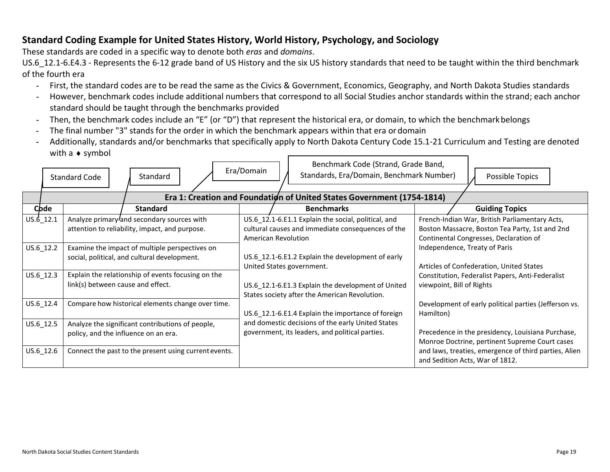## **Standard Coding Example for United States History, World History, Psychology, and Sociology**

These standards are coded in a specific way to denote both *eras* and *domains*.

US.6\_12.1-6.E4.3 - Represents the 6-12 grade band of US History and the six US history standards that need to be taught within the third benchmark of the fourth era

- First, the standard codes are to be read the same as the Civics & Government, Economics, Geography, and North Dakota Studies standards
- However, benchmark codes include additional numbers that correspond to all Social Studies anchor standards within the strand; each anchor standard should be taught through the benchmarks provided
- Then, the benchmark codes include an "E" (or "D") that represent the historical era, or domain, to which the benchmarkbelongs
- The final number "3" stands for the order in which the benchmark appears within that era or domain
- Additionally, standards and/or benchmarks that specifically apply to North Dakota Century Code 15.1-21 Curriculum and Testing are denoted with a ♦ symbol

|                                                                                                             | Standard<br><b>Standard Code</b>                                                             | Benchmark Code (Strand, Grade Band,<br>Era/Domain<br>Standards, Era/Domain, Benchmark Number)<br>Era 1: Creation and Foundation of United States Government (1754-1814) | Possible Topics                                                                                                                            |
|-------------------------------------------------------------------------------------------------------------|----------------------------------------------------------------------------------------------|-------------------------------------------------------------------------------------------------------------------------------------------------------------------------|--------------------------------------------------------------------------------------------------------------------------------------------|
| Code                                                                                                        | <b>Standard</b>                                                                              | <b>Benchmarks</b>                                                                                                                                                       | <b>Guiding Topics</b>                                                                                                                      |
| $US.6_12.1$                                                                                                 | Analyze primary/and secondary sources with<br>attention to reliability, impact, and purpose. | US.6_12.1-6.E1.1 Explain the social, political, and<br>cultural causes and immediate consequences of the<br>American Revolution                                         | French-Indian War, British Parliamentary Acts,<br>Boston Massacre, Boston Tea Party, 1st and 2nd<br>Continental Congresses, Declaration of |
| US.6_12.2<br>Examine the impact of multiple perspectives on<br>social, political, and cultural development. |                                                                                              | US.6_12.1-6.E1.2 Explain the development of early<br>United States government.                                                                                          | Independence, Treaty of Paris<br>Articles of Confederation, United States                                                                  |
| US.6_12.3                                                                                                   | Explain the relationship of events focusing on the<br>link(s) between cause and effect.      | US.6_12.1-6.E1.3 Explain the development of United<br>States society after the American Revolution.                                                                     | Constitution, Federalist Papers, Anti-Federalist<br>viewpoint, Bill of Rights                                                              |
| US.6_12.4                                                                                                   | Compare how historical elements change over time.                                            | US.6_12.1-6.E1.4 Explain the importance of foreign                                                                                                                      | Development of early political parties (Jefferson vs.<br>Hamilton)                                                                         |
| US.6_12.5                                                                                                   | Analyze the significant contributions of people,<br>policy, and the influence on an era.     | and domestic decisions of the early United States<br>government, its leaders, and political parties.                                                                    | Precedence in the presidency, Louisiana Purchase,<br>Monroe Doctrine, pertinent Supreme Court cases                                        |
| $US.6_12.6$                                                                                                 | Connect the past to the present using current events.                                        |                                                                                                                                                                         | and laws, treaties, emergence of third parties, Alien<br>and Sedition Acts, War of 1812.                                                   |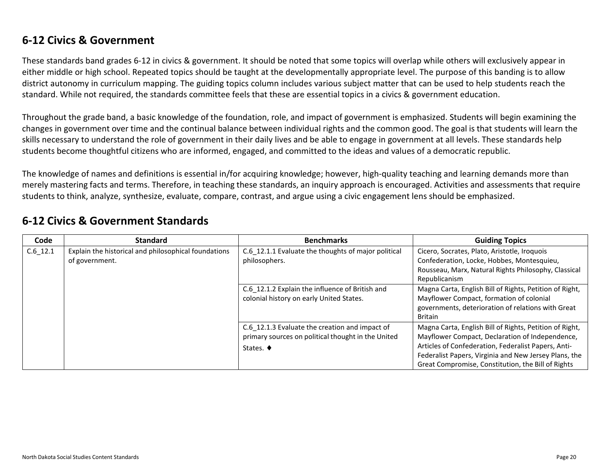## **6-12 Civics & Government**

These standards band grades 6-12 in civics & government. It should be noted that some topics will overlap while others will exclusively appear in either middle or high school. Repeated topics should be taught at the developmentally appropriate level. The purpose of this banding is to allow district autonomy in curriculum mapping. The guiding topics column includes various subject matter that can be used to help students reach the standard. While not required, the standards committee feels that these are essential topics in a civics & government education.

Throughout the grade band, a basic knowledge of the foundation, role, and impact of government is emphasized. Students will begin examining the changes in government over time and the continual balance between individual rights and the common good. The goal is that students will learn the skills necessary to understand the role of government in their daily lives and be able to engage in government at all levels. These standards help students become thoughtful citizens who are informed, engaged, and committed to the ideas and values of a democratic republic.

The knowledge of names and definitions is essential in/for acquiring knowledge; however, high-quality teaching and learning demands more than merely mastering facts and terms. Therefore, in teaching these standards, an inquiry approach is encouraged. Activities and assessments that require students to think, analyze, synthesize, evaluate, compare, contrast, and argue using a civic engagement lens should be emphasized.

| Code       | <b>Standard</b>                                      | <b>Benchmarks</b>                                   | <b>Guiding Topics</b>                                   |
|------------|------------------------------------------------------|-----------------------------------------------------|---------------------------------------------------------|
| $C.6$ 12.1 | Explain the historical and philosophical foundations | C.6 12.1.1 Evaluate the thoughts of major political | Cicero, Socrates, Plato, Aristotle, Iroquois            |
|            | of government.                                       | philosophers.                                       | Confederation, Locke, Hobbes, Montesquieu,              |
|            |                                                      |                                                     | Rousseau, Marx, Natural Rights Philosophy, Classical    |
|            |                                                      |                                                     | Republicanism                                           |
|            |                                                      | C.6 12.1.2 Explain the influence of British and     | Magna Carta, English Bill of Rights, Petition of Right, |
|            |                                                      | colonial history on early United States.            | Mayflower Compact, formation of colonial                |
|            |                                                      |                                                     | governments, deterioration of relations with Great      |
|            |                                                      |                                                     | <b>Britain</b>                                          |
|            |                                                      | C.6 12.1.3 Evaluate the creation and impact of      | Magna Carta, English Bill of Rights, Petition of Right, |
|            |                                                      | primary sources on political thought in the United  | Mayflower Compact, Declaration of Independence,         |
|            |                                                      | States. $\triangleleft$                             | Articles of Confederation, Federalist Papers, Anti-     |
|            |                                                      |                                                     | Federalist Papers, Virginia and New Jersey Plans, the   |
|            |                                                      |                                                     | Great Compromise, Constitution, the Bill of Rights      |

## <span id="page-20-0"></span>**6-12 Civics & Government Standards**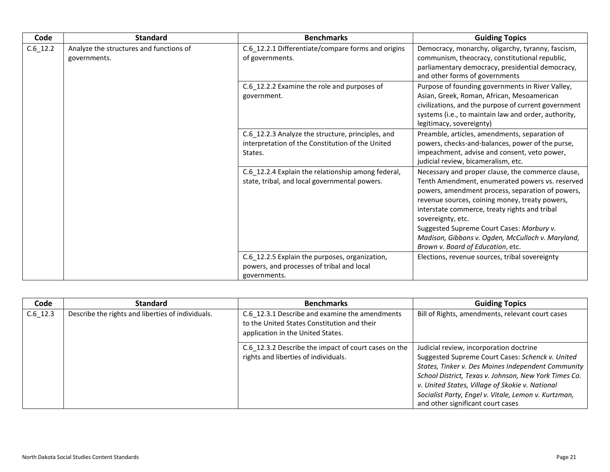| Code       | <b>Standard</b>                                         | <b>Benchmarks</b>                                                                                                | <b>Guiding Topics</b>                                                                                                                                                                                                                                                                                                                                                                                                   |
|------------|---------------------------------------------------------|------------------------------------------------------------------------------------------------------------------|-------------------------------------------------------------------------------------------------------------------------------------------------------------------------------------------------------------------------------------------------------------------------------------------------------------------------------------------------------------------------------------------------------------------------|
| $C.6$ 12.2 | Analyze the structures and functions of<br>governments. | C.6_12.2.1 Differentiate/compare forms and origins<br>of governments.                                            | Democracy, monarchy, oligarchy, tyranny, fascism,<br>communism, theocracy, constitutional republic,<br>parliamentary democracy, presidential democracy,<br>and other forms of governments                                                                                                                                                                                                                               |
|            |                                                         | C.6_12.2.2 Examine the role and purposes of<br>government.                                                       | Purpose of founding governments in River Valley,<br>Asian, Greek, Roman, African, Mesoamerican<br>civilizations, and the purpose of current government<br>systems (i.e., to maintain law and order, authority,<br>legitimacy, sovereignty)                                                                                                                                                                              |
|            |                                                         | C.6_12.2.3 Analyze the structure, principles, and<br>interpretation of the Constitution of the United<br>States. | Preamble, articles, amendments, separation of<br>powers, checks-and-balances, power of the purse,<br>impeachment, advise and consent, veto power,<br>judicial review, bicameralism, etc.                                                                                                                                                                                                                                |
|            |                                                         | C.6_12.2.4 Explain the relationship among federal,<br>state, tribal, and local governmental powers.              | Necessary and proper clause, the commerce clause,<br>Tenth Amendment, enumerated powers vs. reserved<br>powers, amendment process, separation of powers,<br>revenue sources, coining money, treaty powers,<br>interstate commerce, treaty rights and tribal<br>sovereignty, etc.<br>Suggested Supreme Court Cases: Marbury v.<br>Madison, Gibbons v. Ogden, McCulloch v. Maryland,<br>Brown v. Board of Education, etc. |
|            |                                                         | C.6_12.2.5 Explain the purposes, organization,<br>powers, and processes of tribal and local<br>governments.      | Elections, revenue sources, tribal sovereignty                                                                                                                                                                                                                                                                                                                                                                          |

| Code       | <b>Standard</b>                                   | <b>Benchmarks</b>                                                                                                                  | <b>Guiding Topics</b>                                                                                                                                                                                                                                                                                                                                      |
|------------|---------------------------------------------------|------------------------------------------------------------------------------------------------------------------------------------|------------------------------------------------------------------------------------------------------------------------------------------------------------------------------------------------------------------------------------------------------------------------------------------------------------------------------------------------------------|
| $C.6$ 12.3 | Describe the rights and liberties of individuals. | C.6 12.3.1 Describe and examine the amendments<br>to the United States Constitution and their<br>application in the United States. | Bill of Rights, amendments, relevant court cases                                                                                                                                                                                                                                                                                                           |
|            |                                                   | C.6_12.3.2 Describe the impact of court cases on the<br>rights and liberties of individuals.                                       | Judicial review, incorporation doctrine<br>Suggested Supreme Court Cases: Schenck v. United<br>States, Tinker v. Des Moines Independent Community<br>School District, Texas v. Johnson, New York Times Co.<br>v. United States, Village of Skokie v. National<br>Socialist Party, Engel v. Vitale, Lemon v. Kurtzman,<br>and other significant court cases |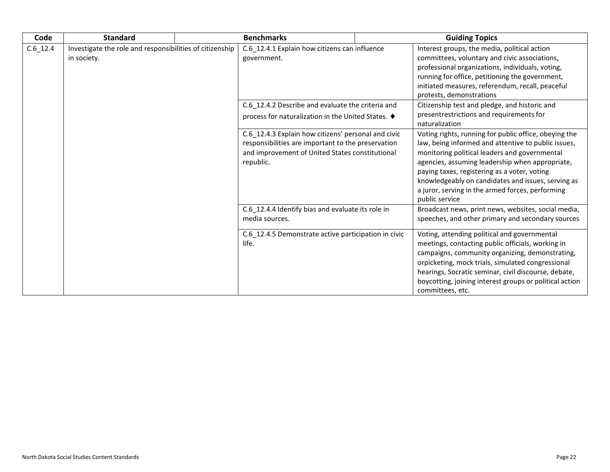| Code       | <b>Standard</b>                                                         | <b>Benchmarks</b>                                                                                                                                                         | <b>Guiding Topics</b>                                                                                                                                                                                                                                                                                                                                                                        |
|------------|-------------------------------------------------------------------------|---------------------------------------------------------------------------------------------------------------------------------------------------------------------------|----------------------------------------------------------------------------------------------------------------------------------------------------------------------------------------------------------------------------------------------------------------------------------------------------------------------------------------------------------------------------------------------|
| $C.6$ 12.4 | Investigate the role and responsibilities of citizenship<br>in society. | C.6_12.4.1 Explain how citizens can influence<br>government.                                                                                                              | Interest groups, the media, political action<br>committees, voluntary and civic associations,<br>professional organizations, individuals, voting,<br>running for office, petitioning the government,<br>initiated measures, referendum, recall, peaceful<br>protests, demonstrations                                                                                                         |
|            |                                                                         | C.6_12.4.2 Describe and evaluate the criteria and<br>process for naturalization in the United States. ♦                                                                   | Citizenship test and pledge, and historic and<br>presentrestrictions and requirements for<br>naturalization                                                                                                                                                                                                                                                                                  |
|            |                                                                         | C.6_12.4.3 Explain how citizens' personal and civic<br>responsibilities are important to the preservation<br>and improvement of United States constitutional<br>republic. | Voting rights, running for public office, obeying the<br>law, being informed and attentive to public issues,<br>monitoring political leaders and governmental<br>agencies, assuming leadership when appropriate,<br>paying taxes, registering as a voter, voting<br>knowledgeably on candidates and issues, serving as<br>a juror, serving in the armed forces, performing<br>public service |
|            |                                                                         | C.6_12.4.4 Identify bias and evaluate its role in<br>media sources.                                                                                                       | Broadcast news, print news, websites, social media,<br>speeches, and other primary and secondary sources                                                                                                                                                                                                                                                                                     |
|            |                                                                         | C.6_12.4.5 Demonstrate active participation in civic<br>life.                                                                                                             | Voting, attending political and governmental<br>meetings, contacting public officials, working in<br>campaigns, community organizing, demonstrating,<br>orpicketing, mock trials, simulated congressional<br>hearings, Socratic seminar, civil discourse, debate,<br>boycotting, joining interest groups or political action<br>committees, etc.                                             |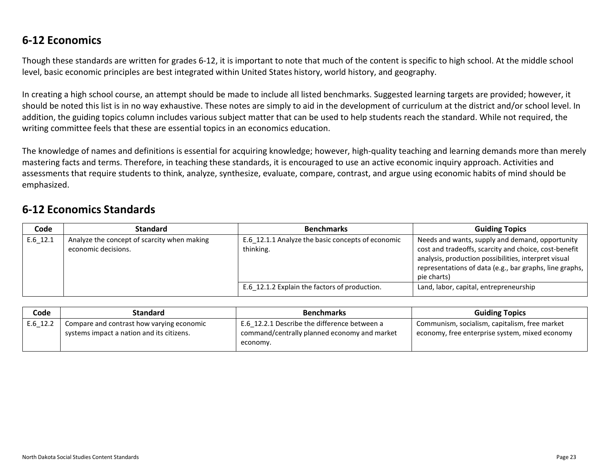## **6-12 Economics**

Though these standards are written for grades 6-12, it is important to note that much of the content is specific to high school. At the middle school level, basic economic principles are best integrated within United States history, world history, and geography.

In creating a high school course, an attempt should be made to include all listed benchmarks. Suggested learning targets are provided; however, it should be noted this list is in no way exhaustive. These notes are simply to aid in the development of curriculum at the district and/or school level. In addition, the guiding topics column includes various subject matter that can be used to help students reach the standard. While not required, the writing committee feels that these are essential topics in an economics education.

The knowledge of names and definitions is essential for acquiring knowledge; however, high-quality teaching and learning demands more than merely mastering facts and terms. Therefore, in teaching these standards, it is encouraged to use an active economic inquiry approach. Activities and assessments that require students to think, analyze, synthesize, evaluate, compare, contrast, and argue using economic habits of mind should be emphasized.

## <span id="page-23-0"></span>**6-12 Economics Standards**

| Code     | <b>Standard</b>                                                    | <b>Benchmarks</b>                                              | <b>Guiding Topics</b>                                                                                                                                                                                                                        |
|----------|--------------------------------------------------------------------|----------------------------------------------------------------|----------------------------------------------------------------------------------------------------------------------------------------------------------------------------------------------------------------------------------------------|
| E.6 12.1 | Analyze the concept of scarcity when making<br>economic decisions. | E.6 12.1.1 Analyze the basic concepts of economic<br>thinking. | Needs and wants, supply and demand, opportunity<br>cost and tradeoffs, scarcity and choice, cost-benefit<br>analysis, production possibilities, interpret visual<br>representations of data (e.g., bar graphs, line graphs,  <br>pie charts) |
|          |                                                                    | E.6 12.1.2 Explain the factors of production.                  | Land, labor, capital, entrepreneurship                                                                                                                                                                                                       |

| Code     | <b>Standard</b>                                                                        | <b>Benchmarks</b>                                                                                        | <b>Guiding Topics</b>                                                                           |
|----------|----------------------------------------------------------------------------------------|----------------------------------------------------------------------------------------------------------|-------------------------------------------------------------------------------------------------|
| E.6 12.2 | Compare and contrast how varying economic<br>systems impact a nation and its citizens. | E.6 12.2.1 Describe the difference between a<br>command/centrally planned economy and market<br>economy. | Communism, socialism, capitalism, free market<br>economy, free enterprise system, mixed economy |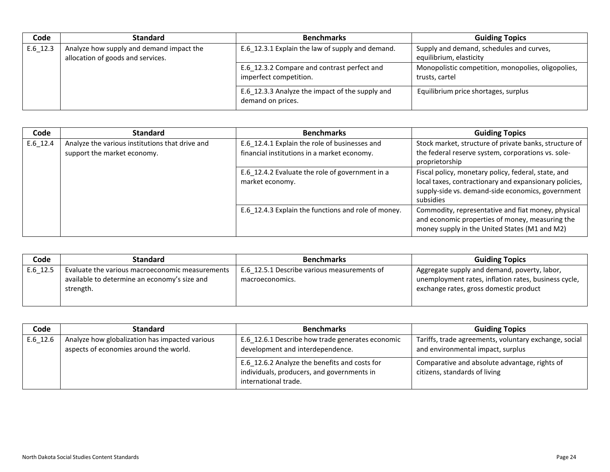| Code     | <b>Standard</b>                                                               | <b>Benchmarks</b>                                                     | <b>Guiding Topics</b>                                                |
|----------|-------------------------------------------------------------------------------|-----------------------------------------------------------------------|----------------------------------------------------------------------|
| E.6 12.3 | Analyze how supply and demand impact the<br>allocation of goods and services. | E.6 12.3.1 Explain the law of supply and demand.                      | Supply and demand, schedules and curves,<br>equilibrium, elasticity  |
|          |                                                                               | E.6_12.3.2 Compare and contrast perfect and<br>imperfect competition. | Monopolistic competition, monopolies, oligopolies,<br>trusts, cartel |
|          |                                                                               | E.6 12.3.3 Analyze the impact of the supply and<br>demand on prices.  | Equilibrium price shortages, surplus                                 |

| Code                                    | <b>Standard</b>                                 | <b>Benchmarks</b>                                                                            | <b>Guiding Topics</b>                                                                                                                                                           |
|-----------------------------------------|-------------------------------------------------|----------------------------------------------------------------------------------------------|---------------------------------------------------------------------------------------------------------------------------------------------------------------------------------|
| E.6 12.4<br>support the market economy. | Analyze the various institutions that drive and | E.6 12.4.1 Explain the role of businesses and<br>financial institutions in a market economy. | Stock market, structure of private banks, structure of<br>the federal reserve system, corporations vs. sole-<br>proprietorship                                                  |
|                                         |                                                 | E.6 12.4.2 Evaluate the role of government in a<br>market economy.                           | Fiscal policy, monetary policy, federal, state, and<br>local taxes, contractionary and expansionary policies,<br>supply-side vs. demand-side economics, government<br>subsidies |
|                                         |                                                 | E.6 12.4.3 Explain the functions and role of money.                                          | Commodity, representative and fiat money, physical<br>and economic properties of money, measuring the<br>money supply in the United States (M1 and M2)                          |

| Code     | <b>Standard</b>                                                                                              | <b>Benchmarks</b>                                              | <b>Guiding Topics</b>                                                                                                                          |
|----------|--------------------------------------------------------------------------------------------------------------|----------------------------------------------------------------|------------------------------------------------------------------------------------------------------------------------------------------------|
| E.6 12.5 | Evaluate the various macroeconomic measurements<br>available to determine an economy's size and<br>strength. | E.6 12.5.1 Describe various measurements of<br>macroeconomics. | Aggregate supply and demand, poverty, labor,<br>unemployment rates, inflation rates, business cycle,<br>exchange rates, gross domestic product |

| Code       | <b>Standard</b>                                                                          | <b>Benchmarks</b>                                                                                                   | <b>Guiding Topics</b>                                                                      |
|------------|------------------------------------------------------------------------------------------|---------------------------------------------------------------------------------------------------------------------|--------------------------------------------------------------------------------------------|
| $E.6$ 12.6 | Analyze how globalization has impacted various<br>aspects of economies around the world. | E.6 12.6.1 Describe how trade generates economic<br>development and interdependence.                                | Tariffs, trade agreements, voluntary exchange, social<br>and environmental impact, surplus |
|            |                                                                                          | E.6 12.6.2 Analyze the benefits and costs for<br>individuals, producers, and governments in<br>international trade. | Comparative and absolute advantage, rights of<br>citizens, standards of living             |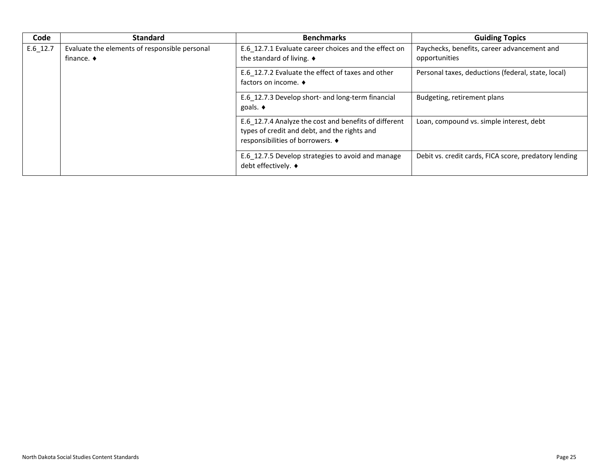| Code     | <b>Standard</b>                                                     | <b>Benchmarks</b>                                                                                                                         | <b>Guiding Topics</b>                                        |
|----------|---------------------------------------------------------------------|-------------------------------------------------------------------------------------------------------------------------------------------|--------------------------------------------------------------|
| E.6 12.7 | Evaluate the elements of responsible personal<br>finance. $\bullet$ | E.6 12.7.1 Evaluate career choices and the effect on<br>the standard of living. $\triangleleft$                                           | Paychecks, benefits, career advancement and<br>opportunities |
|          |                                                                     | E.6 12.7.2 Evaluate the effect of taxes and other<br>factors on income. $\bullet$                                                         | Personal taxes, deductions (federal, state, local)           |
|          |                                                                     | E.6 12.7.3 Develop short- and long-term financial<br>goals. $\bullet$                                                                     | Budgeting, retirement plans                                  |
|          |                                                                     | E.6_12.7.4 Analyze the cost and benefits of different<br>types of credit and debt, and the rights and<br>responsibilities of borrowers. ♦ | Loan, compound vs. simple interest, debt                     |
|          |                                                                     | E.6 12.7.5 Develop strategies to avoid and manage<br>debt effectively. ♦                                                                  | Debit vs. credit cards, FICA score, predatory lending        |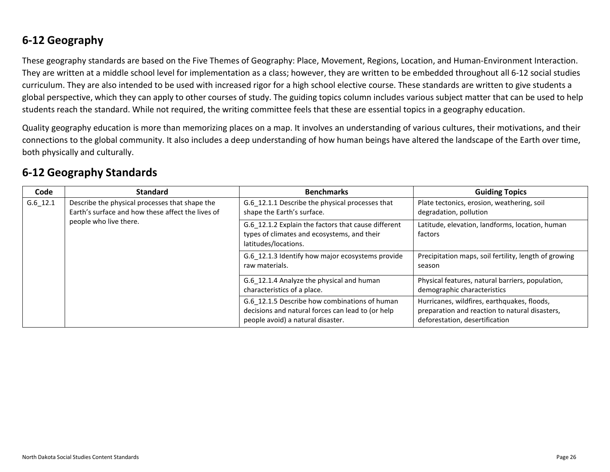# **6-12 Geography**

These geography standards are based on the Five Themes of Geography: Place, Movement, Regions, Location, and Human-Environment Interaction. They are written at a middle school level for implementation as a class; however, they are written to be embedded throughout all 6-12 social studies curriculum. They are also intended to be used with increased rigor for a high school elective course. These standards are written to give students a global perspective, which they can apply to other courses of study. The guiding topics column includes various subject matter that can be used to help students reach the standard. While not required, the writing committee feels that these are essential topics in a geography education.

Quality geography education is more than memorizing places on a map. It involves an understanding of various cultures, their motivations, and their connections to the global community. It also includes a deep understanding of how human beings have altered the landscape of the Earth over time, both physically and culturally.

| Code       | <b>Standard</b>                                                                                     | <b>Benchmarks</b>                                                                                                                       | <b>Guiding Topics</b>                                                                                                           |
|------------|-----------------------------------------------------------------------------------------------------|-----------------------------------------------------------------------------------------------------------------------------------------|---------------------------------------------------------------------------------------------------------------------------------|
| $G.6$ 12.1 | Describe the physical processes that shape the<br>Earth's surface and how these affect the lives of | G.6_12.1.1 Describe the physical processes that<br>shape the Earth's surface.                                                           | Plate tectonics, erosion, weathering, soil<br>degradation, pollution                                                            |
|            | people who live there.                                                                              | G.6 12.1.2 Explain the factors that cause different<br>types of climates and ecosystems, and their<br>latitudes/locations.              | Latitude, elevation, landforms, location, human<br>factors                                                                      |
|            |                                                                                                     | G.6 12.1.3 Identify how major ecosystems provide<br>raw materials.                                                                      | Precipitation maps, soil fertility, length of growing<br>season                                                                 |
|            |                                                                                                     | G.6 12.1.4 Analyze the physical and human<br>characteristics of a place.                                                                | Physical features, natural barriers, population,<br>demographic characteristics                                                 |
|            |                                                                                                     | G.6 12.1.5 Describe how combinations of human<br>decisions and natural forces can lead to (or help<br>people avoid) a natural disaster. | Hurricanes, wildfires, earthquakes, floods,<br>preparation and reaction to natural disasters,<br>deforestation, desertification |

## <span id="page-26-0"></span>**6-12 Geography Standards**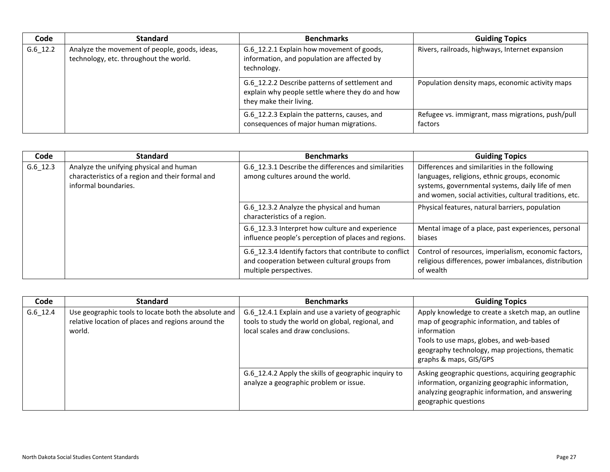| Code       | <b>Standard</b>                                                                         | <b>Benchmarks</b>                                                                                                            | <b>Guiding Topics</b>                                        |
|------------|-----------------------------------------------------------------------------------------|------------------------------------------------------------------------------------------------------------------------------|--------------------------------------------------------------|
| $G.6$ 12.2 | Analyze the movement of people, goods, ideas,<br>technology, etc. throughout the world. | G.6 12.2.1 Explain how movement of goods,<br>information, and population are affected by<br>technology.                      | Rivers, railroads, highways, Internet expansion              |
|            |                                                                                         | G.6_12.2.2 Describe patterns of settlement and<br>explain why people settle where they do and how<br>they make their living. | Population density maps, economic activity maps              |
|            |                                                                                         | G.6_12.2.3 Explain the patterns, causes, and<br>consequences of major human migrations.                                      | Refugee vs. immigrant, mass migrations, push/pull<br>factors |

| Code       | <b>Standard</b>                                                                                                     | <b>Benchmarks</b>                                                                                                                 | <b>Guiding Topics</b>                                                                                                                                                                                         |
|------------|---------------------------------------------------------------------------------------------------------------------|-----------------------------------------------------------------------------------------------------------------------------------|---------------------------------------------------------------------------------------------------------------------------------------------------------------------------------------------------------------|
| $G.6$ 12.3 | Analyze the unifying physical and human<br>characteristics of a region and their formal and<br>informal boundaries. | G.6 12.3.1 Describe the differences and similarities<br>among cultures around the world.                                          | Differences and similarities in the following<br>languages, religions, ethnic groups, economic<br>systems, governmental systems, daily life of men<br>and women, social activities, cultural traditions, etc. |
|            |                                                                                                                     | G.6_12.3.2 Analyze the physical and human<br>characteristics of a region.                                                         | Physical features, natural barriers, population                                                                                                                                                               |
|            |                                                                                                                     | G.6 12.3.3 Interpret how culture and experience<br>influence people's perception of places and regions.                           | Mental image of a place, past experiences, personal<br>biases                                                                                                                                                 |
|            |                                                                                                                     | G.6_12.3.4 Identify factors that contribute to conflict<br>and cooperation between cultural groups from<br>multiple perspectives. | Control of resources, imperialism, economic factors,<br>religious differences, power imbalances, distribution<br>of wealth                                                                                    |

| Code     | <b>Standard</b>                                                                                                      | <b>Benchmarks</b>                                                                                                                             | <b>Guiding Topics</b>                                                                                                                                                                                                                      |
|----------|----------------------------------------------------------------------------------------------------------------------|-----------------------------------------------------------------------------------------------------------------------------------------------|--------------------------------------------------------------------------------------------------------------------------------------------------------------------------------------------------------------------------------------------|
| G.6 12.4 | Use geographic tools to locate both the absolute and<br>relative location of places and regions around the<br>world. | G.6_12.4.1 Explain and use a variety of geographic<br>tools to study the world on global, regional, and<br>local scales and draw conclusions. | Apply knowledge to create a sketch map, an outline<br>map of geographic information, and tables of<br>information<br>Tools to use maps, globes, and web-based<br>geography technology, map projections, thematic<br>graphs & maps, GIS/GPS |
|          |                                                                                                                      | G.6_12.4.2 Apply the skills of geographic inquiry to<br>analyze a geographic problem or issue.                                                | Asking geographic questions, acquiring geographic<br>information, organizing geographic information,<br>analyzing geographic information, and answering<br>geographic questions                                                            |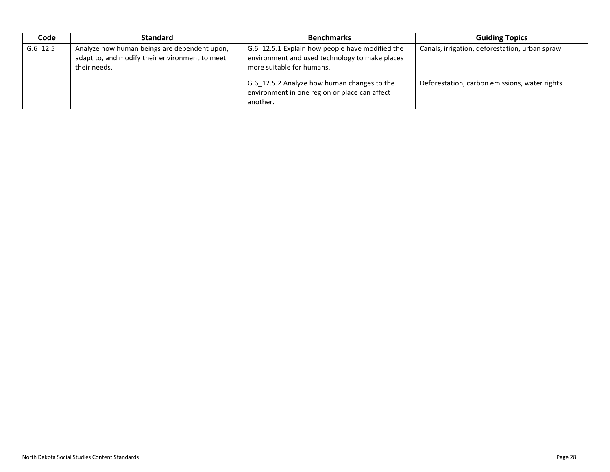| Code     | <b>Standard</b>                                                                                                | <b>Benchmarks</b>                                                                                                              | <b>Guiding Topics</b>                           |
|----------|----------------------------------------------------------------------------------------------------------------|--------------------------------------------------------------------------------------------------------------------------------|-------------------------------------------------|
| G.6 12.5 | Analyze how human beings are dependent upon,<br>adapt to, and modify their environment to meet<br>their needs. | G.6 12.5.1 Explain how people have modified the<br>environment and used technology to make places<br>more suitable for humans. | Canals, irrigation, deforestation, urban sprawl |
|          |                                                                                                                | G.6 12.5.2 Analyze how human changes to the<br>environment in one region or place can affect<br>another.                       | Deforestation, carbon emissions, water rights   |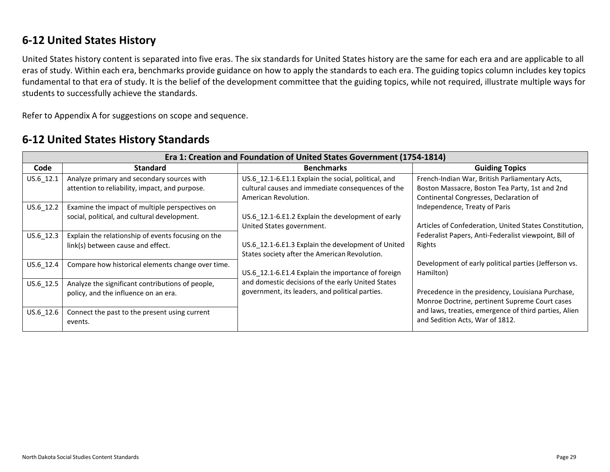## **6-12 United States History**

United States history content is separated into five eras. The six standards for United States history are the same for each era and are applicable to all eras of study. Within each era, benchmarks provide guidance on how to apply the standards to each era. The guiding topics column includes key topics fundamental to that era of study. It is the belief of the development committee that the guiding topics, while not required, illustrate multiple ways for students to successfully achieve the standards.

Refer to Appendix A for suggestions on scope and sequence.

|           | Era 1: Creation and Foundation of United States Government (1754-1814)                         |                                                                                                                                  |                                                                                                                                            |  |
|-----------|------------------------------------------------------------------------------------------------|----------------------------------------------------------------------------------------------------------------------------------|--------------------------------------------------------------------------------------------------------------------------------------------|--|
| Code      | <b>Standard</b>                                                                                | <b>Benchmarks</b>                                                                                                                | <b>Guiding Topics</b>                                                                                                                      |  |
| US.6 12.1 | Analyze primary and secondary sources with<br>attention to reliability, impact, and purpose.   | US.6 12.1-6.E1.1 Explain the social, political, and<br>cultural causes and immediate consequences of the<br>American Revolution. | French-Indian War, British Parliamentary Acts,<br>Boston Massacre, Boston Tea Party, 1st and 2nd<br>Continental Congresses, Declaration of |  |
| US.6_12.2 | Examine the impact of multiple perspectives on<br>social, political, and cultural development. | US.6_12.1-6.E1.2 Explain the development of early<br>United States government.                                                   | Independence, Treaty of Paris<br>Articles of Confederation, United States Constitution,                                                    |  |
| US.6 12.3 | Explain the relationship of events focusing on the<br>link(s) between cause and effect.        | US.6_12.1-6.E1.3 Explain the development of United<br>States society after the American Revolution.                              | Federalist Papers, Anti-Federalist viewpoint, Bill of<br>Rights                                                                            |  |
| US.6 12.4 | Compare how historical elements change over time.                                              | US.6_12.1-6.E1.4 Explain the importance of foreign                                                                               | Development of early political parties (Jefferson vs.<br>Hamilton)                                                                         |  |
| US.6 12.5 | Analyze the significant contributions of people,<br>policy, and the influence on an era.       | and domestic decisions of the early United States<br>government, its leaders, and political parties.                             | Precedence in the presidency, Louisiana Purchase,<br>Monroe Doctrine, pertinent Supreme Court cases                                        |  |
| US.6 12.6 | Connect the past to the present using current<br>events.                                       |                                                                                                                                  | and laws, treaties, emergence of third parties, Alien<br>and Sedition Acts, War of 1812.                                                   |  |

## <span id="page-29-0"></span>**6-12 United States History Standards**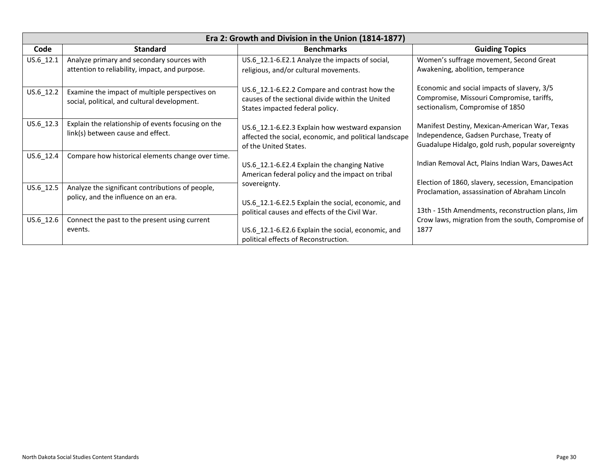|             | Era 2: Growth and Division in the Union (1814-1877)                                            |                                                                                                                                      |                                                                                                                                                |  |
|-------------|------------------------------------------------------------------------------------------------|--------------------------------------------------------------------------------------------------------------------------------------|------------------------------------------------------------------------------------------------------------------------------------------------|--|
| Code        | <b>Standard</b>                                                                                | <b>Benchmarks</b>                                                                                                                    | <b>Guiding Topics</b>                                                                                                                          |  |
| $US.6_12.1$ | Analyze primary and secondary sources with                                                     | US.6_12.1-6.E2.1 Analyze the impacts of social,                                                                                      | Women's suffrage movement, Second Great                                                                                                        |  |
|             | attention to reliability, impact, and purpose.                                                 | religious, and/or cultural movements.                                                                                                | Awakening, abolition, temperance                                                                                                               |  |
| $US.6_12.2$ | Examine the impact of multiple perspectives on<br>social, political, and cultural development. | US.6_12.1-6.E2.2 Compare and contrast how the<br>causes of the sectional divide within the United<br>States impacted federal policy. | Economic and social impacts of slavery, 3/5<br>Compromise, Missouri Compromise, tariffs,<br>sectionalism, Compromise of 1850                   |  |
| $US.6_12.3$ | Explain the relationship of events focusing on the<br>link(s) between cause and effect.        | US.6_12.1-6.E2.3 Explain how westward expansion<br>affected the social, economic, and political landscape<br>of the United States.   | Manifest Destiny, Mexican-American War, Texas<br>Independence, Gadsen Purchase, Treaty of<br>Guadalupe Hidalgo, gold rush, popular sovereignty |  |
| US.6_12.4   | Compare how historical elements change over time.                                              | US.6_12.1-6.E2.4 Explain the changing Native<br>American federal policy and the impact on tribal                                     | Indian Removal Act, Plains Indian Wars, Dawes Act<br>Election of 1860, slavery, secession, Emancipation                                        |  |
| $US.6_12.5$ | Analyze the significant contributions of people,<br>policy, and the influence on an era.       | sovereignty.<br>US.6_12.1-6.E2.5 Explain the social, economic, and                                                                   | Proclamation, assassination of Abraham Lincoln                                                                                                 |  |
| US.6_12.6   | Connect the past to the present using current<br>events.                                       | political causes and effects of the Civil War.<br>US.6_12.1-6.E2.6 Explain the social, economic, and                                 | 13th - 15th Amendments, reconstruction plans, Jim<br>Crow laws, migration from the south, Compromise of<br>1877                                |  |
|             |                                                                                                | political effects of Reconstruction.                                                                                                 |                                                                                                                                                |  |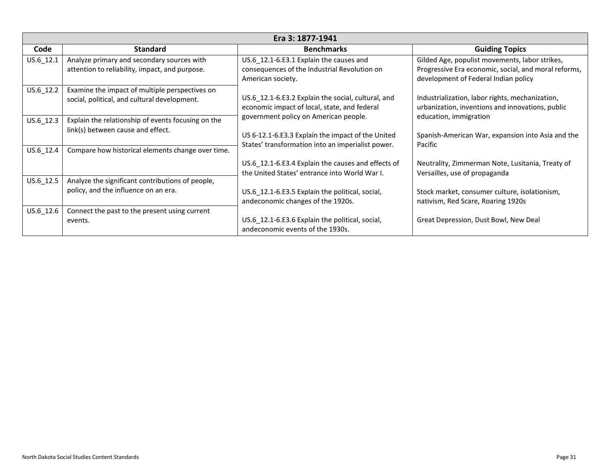|             | Era 3: 1877-1941                                                                               |                                                                                                                                                 |                                                                                                                                                |  |
|-------------|------------------------------------------------------------------------------------------------|-------------------------------------------------------------------------------------------------------------------------------------------------|------------------------------------------------------------------------------------------------------------------------------------------------|--|
| Code        | <b>Standard</b>                                                                                | <b>Benchmarks</b>                                                                                                                               | <b>Guiding Topics</b>                                                                                                                          |  |
| $US.6_12.1$ | Analyze primary and secondary sources with<br>attention to reliability, impact, and purpose.   | US.6_12.1-6.E3.1 Explain the causes and<br>consequences of the Industrial Revolution on<br>American society.                                    | Gilded Age, populist movements, labor strikes,<br>Progressive Era economic, social, and moral reforms,<br>development of Federal Indian policy |  |
| US.6 12.2   | Examine the impact of multiple perspectives on<br>social, political, and cultural development. | US.6_12.1-6.E3.2 Explain the social, cultural, and<br>economic impact of local, state, and federal                                              | Industrialization, labor rights, mechanization,<br>urbanization, inventions and innovations, public                                            |  |
| $US.6_12.3$ | Explain the relationship of events focusing on the<br>link(s) between cause and effect.        | government policy on American people.<br>US 6-12.1-6.E3.3 Explain the impact of the United<br>States' transformation into an imperialist power. | education, immigration<br>Spanish-American War, expansion into Asia and the<br>Pacific                                                         |  |
| US.6_12.4   | Compare how historical elements change over time.                                              | US.6_12.1-6.E3.4 Explain the causes and effects of<br>the United States' entrance into World War I.                                             | Neutrality, Zimmerman Note, Lusitania, Treaty of<br>Versailles, use of propaganda                                                              |  |
| US.6 12.5   | Analyze the significant contributions of people,<br>policy, and the influence on an era.       | US.6_12.1-6.E3.5 Explain the political, social,<br>andeconomic changes of the 1920s.                                                            | Stock market, consumer culture, isolationism,<br>nativism, Red Scare, Roaring 1920s                                                            |  |
| US.6_12.6   | Connect the past to the present using current<br>events.                                       | US.6_12.1-6.E3.6 Explain the political, social,<br>andeconomic events of the 1930s.                                                             | Great Depression, Dust Bowl, New Deal                                                                                                          |  |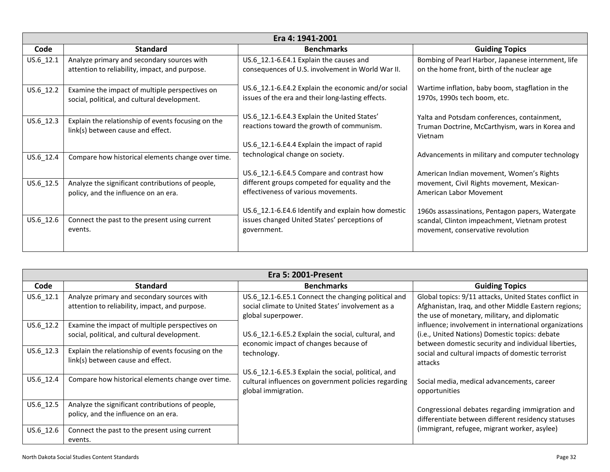|             | Era 4: 1941-2001                                                                               |                                                                                                                                          |                                                                                                                                        |  |
|-------------|------------------------------------------------------------------------------------------------|------------------------------------------------------------------------------------------------------------------------------------------|----------------------------------------------------------------------------------------------------------------------------------------|--|
| Code        | <b>Standard</b>                                                                                | <b>Benchmarks</b>                                                                                                                        | <b>Guiding Topics</b>                                                                                                                  |  |
| $US.6_12.1$ | Analyze primary and secondary sources with<br>attention to reliability, impact, and purpose.   | US.6_12.1-6.E4.1 Explain the causes and<br>consequences of U.S. involvement in World War II.                                             | Bombing of Pearl Harbor, Japanese internment, life<br>on the home front, birth of the nuclear age                                      |  |
| $US.6_12.2$ | Examine the impact of multiple perspectives on<br>social, political, and cultural development. | US.6_12.1-6.E4.2 Explain the economic and/or social<br>issues of the era and their long-lasting effects.                                 | Wartime inflation, baby boom, stagflation in the<br>1970s, 1990s tech boom, etc.                                                       |  |
| $US.6_12.3$ | Explain the relationship of events focusing on the<br>link(s) between cause and effect.        | US.6_12.1-6.E4.3 Explain the United States'<br>reactions toward the growth of communism.<br>US.6_12.1-6.E4.4 Explain the impact of rapid | Yalta and Potsdam conferences, containment,<br>Truman Doctrine, McCarthyism, wars in Korea and<br>Vietnam                              |  |
| US.6_12.4   | Compare how historical elements change over time.                                              | technological change on society.<br>US.6_12.1-6.E4.5 Compare and contrast how                                                            | Advancements in military and computer technology<br>American Indian movement, Women's Rights                                           |  |
| US.6 12.5   | Analyze the significant contributions of people,<br>policy, and the influence on an era.       | different groups competed for equality and the<br>effectiveness of various movements.                                                    | movement, Civil Rights movement, Mexican-<br>American Labor Movement                                                                   |  |
| $US.6_12.6$ | Connect the past to the present using current<br>events.                                       | US.6_12.1-6.E4.6 Identify and explain how domestic<br>issues changed United States' perceptions of<br>government.                        | 1960s assassinations, Pentagon papers, Watergate<br>scandal, Clinton impeachment, Vietnam protest<br>movement, conservative revolution |  |

|             | Era 5: 2001-Present                                                                            |                                                                                                                                    |                                                                                                                                                                 |  |
|-------------|------------------------------------------------------------------------------------------------|------------------------------------------------------------------------------------------------------------------------------------|-----------------------------------------------------------------------------------------------------------------------------------------------------------------|--|
| Code        | <b>Standard</b>                                                                                | <b>Benchmarks</b>                                                                                                                  | <b>Guiding Topics</b>                                                                                                                                           |  |
| $US.6_12.1$ | Analyze primary and secondary sources with<br>attention to reliability, impact, and purpose.   | US.6_12.1-6.E5.1 Connect the changing political and<br>social climate to United States' involvement as a<br>global superpower.     | Global topics: 9/11 attacks, United States conflict in<br>Afghanistan, Iraq, and other Middle Eastern regions;<br>the use of monetary, military, and diplomatic |  |
| $US.6_12.2$ | Examine the impact of multiple perspectives on<br>social, political, and cultural development. | US.6_12.1-6.E5.2 Explain the social, cultural, and<br>economic impact of changes because of                                        | influence; involvement in international organizations<br>(i.e., United Nations) Domestic topics: debate<br>between domestic security and individual liberties,  |  |
| US.6 12.3   | Explain the relationship of events focusing on the<br>link(s) between cause and effect.        | technology.                                                                                                                        | social and cultural impacts of domestic terrorist<br>attacks                                                                                                    |  |
| US.6 12.4   | Compare how historical elements change over time.                                              | US.6_12.1-6.E5.3 Explain the social, political, and<br>cultural influences on government policies regarding<br>global immigration. | Social media, medical advancements, career<br>opportunities                                                                                                     |  |
| US.6 12.5   | Analyze the significant contributions of people,<br>policy, and the influence on an era.       |                                                                                                                                    | Congressional debates regarding immigration and<br>differentiate between different residency statuses                                                           |  |
| US.6 12.6   | Connect the past to the present using current<br>events.                                       |                                                                                                                                    | (immigrant, refugee, migrant worker, asylee)                                                                                                                    |  |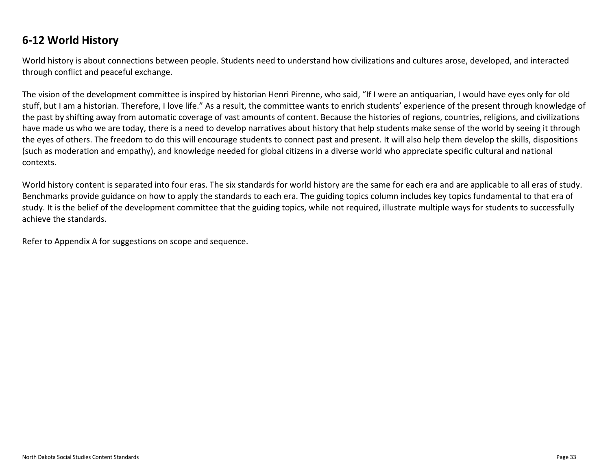## **6-12 World History**

World history is about connections between people. Students need to understand how civilizations and cultures arose, developed, and interacted through conflict and peaceful exchange.

The vision of the development committee is inspired by historian Henri Pirenne, who said, "If I were an antiquarian, I would have eyes only for old stuff, but I am a historian. Therefore, I love life." As a result, the committee wants to enrich students' experience of the present through knowledge of the past by shifting away from automatic coverage of vast amounts of content. Because the histories of regions, countries, religions, and civilizations have made us who we are today, there is a need to develop narratives about history that help students make sense of the world by seeing it through the eyes of others. The freedom to do this will encourage students to connect past and present. It will also help them develop the skills, dispositions (such as moderation and empathy), and knowledge needed for global citizens in a diverse world who appreciate specific cultural and national contexts.

World history content is separated into four eras. The six standards for world history are the same for each era and are applicable to all eras of study. Benchmarks provide guidance on how to apply the standards to each era. The guiding topics column includes key topics fundamental to that era of study. It is the belief of the development committee that the guiding topics, while not required, illustrate multiple ways for students to successfully achieve the standards.

Refer to Appendix A for suggestions on scope and sequence.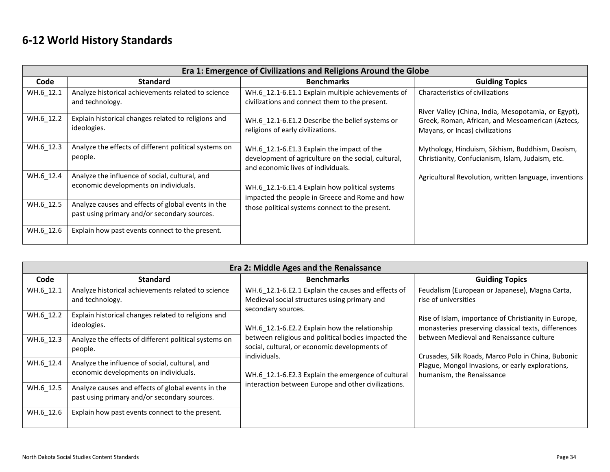# <span id="page-34-0"></span>**6-12 World History Standards**

| Era 1: Emergence of Civilizations and Religions Around the Globe |                                                                                                    |                                                                                                                                         |                                                                                                     |
|------------------------------------------------------------------|----------------------------------------------------------------------------------------------------|-----------------------------------------------------------------------------------------------------------------------------------------|-----------------------------------------------------------------------------------------------------|
| Code                                                             | <b>Standard</b>                                                                                    | <b>Benchmarks</b>                                                                                                                       | <b>Guiding Topics</b>                                                                               |
| WH.6 12.1                                                        | Analyze historical achievements related to science<br>and technology.                              | WH.6_12.1-6.E1.1 Explain multiple achievements of<br>civilizations and connect them to the present.                                     | Characteristics of civilizations<br>River Valley (China, India, Mesopotamia, or Egypt),             |
| WH.6_12.2                                                        | Explain historical changes related to religions and<br>ideologies.                                 | WH.6_12.1-6.E1.2 Describe the belief systems or<br>religions of early civilizations.                                                    | Greek, Roman, African, and Mesoamerican (Aztecs,<br>Mayans, or Incas) civilizations                 |
| WH.6_12.3                                                        | Analyze the effects of different political systems on<br>people.                                   | WH.6_12.1-6.E1.3 Explain the impact of the<br>development of agriculture on the social, cultural,<br>and economic lives of individuals. | Mythology, Hinduism, Sikhism, Buddhism, Daoism,<br>Christianity, Confucianism, Islam, Judaism, etc. |
| WH.6_12.4                                                        | Analyze the influence of social, cultural, and<br>economic developments on individuals.            | WH.6_12.1-6.E1.4 Explain how political systems<br>impacted the people in Greece and Rome and how                                        | Agricultural Revolution, written language, inventions                                               |
| WH.6 12.5                                                        | Analyze causes and effects of global events in the<br>past using primary and/or secondary sources. | those political systems connect to the present.                                                                                         |                                                                                                     |
| WH.6 12.6                                                        | Explain how past events connect to the present.                                                    |                                                                                                                                         |                                                                                                     |

| Era 2: Middle Ages and the Renaissance |                                                                                                    |                                                                                                                                                                                                                                                                                                          |                                                                                                                                                                                 |                                                                                                             |
|----------------------------------------|----------------------------------------------------------------------------------------------------|----------------------------------------------------------------------------------------------------------------------------------------------------------------------------------------------------------------------------------------------------------------------------------------------------------|---------------------------------------------------------------------------------------------------------------------------------------------------------------------------------|-------------------------------------------------------------------------------------------------------------|
| Code                                   | <b>Standard</b>                                                                                    | <b>Benchmarks</b>                                                                                                                                                                                                                                                                                        | <b>Guiding Topics</b>                                                                                                                                                           |                                                                                                             |
| WH.6 12.1                              | Analyze historical achievements related to science<br>and technology.                              | WH.6_12.1-6.E2.1 Explain the causes and effects of<br>Medieval social structures using primary and                                                                                                                                                                                                       | Feudalism (European or Japanese), Magna Carta,<br>rise of universities                                                                                                          |                                                                                                             |
| WH.6_12.2                              | Explain historical changes related to religions and<br>ideologies.                                 | secondary sources.<br>WH.6_12.1-6.E2.2 Explain how the relationship<br>between religious and political bodies impacted the<br>social, cultural, or economic developments of<br>individuals.<br>WH.6 12.1-6.E2.3 Explain the emergence of cultural<br>interaction between Europe and other civilizations. |                                                                                                                                                                                 | Rise of Islam, importance of Christianity in Europe,<br>monasteries preserving classical texts, differences |
| WH.6_12.3                              | Analyze the effects of different political systems on<br>people.                                   |                                                                                                                                                                                                                                                                                                          | between Medieval and Renaissance culture<br>Crusades, Silk Roads, Marco Polo in China, Bubonic<br>Plague, Mongol Invasions, or early explorations,<br>humanism, the Renaissance |                                                                                                             |
| WH.6 12.4                              | Analyze the influence of social, cultural, and<br>economic developments on individuals.            |                                                                                                                                                                                                                                                                                                          |                                                                                                                                                                                 |                                                                                                             |
| WH.6_12.5                              | Analyze causes and effects of global events in the<br>past using primary and/or secondary sources. |                                                                                                                                                                                                                                                                                                          |                                                                                                                                                                                 |                                                                                                             |
| WH.6_12.6                              | Explain how past events connect to the present.                                                    |                                                                                                                                                                                                                                                                                                          |                                                                                                                                                                                 |                                                                                                             |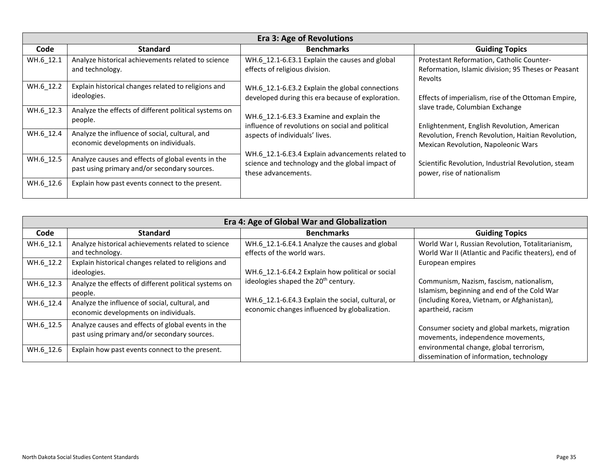|           | Era 3: Age of Revolutions                                                                          |                                                                                                                                |                                                                                                             |  |  |
|-----------|----------------------------------------------------------------------------------------------------|--------------------------------------------------------------------------------------------------------------------------------|-------------------------------------------------------------------------------------------------------------|--|--|
| Code      | Standard                                                                                           | <b>Benchmarks</b>                                                                                                              | <b>Guiding Topics</b>                                                                                       |  |  |
| WH.6 12.1 | Analyze historical achievements related to science<br>and technology.                              | WH.6_12.1-6.E3.1 Explain the causes and global<br>effects of religious division.                                               | Protestant Reformation, Catholic Counter-<br>Reformation, Islamic division; 95 Theses or Peasant<br>Revolts |  |  |
| WH.6_12.2 | Explain historical changes related to religions and<br>ideologies.                                 | WH.6_12.1-6.E3.2 Explain the global connections<br>developed during this era because of exploration.                           | Effects of imperialism, rise of the Ottoman Empire,                                                         |  |  |
| WH.6_12.3 | Analyze the effects of different political systems on<br>people.                                   | WH.6_12.1-6.E3.3 Examine and explain the<br>influence of revolutions on social and political<br>aspects of individuals' lives. | slave trade, Columbian Exchange<br>Enlightenment, English Revolution, American                              |  |  |
| WH.6 12.4 | Analyze the influence of social, cultural, and<br>economic developments on individuals.            |                                                                                                                                | Revolution, French Revolution, Haitian Revolution,<br>Mexican Revolution, Napoleonic Wars                   |  |  |
| WH.6 12.5 | Analyze causes and effects of global events in the<br>past using primary and/or secondary sources. | WH.6_12.1-6.E3.4 Explain advancements related to<br>science and technology and the global impact of<br>these advancements.     | Scientific Revolution, Industrial Revolution, steam<br>power, rise of nationalism                           |  |  |
| WH.6_12.6 | Explain how past events connect to the present.                                                    |                                                                                                                                |                                                                                                             |  |  |

| Era 4: Age of Global War and Globalization |                                                                                                    |                                                                                                                                                       |                                                                                                           |
|--------------------------------------------|----------------------------------------------------------------------------------------------------|-------------------------------------------------------------------------------------------------------------------------------------------------------|-----------------------------------------------------------------------------------------------------------|
| Code                                       | <b>Standard</b>                                                                                    | <b>Benchmarks</b>                                                                                                                                     | <b>Guiding Topics</b>                                                                                     |
| WH.6 12.1                                  | Analyze historical achievements related to science<br>and technology.                              | WH.6_12.1-6.E4.1 Analyze the causes and global<br>effects of the world wars.                                                                          | World War I, Russian Revolution, Totalitarianism,<br>World War II (Atlantic and Pacific theaters), end of |
| WH.6 12.2                                  | Explain historical changes related to religions and<br>ideologies.                                 | WH.6 12.1-6.E4.2 Explain how political or social                                                                                                      | European empires                                                                                          |
| WH.6 12.3                                  | Analyze the effects of different political systems on<br>people.                                   | ideologies shaped the 20 <sup>th</sup> century.<br>WH.6_12.1-6.E4.3 Explain the social, cultural, or<br>economic changes influenced by globalization. | Communism, Nazism, fascism, nationalism,<br>Islamism, beginning and end of the Cold War                   |
| WH.6 12.4                                  | Analyze the influence of social, cultural, and<br>economic developments on individuals.            |                                                                                                                                                       | (including Korea, Vietnam, or Afghanistan),<br>apartheid, racism                                          |
| WH.6 12.5                                  | Analyze causes and effects of global events in the<br>past using primary and/or secondary sources. |                                                                                                                                                       | Consumer society and global markets, migration<br>movements, independence movements,                      |
| WH.6 12.6                                  | Explain how past events connect to the present.                                                    |                                                                                                                                                       | environmental change, global terrorism,<br>dissemination of information, technology                       |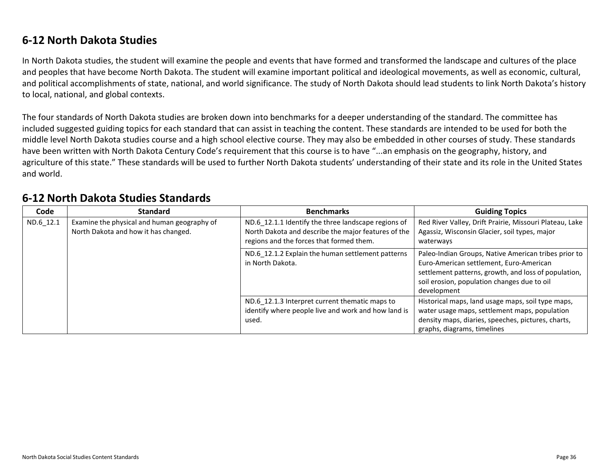## **6-12 North Dakota Studies**

In North Dakota studies, the student will examine the people and events that have formed and transformed the landscape and cultures of the place and peoples that have become North Dakota. The student will examine important political and ideological movements, as well as economic, cultural, and political accomplishments of state, national, and world significance. The study of North Dakota should lead students to link North Dakota's history to local, national, and global contexts.

The four standards of North Dakota studies are broken down into benchmarks for a deeper understanding of the standard. The committee has included suggested guiding topics for each standard that can assist in teaching the content. These standards are intended to be used for both the middle level North Dakota studies course and a high school elective course. They may also be embedded in other courses of study. These standards have been written with North Dakota Century Code's requirement that this course is to have "...an emphasis on the geography, history, and agriculture of this state." These standards will be used to further North Dakota students' understanding of their state and its role in the United States and world.

## <span id="page-36-0"></span>**6-12 North Dakota Studies Standards**

| Code                                                                                             | <b>Standard</b>                                                                                                                                        | <b>Benchmarks</b>                                                                                                     | <b>Guiding Topics</b>                                                                                                                                                                                                 |
|--------------------------------------------------------------------------------------------------|--------------------------------------------------------------------------------------------------------------------------------------------------------|-----------------------------------------------------------------------------------------------------------------------|-----------------------------------------------------------------------------------------------------------------------------------------------------------------------------------------------------------------------|
| ND.6 12.1<br>Examine the physical and human geography of<br>North Dakota and how it has changed. | ND.6 12.1.1 Identify the three landscape regions of<br>North Dakota and describe the major features of the<br>regions and the forces that formed them. | Red River Valley, Drift Prairie, Missouri Plateau, Lake<br>Agassiz, Wisconsin Glacier, soil types, major<br>waterways |                                                                                                                                                                                                                       |
|                                                                                                  |                                                                                                                                                        | ND.6 12.1.2 Explain the human settlement patterns<br>in North Dakota.                                                 | Paleo-Indian Groups, Native American tribes prior to<br>Euro-American settlement, Euro-American<br>settlement patterns, growth, and loss of population,<br>soil erosion, population changes due to oil<br>development |
|                                                                                                  |                                                                                                                                                        | ND.6_12.1.3 Interpret current thematic maps to<br>identify where people live and work and how land is<br>used.        | Historical maps, land usage maps, soil type maps,<br>water usage maps, settlement maps, population<br>density maps, diaries, speeches, pictures, charts,<br>graphs, diagrams, timelines                               |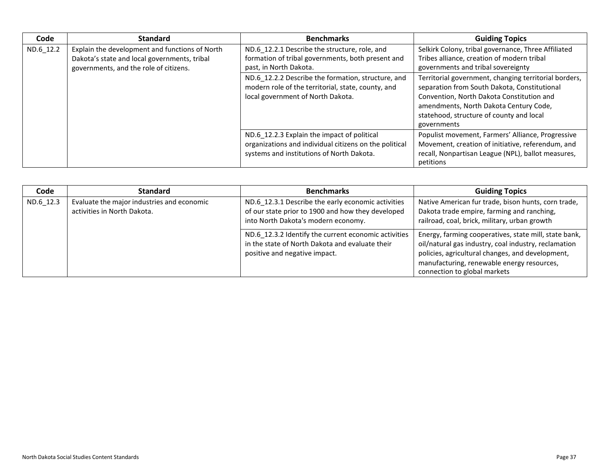| Code      | <b>Standard</b>                                                                                                                          | <b>Benchmarks</b>                                                                                                                                                                                                                                                             | <b>Guiding Topics</b>                                                                                                                                                                                                                                                                                                                   |
|-----------|------------------------------------------------------------------------------------------------------------------------------------------|-------------------------------------------------------------------------------------------------------------------------------------------------------------------------------------------------------------------------------------------------------------------------------|-----------------------------------------------------------------------------------------------------------------------------------------------------------------------------------------------------------------------------------------------------------------------------------------------------------------------------------------|
| ND.6 12.2 | Explain the development and functions of North<br>Dakota's state and local governments, tribal<br>governments, and the role of citizens. | ND.6 12.2.1 Describe the structure, role, and<br>formation of tribal governments, both present and<br>past, in North Dakota.<br>ND.6 12.2.2 Describe the formation, structure, and<br>modern role of the territorial, state, county, and<br>local government of North Dakota. | Selkirk Colony, tribal governance, Three Affiliated<br>Tribes alliance, creation of modern tribal<br>governments and tribal sovereignty<br>Territorial government, changing territorial borders,<br>separation from South Dakota, Constitutional<br>Convention, North Dakota Constitution and<br>amendments, North Dakota Century Code, |
|           |                                                                                                                                          |                                                                                                                                                                                                                                                                               | statehood, structure of county and local<br>governments                                                                                                                                                                                                                                                                                 |
|           |                                                                                                                                          | ND.6 12.2.3 Explain the impact of political<br>organizations and individual citizens on the political<br>systems and institutions of North Dakota.                                                                                                                            | Populist movement, Farmers' Alliance, Progressive<br>Movement, creation of initiative, referendum, and<br>recall, Nonpartisan League (NPL), ballot measures,<br>petitions                                                                                                                                                               |

| Code      | <b>Standard</b>                                                           | <b>Benchmarks</b>                                                                                                                              | <b>Guiding Topics</b>                                                                                                                                                                                                                           |
|-----------|---------------------------------------------------------------------------|------------------------------------------------------------------------------------------------------------------------------------------------|-------------------------------------------------------------------------------------------------------------------------------------------------------------------------------------------------------------------------------------------------|
| ND.6 12.3 | Evaluate the major industries and economic<br>activities in North Dakota. | ND.6 12.3.1 Describe the early economic activities<br>of our state prior to 1900 and how they developed<br>into North Dakota's modern economy. | Native American fur trade, bison hunts, corn trade,<br>Dakota trade empire, farming and ranching,<br>railroad, coal, brick, military, urban growth                                                                                              |
|           |                                                                           | ND.6_12.3.2 Identify the current economic activities<br>in the state of North Dakota and evaluate their<br>positive and negative impact.       | Energy, farming cooperatives, state mill, state bank,<br>oil/natural gas industry, coal industry, reclamation<br>policies, agricultural changes, and development,<br>manufacturing, renewable energy resources,<br>connection to global markets |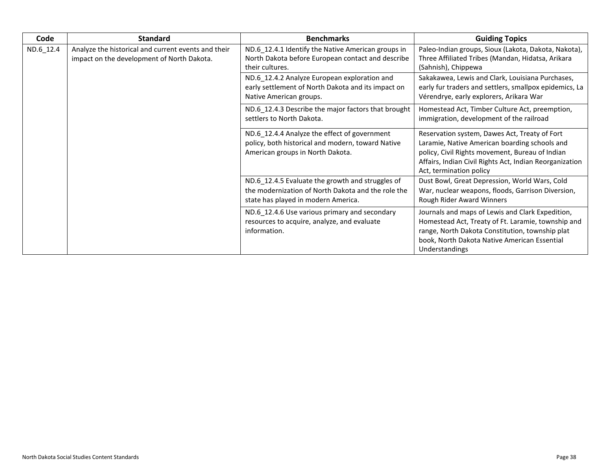| Code      | <b>Standard</b>                                                                                   | <b>Benchmarks</b>                                                                                                                             | <b>Guiding Topics</b>                                                                                                                                                                                                                   |
|-----------|---------------------------------------------------------------------------------------------------|-----------------------------------------------------------------------------------------------------------------------------------------------|-----------------------------------------------------------------------------------------------------------------------------------------------------------------------------------------------------------------------------------------|
| ND.6_12.4 | Analyze the historical and current events and their<br>impact on the development of North Dakota. | ND.6_12.4.1 Identify the Native American groups in<br>North Dakota before European contact and describe<br>their cultures.                    | Paleo-Indian groups, Sioux (Lakota, Dakota, Nakota),<br>Three Affiliated Tribes (Mandan, Hidatsa, Arikara<br>(Sahnish), Chippewa                                                                                                        |
|           |                                                                                                   | ND.6_12.4.2 Analyze European exploration and<br>early settlement of North Dakota and its impact on<br>Native American groups.                 | Sakakawea, Lewis and Clark, Louisiana Purchases,<br>early fur traders and settlers, smallpox epidemics, La<br>Vérendrye, early explorers, Arikara War                                                                                   |
|           |                                                                                                   | ND.6_12.4.3 Describe the major factors that brought<br>settlers to North Dakota.                                                              | Homestead Act, Timber Culture Act, preemption,<br>immigration, development of the railroad                                                                                                                                              |
|           |                                                                                                   | ND.6_12.4.4 Analyze the effect of government<br>policy, both historical and modern, toward Native<br>American groups in North Dakota.         | Reservation system, Dawes Act, Treaty of Fort<br>Laramie, Native American boarding schools and<br>policy, Civil Rights movement, Bureau of Indian<br>Affairs, Indian Civil Rights Act, Indian Reorganization<br>Act, termination policy |
|           |                                                                                                   | ND.6_12.4.5 Evaluate the growth and struggles of<br>the modernization of North Dakota and the role the<br>state has played in modern America. | Dust Bowl, Great Depression, World Wars, Cold<br>War, nuclear weapons, floods, Garrison Diversion,<br>Rough Rider Award Winners                                                                                                         |
|           |                                                                                                   | ND.6_12.4.6 Use various primary and secondary<br>resources to acquire, analyze, and evaluate<br>information.                                  | Journals and maps of Lewis and Clark Expedition,<br>Homestead Act, Treaty of Ft. Laramie, township and<br>range, North Dakota Constitution, township plat<br>book, North Dakota Native American Essential<br><b>Understandings</b>      |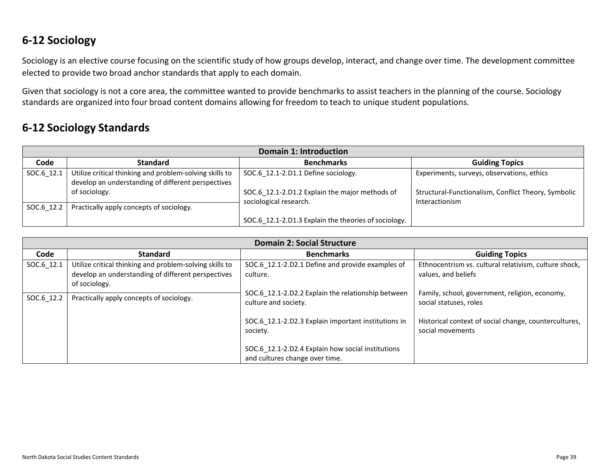# **6-12 Sociology**

Sociology is an elective course focusing on the scientific study of how groups develop, interact, and change over time. The development committee elected to provide two broad anchor standards that apply to each domain.

Given that sociology is not a core area, the committee wanted to provide benchmarks to assist teachers in the planning of the course. Sociology standards are organized into four broad content domains allowing for freedom to teach to unique student populations.

## <span id="page-39-0"></span>**6-12 Sociology Standards**

| <b>Domain 1: Introduction</b> |                                                                                                               |                                                                          |                                                                       |  |
|-------------------------------|---------------------------------------------------------------------------------------------------------------|--------------------------------------------------------------------------|-----------------------------------------------------------------------|--|
| Code                          | <b>Standard</b>                                                                                               | <b>Benchmarks</b>                                                        | <b>Guiding Topics</b>                                                 |  |
| SOC.6 12.1                    | Utilize critical thinking and problem-solving skills to<br>develop an understanding of different perspectives | SOC.6 12.1-2.D1.1 Define sociology.                                      | Experiments, surveys, observations, ethics                            |  |
|                               | of sociology.                                                                                                 | SOC.6 12.1-2.D1.2 Explain the major methods of<br>sociological research. | Structural-Functionalism, Conflict Theory, Symbolic<br>Interactionism |  |
| SOC.6 12.2                    | Practically apply concepts of sociology.                                                                      |                                                                          |                                                                       |  |
|                               |                                                                                                               | SOC.6 12.1-2.D1.3 Explain the theories of sociology.                     |                                                                       |  |

| <b>Domain 2: Social Structure</b> |                                                                                                                                |                                                                                     |                                                                              |
|-----------------------------------|--------------------------------------------------------------------------------------------------------------------------------|-------------------------------------------------------------------------------------|------------------------------------------------------------------------------|
| Code                              | <b>Standard</b>                                                                                                                | <b>Benchmarks</b>                                                                   | <b>Guiding Topics</b>                                                        |
| SOC.6 12.1                        | Utilize critical thinking and problem-solving skills to<br>develop an understanding of different perspectives<br>of sociology. | SOC.6 12.1-2.D2.1 Define and provide examples of<br>culture.                        | Ethnocentrism vs. cultural relativism, culture shock,<br>values, and beliefs |
| SOC.6 12.2                        | Practically apply concepts of sociology.                                                                                       | SOC.6 12.1-2.D2.2 Explain the relationship between<br>culture and society.          | Family, school, government, religion, economy,<br>social statuses, roles     |
|                                   |                                                                                                                                | SOC.6 12.1-2.D2.3 Explain important institutions in<br>society.                     | Historical context of social change, countercultures,<br>social movements    |
|                                   |                                                                                                                                | SOC.6_12.1-2.D2.4 Explain how social institutions<br>and cultures change over time. |                                                                              |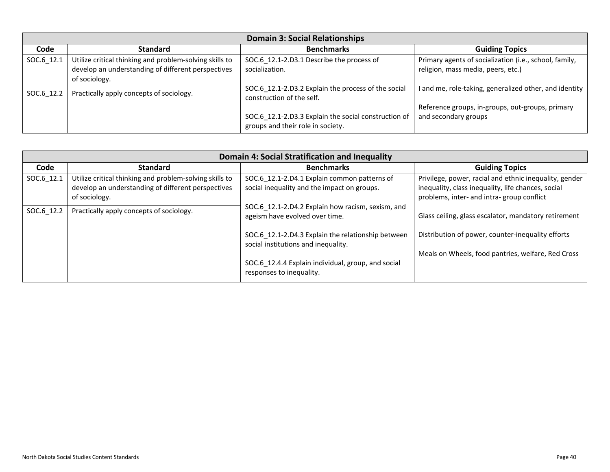| <b>Domain 3: Social Relationships</b> |                                                         |                                                                                           |                                                        |
|---------------------------------------|---------------------------------------------------------|-------------------------------------------------------------------------------------------|--------------------------------------------------------|
| Code                                  | <b>Standard</b>                                         | <b>Benchmarks</b>                                                                         | <b>Guiding Topics</b>                                  |
| SOC.6 12.1                            | Utilize critical thinking and problem-solving skills to | SOC.6 12.1-2.D3.1 Describe the process of                                                 | Primary agents of socialization (i.e., school, family, |
|                                       | develop an understanding of different perspectives      | socialization.                                                                            | religion, mass media, peers, etc.)                     |
|                                       | of sociology.                                           |                                                                                           |                                                        |
| SOC.6 12.2                            | Practically apply concepts of sociology.                | SOC.6 12.1-2.D3.2 Explain the process of the social<br>construction of the self.          | I and me, role-taking, generalized other, and identity |
|                                       |                                                         |                                                                                           | Reference groups, in-groups, out-groups, primary       |
|                                       |                                                         | SOC.6_12.1-2.D3.3 Explain the social construction of<br>groups and their role in society. | and secondary groups                                   |

| Domain 4: Social Stratification and Inequality |                                                                                                                                |                                                                                                                                                                                  |                                                                                                                                                           |
|------------------------------------------------|--------------------------------------------------------------------------------------------------------------------------------|----------------------------------------------------------------------------------------------------------------------------------------------------------------------------------|-----------------------------------------------------------------------------------------------------------------------------------------------------------|
| Code                                           | <b>Standard</b>                                                                                                                | <b>Benchmarks</b>                                                                                                                                                                | <b>Guiding Topics</b>                                                                                                                                     |
| SOC.6_12.1                                     | Utilize critical thinking and problem-solving skills to<br>develop an understanding of different perspectives<br>of sociology. | SOC.6_12.1-2.D4.1 Explain common patterns of<br>social inequality and the impact on groups.                                                                                      | Privilege, power, racial and ethnic inequality, gender<br>inequality, class inequality, life chances, social<br>problems, inter- and intra-group conflict |
| SOC.6 12.2                                     | Practically apply concepts of sociology.                                                                                       | SOC.6_12.1-2.D4.2 Explain how racism, sexism, and<br>ageism have evolved over time.<br>SOC.6_12.1-2.D4.3 Explain the relationship between<br>social institutions and inequality. | Glass ceiling, glass escalator, mandatory retirement<br>Distribution of power, counter-inequality efforts                                                 |
|                                                |                                                                                                                                | SOC.6_12.4.4 Explain individual, group, and social<br>responses to inequality.                                                                                                   | Meals on Wheels, food pantries, welfare, Red Cross                                                                                                        |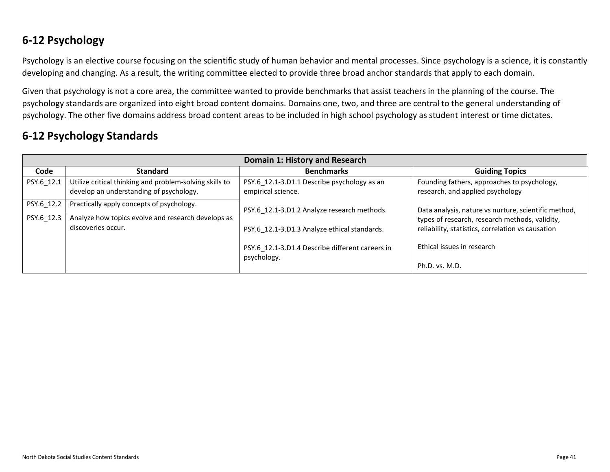# **6-12 Psychology**

Psychology is an elective course focusing on the scientific study of human behavior and mental processes. Since psychology is a science, it is constantly developing and changing. As a result, the writing committee elected to provide three broad anchor standards that apply to each domain.

Given that psychology is not a core area, the committee wanted to provide benchmarks that assist teachers in the planning of the course. The psychology standards are organized into eight broad content domains. Domains one, two, and three are central to the general understanding of psychology. The other five domains address broad content areas to be included in high school psychology as student interest or time dictates.

## <span id="page-41-0"></span>**6-12 Psychology Standards**

| Domain 1: History and Research |                                                                                                    |                                                                   |                                                                                 |
|--------------------------------|----------------------------------------------------------------------------------------------------|-------------------------------------------------------------------|---------------------------------------------------------------------------------|
| Code                           | <b>Standard</b>                                                                                    | <b>Benchmarks</b>                                                 | <b>Guiding Topics</b>                                                           |
| PSY.6 12.1                     | Utilize critical thinking and problem-solving skills to<br>develop an understanding of psychology. | PSY.6 12.1-3.D1.1 Describe psychology as an<br>empirical science. | Founding fathers, approaches to psychology,<br>research, and applied psychology |
| PSY.6 12.2                     | Practically apply concepts of psychology.                                                          | PSY.6 12.1-3.D1.2 Analyze research methods.                       | Data analysis, nature vs nurture, scientific method,                            |
| PSY.6 12.3                     | Analyze how topics evolve and research develops as                                                 |                                                                   | types of research, research methods, validity,                                  |
|                                | discoveries occur.                                                                                 | PSY.6 12.1-3.D1.3 Analyze ethical standards.                      | reliability, statistics, correlation vs causation                               |
|                                |                                                                                                    | PSY.6 12.1-3.D1.4 Describe different careers in                   | Ethical issues in research                                                      |
|                                |                                                                                                    | psychology.                                                       | Ph.D. vs. M.D.                                                                  |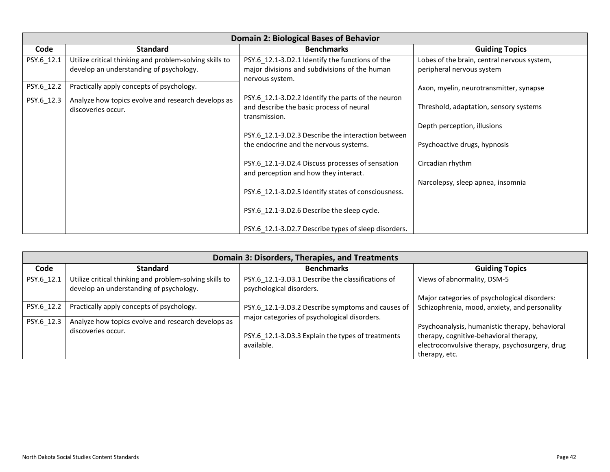| <b>Domain 2: Biological Bases of Behavior</b> |                                                                                                    |                                                                                                  |                                                                          |  |  |  |
|-----------------------------------------------|----------------------------------------------------------------------------------------------------|--------------------------------------------------------------------------------------------------|--------------------------------------------------------------------------|--|--|--|
| Code                                          | <b>Standard</b>                                                                                    | <b>Benchmarks</b>                                                                                | <b>Guiding Topics</b>                                                    |  |  |  |
| PSY.6_12.1                                    | Utilize critical thinking and problem-solving skills to<br>develop an understanding of psychology. | PSY.6_12.1-3.D2.1 Identify the functions of the<br>major divisions and subdivisions of the human | Lobes of the brain, central nervous system,<br>peripheral nervous system |  |  |  |
| PSY.6_12.2                                    | Practically apply concepts of psychology.                                                          | nervous system.                                                                                  | Axon, myelin, neurotransmitter, synapse                                  |  |  |  |
| PSY.6 12.3                                    | Analyze how topics evolve and research develops as<br>discoveries occur.                           | PSY.6_12.1-3.D2.2 Identify the parts of the neuron<br>and describe the basic process of neural   | Threshold, adaptation, sensory systems                                   |  |  |  |
|                                               |                                                                                                    | transmission.<br>PSY.6_12.1-3.D2.3 Describe the interaction between                              | Depth perception, illusions                                              |  |  |  |
|                                               |                                                                                                    | the endocrine and the nervous systems.                                                           | Psychoactive drugs, hypnosis                                             |  |  |  |
|                                               |                                                                                                    | PSY.6_12.1-3.D2.4 Discuss processes of sensation<br>and perception and how they interact.        | Circadian rhythm                                                         |  |  |  |
|                                               |                                                                                                    | PSY.6_12.1-3.D2.5 Identify states of consciousness.                                              | Narcolepsy, sleep apnea, insomnia                                        |  |  |  |
|                                               |                                                                                                    | PSY.6 12.1-3.D2.6 Describe the sleep cycle.                                                      |                                                                          |  |  |  |
|                                               |                                                                                                    | PSY.6 12.1-3.D2.7 Describe types of sleep disorders.                                             |                                                                          |  |  |  |

| Domain 3: Disorders, Therapies, and Treatments |                                                                                                    |                                                                                                                 |                                                                                                                                                             |  |  |  |
|------------------------------------------------|----------------------------------------------------------------------------------------------------|-----------------------------------------------------------------------------------------------------------------|-------------------------------------------------------------------------------------------------------------------------------------------------------------|--|--|--|
| Code                                           | <b>Standard</b>                                                                                    | <b>Benchmarks</b>                                                                                               | <b>Guiding Topics</b>                                                                                                                                       |  |  |  |
| PSY.6_12.1                                     | Utilize critical thinking and problem-solving skills to<br>develop an understanding of psychology. | PSY.6 12.1-3.D3.1 Describe the classifications of<br>psychological disorders.                                   | Views of abnormality, DSM-5                                                                                                                                 |  |  |  |
| PSY.6 12.2                                     | Practically apply concepts of psychology.                                                          | PSY.6_12.1-3.D3.2 Describe symptoms and causes of                                                               | Major categories of psychological disorders:<br>Schizophrenia, mood, anxiety, and personality                                                               |  |  |  |
| PSY.6 12.3                                     | Analyze how topics evolve and research develops as<br>discoveries occur.                           | major categories of psychological disorders.<br>PSY.6 12.1-3.D3.3 Explain the types of treatments<br>available. | Psychoanalysis, humanistic therapy, behavioral<br>therapy, cognitive-behavioral therapy,<br>electroconvulsive therapy, psychosurgery, drug<br>therapy, etc. |  |  |  |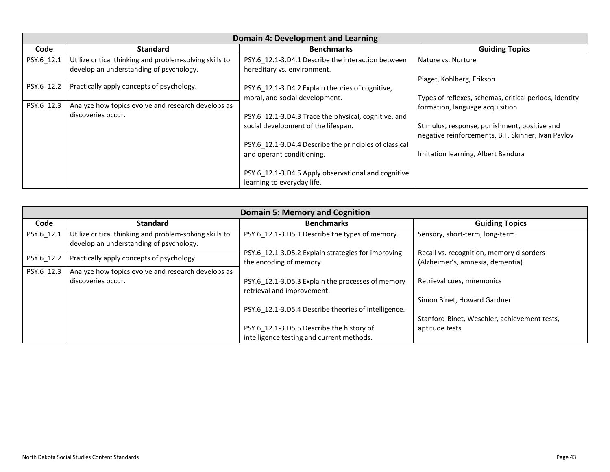|            | Domain 4: Development and Learning                                                                 |                                                                                     |                                                                                                    |  |  |  |  |
|------------|----------------------------------------------------------------------------------------------------|-------------------------------------------------------------------------------------|----------------------------------------------------------------------------------------------------|--|--|--|--|
| Code       | <b>Standard</b>                                                                                    | <b>Benchmarks</b>                                                                   | <b>Guiding Topics</b>                                                                              |  |  |  |  |
| PSY.6 12.1 | Utilize critical thinking and problem-solving skills to<br>develop an understanding of psychology. | PSY.6_12.1-3.D4.1 Describe the interaction between<br>hereditary vs. environment.   | Nature vs. Nurture                                                                                 |  |  |  |  |
| PSY.6 12.2 | Practically apply concepts of psychology.                                                          | PSY.6 12.1-3.D4.2 Explain theories of cognitive,<br>moral, and social development.  | Piaget, Kohlberg, Erikson<br>Types of reflexes, schemas, critical periods, identity                |  |  |  |  |
| PSY.6_12.3 | Analyze how topics evolve and research develops as<br>discoveries occur.                           | PSY.6 12.1-3.D4.3 Trace the physical, cognitive, and                                | formation, language acquisition                                                                    |  |  |  |  |
|            |                                                                                                    | social development of the lifespan.                                                 | Stimulus, response, punishment, positive and<br>negative reinforcements, B.F. Skinner, Ivan Pavlov |  |  |  |  |
|            |                                                                                                    | PSY.6 12.1-3.D4.4 Describe the principles of classical<br>and operant conditioning. | Imitation learning, Albert Bandura                                                                 |  |  |  |  |
|            |                                                                                                    | PSY.6_12.1-3.D4.5 Apply observational and cognitive<br>learning to everyday life.   |                                                                                                    |  |  |  |  |

|            | <b>Domain 5: Memory and Cognition</b>                                                              |                                                                                 |                                                                              |  |  |  |  |
|------------|----------------------------------------------------------------------------------------------------|---------------------------------------------------------------------------------|------------------------------------------------------------------------------|--|--|--|--|
| Code       | <b>Standard</b>                                                                                    | <b>Benchmarks</b>                                                               | <b>Guiding Topics</b>                                                        |  |  |  |  |
| PSY.6_12.1 | Utilize critical thinking and problem-solving skills to<br>develop an understanding of psychology. | PSY.6 12.1-3.D5.1 Describe the types of memory.                                 | Sensory, short-term, long-term                                               |  |  |  |  |
| PSY.6 12.2 | Practically apply concepts of psychology.                                                          | PSY.6 12.1-3.D5.2 Explain strategies for improving<br>the encoding of memory.   | Recall vs. recognition, memory disorders<br>(Alzheimer's, amnesia, dementia) |  |  |  |  |
| PSY.6 12.3 | Analyze how topics evolve and research develops as                                                 |                                                                                 |                                                                              |  |  |  |  |
|            | discoveries occur.                                                                                 | PSY.6 12.1-3.D5.3 Explain the processes of memory<br>retrieval and improvement. | Retrieval cues, mnemonics                                                    |  |  |  |  |
|            |                                                                                                    |                                                                                 | Simon Binet, Howard Gardner                                                  |  |  |  |  |
|            |                                                                                                    | PSY.6 12.1-3.D5.4 Describe theories of intelligence.                            |                                                                              |  |  |  |  |
|            |                                                                                                    |                                                                                 | Stanford-Binet, Weschler, achievement tests,                                 |  |  |  |  |
|            |                                                                                                    | PSY.6 12.1-3.D5.5 Describe the history of                                       | aptitude tests                                                               |  |  |  |  |
|            |                                                                                                    | intelligence testing and current methods.                                       |                                                                              |  |  |  |  |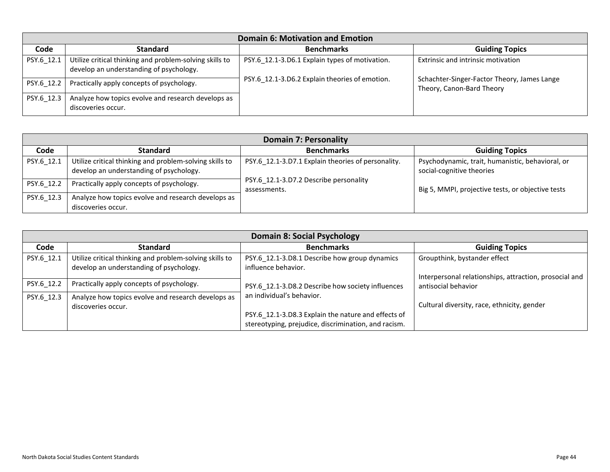| <b>Domain 6: Motivation and Emotion</b> |                                                                                                    |                                                |                                                                          |  |  |  |
|-----------------------------------------|----------------------------------------------------------------------------------------------------|------------------------------------------------|--------------------------------------------------------------------------|--|--|--|
| Code                                    | <b>Standard</b>                                                                                    | <b>Benchmarks</b>                              | <b>Guiding Topics</b>                                                    |  |  |  |
| PSY.6 12.1                              | Utilize critical thinking and problem-solving skills to<br>develop an understanding of psychology. | PSY.6 12.1-3.D6.1 Explain types of motivation. | Extrinsic and intrinsic motivation                                       |  |  |  |
| PSY.6 12.2                              | Practically apply concepts of psychology.                                                          | PSY.6 12.1-3.D6.2 Explain theories of emotion. | Schachter-Singer-Factor Theory, James Lange<br>Theory, Canon-Bard Theory |  |  |  |
| PSY.6 12.3                              | Analyze how topics evolve and research develops as<br>discoveries occur.                           |                                                |                                                                          |  |  |  |

|            | <b>Domain 7: Personality</b>                                                                       |                                                        |                                                                               |  |  |  |  |
|------------|----------------------------------------------------------------------------------------------------|--------------------------------------------------------|-------------------------------------------------------------------------------|--|--|--|--|
| Code       | <b>Standard</b>                                                                                    | <b>Benchmarks</b>                                      | <b>Guiding Topics</b>                                                         |  |  |  |  |
| PSY.6 12.1 | Utilize critical thinking and problem-solving skills to<br>develop an understanding of psychology. | PSY.6 12.1-3.D7.1 Explain theories of personality.     | Psychodynamic, trait, humanistic, behavioral, or<br>social-cognitive theories |  |  |  |  |
| PSY.6 12.2 | Practically apply concepts of psychology.                                                          | PSY.6 12.1-3.D7.2 Describe personality<br>assessments. | Big 5, MMPI, projective tests, or objective tests                             |  |  |  |  |
| PSY.6 12.3 | Analyze how topics evolve and research develops as<br>discoveries occur.                           |                                                        |                                                                               |  |  |  |  |

| <b>Domain 8: Social Psychology</b> |                                                                                                    |                                                                                                                                          |                                                                               |  |  |  |
|------------------------------------|----------------------------------------------------------------------------------------------------|------------------------------------------------------------------------------------------------------------------------------------------|-------------------------------------------------------------------------------|--|--|--|
| Code                               | <b>Standard</b>                                                                                    | <b>Benchmarks</b>                                                                                                                        | <b>Guiding Topics</b>                                                         |  |  |  |
| PSY.6 12.1                         | Utilize critical thinking and problem-solving skills to<br>develop an understanding of psychology. | PSY.6 12.1-3.D8.1 Describe how group dynamics<br>influence behavior.                                                                     | Groupthink, bystander effect                                                  |  |  |  |
| PSY.6 12.2                         | Practically apply concepts of psychology.                                                          | PSY.6 12.1-3.D8.2 Describe how society influences                                                                                        | Interpersonal relationships, attraction, prosocial and<br>antisocial behavior |  |  |  |
| PSY.6_12.3                         | Analyze how topics evolve and research develops as<br>discoveries occur.                           | an individual's behavior.<br>PSY.6 12.1-3.D8.3 Explain the nature and effects of<br>stereotyping, prejudice, discrimination, and racism. | Cultural diversity, race, ethnicity, gender                                   |  |  |  |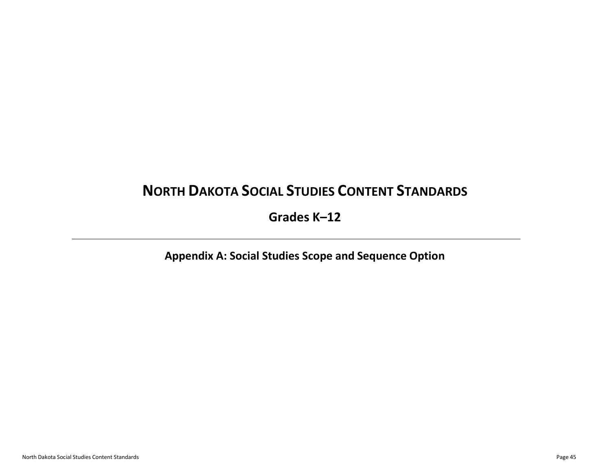# **NORTH DAKOTA SOCIAL STUDIES CONTENT STANDARDS**

**Grades K–12**

**Appendix A: Social Studies Scope and Sequence Option**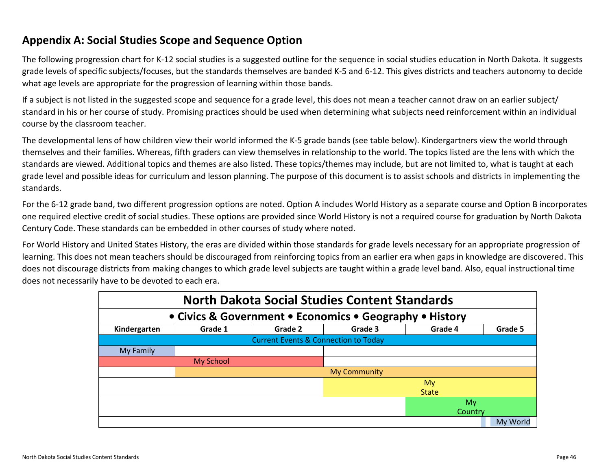# <span id="page-46-0"></span>**Appendix A: Social Studies Scope and Sequence Option**

The following progression chart for K-12 social studies is a suggested outline for the sequence in social studies education in North Dakota. It suggests grade levels of specific subjects/focuses, but the standards themselves are banded K-5 and 6-12. This gives districts and teachers autonomy to decide what age levels are appropriate for the progression of learning within those bands.

If a subject is not listed in the suggested scope and sequence for a grade level, this does not mean a teacher cannot draw on an earlier subject/ standard in his or her course of study. Promising practices should be used when determining what subjects need reinforcement within an individual course by the classroom teacher.

The developmental lens of how children view their world informed the K-5 grade bands (see table below). Kindergartners view the world through themselves and their families. Whereas, fifth graders can view themselves in relationship to the world. The topics listed are the lens with which the standards are viewed. Additional topics and themes are also listed. These topics/themes may include, but are not limited to, what is taught at each grade level and possible ideas for curriculum and lesson planning. The purpose of this document is to assist schools and districts in implementing the standards.

For the 6-12 grade band, two different progression options are noted. Option A includes World History as a separate course and Option B incorporates one required elective credit of social studies. These options are provided since World History is not a required course for graduation by North Dakota Century Code. These standards can be embedded in other courses of study where noted.

For World History and United States History, the eras are divided within those standards for grade levels necessary for an appropriate progression of learning. This does not mean teachers should be discouraged from reinforcing topics from an earlier era when gaps in knowledge are discovered. This does not discourage districts from making changes to which grade level subjects are taught within a grade level band. Also, equal instructional time does not necessarily have to be devoted to each era.

| <b>North Dakota Social Studies Content Standards</b>                |                                                         |  |                     |              |          |  |
|---------------------------------------------------------------------|---------------------------------------------------------|--|---------------------|--------------|----------|--|
|                                                                     | • Civics & Government • Economics • Geography • History |  |                     |              |          |  |
| Grade 4<br>Grade 2<br>Grade 3<br>Grade 5<br>Kindergarten<br>Grade 1 |                                                         |  |                     |              |          |  |
|                                                                     | <b>Current Events &amp; Connection to Today</b>         |  |                     |              |          |  |
| My Family                                                           |                                                         |  |                     |              |          |  |
|                                                                     | <b>My School</b>                                        |  |                     |              |          |  |
|                                                                     |                                                         |  | <b>My Community</b> |              |          |  |
|                                                                     |                                                         |  |                     | My           |          |  |
|                                                                     |                                                         |  |                     | <b>State</b> |          |  |
|                                                                     | My                                                      |  |                     |              |          |  |
|                                                                     |                                                         |  |                     | Country      |          |  |
|                                                                     |                                                         |  |                     |              | My World |  |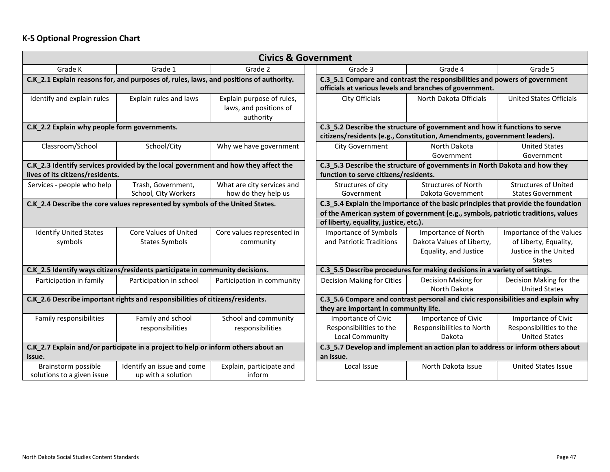## **K-5 Optional Progression Chart**

| <b>Civics &amp; Government</b>                                                     |                                                                                        |                                                                  |                                                                                                                            |                                                                                                                                                        |                                                 |  |
|------------------------------------------------------------------------------------|----------------------------------------------------------------------------------------|------------------------------------------------------------------|----------------------------------------------------------------------------------------------------------------------------|--------------------------------------------------------------------------------------------------------------------------------------------------------|-------------------------------------------------|--|
| Grade K                                                                            | Grade 1                                                                                | Grade 2                                                          | Grade 3                                                                                                                    | Grade 4                                                                                                                                                | Grade 5                                         |  |
|                                                                                    | C.K_2.1 Explain reasons for, and purposes of, rules, laws, and positions of authority. |                                                                  |                                                                                                                            | C.3_5.1 Compare and contrast the responsibilities and powers of government<br>officials at various levels and branches of government.                  |                                                 |  |
| Identify and explain rules                                                         | Explain rules and laws                                                                 | Explain purpose of rules,<br>laws, and positions of<br>authority | City Officials                                                                                                             | North Dakota Officials                                                                                                                                 | <b>United States Officials</b>                  |  |
| C.K_2.2 Explain why people form governments.                                       |                                                                                        |                                                                  |                                                                                                                            | C.3_5.2 Describe the structure of government and how it functions to serve<br>citizens/residents (e.g., Constitution, Amendments, government leaders). |                                                 |  |
| Classroom/School                                                                   | School/City                                                                            | Why we have government                                           | <b>City Government</b>                                                                                                     | North Dakota                                                                                                                                           | <b>United States</b>                            |  |
|                                                                                    |                                                                                        |                                                                  |                                                                                                                            | Government                                                                                                                                             | Government                                      |  |
| C.K_2.3 Identify services provided by the local government and how they affect the |                                                                                        |                                                                  |                                                                                                                            | C.3_5.3 Describe the structure of governments in North Dakota and how they                                                                             |                                                 |  |
| lives of its citizens/residents.                                                   |                                                                                        |                                                                  | function to serve citizens/residents.                                                                                      |                                                                                                                                                        |                                                 |  |
| Services - people who help                                                         | Trash, Government,                                                                     | What are city services and                                       | Structures of city                                                                                                         | <b>Structures of North</b>                                                                                                                             | <b>Structures of United</b>                     |  |
| School, City Workers<br>how do they help us                                        |                                                                                        |                                                                  | Government                                                                                                                 | Dakota Government                                                                                                                                      | <b>States Government</b>                        |  |
|                                                                                    | C.K_2.4 Describe the core values represented by symbols of the United States.          |                                                                  |                                                                                                                            | C.3_5.4 Explain the importance of the basic principles that provide the foundation                                                                     |                                                 |  |
|                                                                                    |                                                                                        |                                                                  | of the American system of government (e.g., symbols, patriotic traditions, values<br>of liberty, equality, justice, etc.). |                                                                                                                                                        |                                                 |  |
| <b>Identify United States</b>                                                      | Core Values of United                                                                  | Core values represented in                                       | Importance of Symbols                                                                                                      | Importance of North                                                                                                                                    | Importance of the Values                        |  |
| symbols                                                                            | States Symbols                                                                         | community                                                        | and Patriotic Traditions                                                                                                   | Dakota Values of Liberty,                                                                                                                              | of Liberty, Equality,                           |  |
|                                                                                    |                                                                                        |                                                                  |                                                                                                                            | Equality, and Justice                                                                                                                                  | Justice in the United<br><b>States</b>          |  |
|                                                                                    | C.K_2.5 Identify ways citizens/residents participate in community decisions.           |                                                                  |                                                                                                                            | C.3_5.5 Describe procedures for making decisions in a variety of settings.                                                                             |                                                 |  |
| Participation in family                                                            | Participation in school                                                                | Participation in community                                       | Decision Making for Cities                                                                                                 | Decision Making for<br>North Dakota                                                                                                                    | Decision Making for the<br><b>United States</b> |  |
|                                                                                    | C.K_2.6 Describe important rights and responsibilities of citizens/residents.          |                                                                  |                                                                                                                            | C.3_5.6 Compare and contrast personal and civic responsibilities and explain why                                                                       |                                                 |  |
|                                                                                    |                                                                                        |                                                                  | they are important in community life.                                                                                      |                                                                                                                                                        |                                                 |  |
| Family responsibilities                                                            | Family and school                                                                      | School and community                                             | Importance of Civic                                                                                                        | Importance of Civic                                                                                                                                    | Importance of Civic                             |  |
|                                                                                    | responsibilities                                                                       | responsibilities                                                 | Responsibilities to the                                                                                                    | Responsibilities to North                                                                                                                              | Responsibilities to the                         |  |
|                                                                                    |                                                                                        |                                                                  | Local Community                                                                                                            | Dakota                                                                                                                                                 | <b>United States</b>                            |  |
| issue.                                                                             | C.K_2.7 Explain and/or participate in a project to help or inform others about an      |                                                                  |                                                                                                                            | C.3_5.7 Develop and implement an action plan to address or inform others about                                                                         |                                                 |  |
| Brainstorm possible                                                                | Identify an issue and come                                                             | Explain, participate and                                         | Local Issue                                                                                                                | North Dakota Issue                                                                                                                                     | <b>United States Issue</b>                      |  |
| solutions to a given issue                                                         | up with a solution                                                                     | inform                                                           |                                                                                                                            |                                                                                                                                                        |                                                 |  |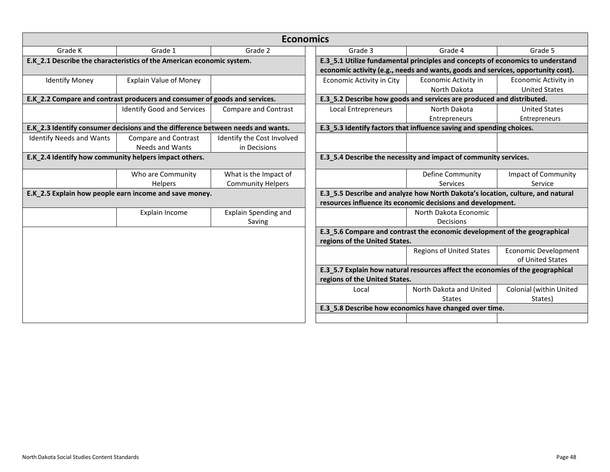|                                                       | <b>Economics</b>                                                                |                             |                                                                                |                                                                                  |                             |  |  |  |
|-------------------------------------------------------|---------------------------------------------------------------------------------|-----------------------------|--------------------------------------------------------------------------------|----------------------------------------------------------------------------------|-----------------------------|--|--|--|
| Grade K                                               | Grade 1                                                                         | Grade 2                     | Grade 3                                                                        | Grade 4                                                                          | Grade 5                     |  |  |  |
|                                                       | E.K_2.1 Describe the characteristics of the American economic system.           |                             |                                                                                | E.3_5.1 Utilize fundamental principles and concepts of economics to understand   |                             |  |  |  |
|                                                       |                                                                                 |                             |                                                                                | economic activity (e.g., needs and wants, goods and services, opportunity cost). |                             |  |  |  |
| <b>Identify Money</b>                                 | <b>Explain Value of Money</b>                                                   |                             | Economic Activity in City                                                      | Economic Activity in                                                             | Economic Activity in        |  |  |  |
|                                                       |                                                                                 |                             |                                                                                | North Dakota                                                                     | <b>United States</b>        |  |  |  |
|                                                       | E.K_2.2 Compare and contrast producers and consumer of goods and services.      |                             |                                                                                | E.3_5.2 Describe how goods and services are produced and distributed.            |                             |  |  |  |
|                                                       | Identify Good and Services                                                      | Compare and Contrast        | Local Entrepreneurs                                                            | North Dakota                                                                     | <b>United States</b>        |  |  |  |
|                                                       |                                                                                 |                             |                                                                                | Entrepreneurs                                                                    | Entrepreneurs               |  |  |  |
|                                                       | E.K_2.3 Identify consumer decisions and the difference between needs and wants. |                             |                                                                                | E.3 5.3 Identify factors that influence saving and spending choices.             |                             |  |  |  |
| <b>Identify Needs and Wants</b>                       | <b>Compare and Contrast</b>                                                     | Identify the Cost Involved  |                                                                                |                                                                                  |                             |  |  |  |
|                                                       | <b>Needs and Wants</b>                                                          | in Decisions                |                                                                                |                                                                                  |                             |  |  |  |
| E.K_2.4 Identify how community helpers impact others. |                                                                                 |                             | E.3_5.4 Describe the necessity and impact of community services.               |                                                                                  |                             |  |  |  |
|                                                       | Who are Community                                                               | What is the Impact of       |                                                                                | Define Community                                                                 | <b>Impact of Community</b>  |  |  |  |
|                                                       | <b>Helpers</b>                                                                  | <b>Community Helpers</b>    |                                                                                | Services                                                                         | Service                     |  |  |  |
|                                                       | E.K_2.5 Explain how people earn income and save money.                          |                             | E.3_5.5 Describe and analyze how North Dakota's location, culture, and natural |                                                                                  |                             |  |  |  |
|                                                       |                                                                                 |                             | resources influence its economic decisions and development.                    |                                                                                  |                             |  |  |  |
|                                                       | Explain Income                                                                  | <b>Explain Spending and</b> |                                                                                | North Dakota Economic                                                            |                             |  |  |  |
|                                                       |                                                                                 | Saving                      |                                                                                | <b>Decisions</b>                                                                 |                             |  |  |  |
|                                                       |                                                                                 |                             |                                                                                | E.3_5.6 Compare and contrast the economic development of the geographical        |                             |  |  |  |
|                                                       |                                                                                 |                             | regions of the United States.                                                  |                                                                                  |                             |  |  |  |
|                                                       |                                                                                 |                             |                                                                                | <b>Regions of United States</b>                                                  | <b>Economic Development</b> |  |  |  |
|                                                       |                                                                                 |                             |                                                                                |                                                                                  | of United States            |  |  |  |
|                                                       |                                                                                 |                             |                                                                                | E.3_5.7 Explain how natural resources affect the economies of the geographical   |                             |  |  |  |
|                                                       |                                                                                 |                             | regions of the United States.                                                  |                                                                                  |                             |  |  |  |
|                                                       |                                                                                 |                             | Local                                                                          | North Dakota and United                                                          | Colonial (within United     |  |  |  |
|                                                       |                                                                                 |                             |                                                                                | <b>States</b>                                                                    | States)                     |  |  |  |
|                                                       |                                                                                 |                             |                                                                                | E.3_5.8 Describe how economics have changed over time.                           |                             |  |  |  |
|                                                       |                                                                                 |                             |                                                                                |                                                                                  |                             |  |  |  |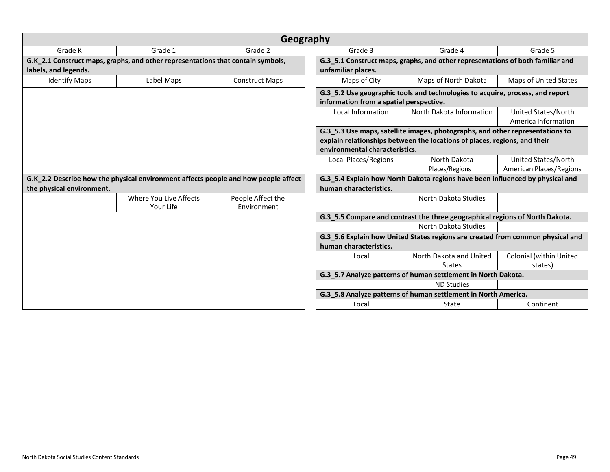|                           | Geography                                                                          |                                  |                                                                                                                          |                                                                                                                                                            |                                                       |  |  |  |
|---------------------------|------------------------------------------------------------------------------------|----------------------------------|--------------------------------------------------------------------------------------------------------------------------|------------------------------------------------------------------------------------------------------------------------------------------------------------|-------------------------------------------------------|--|--|--|
| Grade K                   | Grade 1                                                                            | Grade 2                          | Grade 3                                                                                                                  | Grade 4                                                                                                                                                    | Grade 5                                               |  |  |  |
| labels, and legends.      | G.K_2.1 Construct maps, graphs, and other representations that contain symbols,    |                                  | unfamiliar places.                                                                                                       | G.3_5.1 Construct maps, graphs, and other representations of both familiar and                                                                             |                                                       |  |  |  |
| <b>Identify Maps</b>      | Label Maps                                                                         | <b>Construct Maps</b>            | Maps of City                                                                                                             | Maps of North Dakota                                                                                                                                       | <b>Maps of United States</b>                          |  |  |  |
|                           |                                                                                    |                                  | G.3_5.2 Use geographic tools and technologies to acquire, process, and report<br>information from a spatial perspective. |                                                                                                                                                            |                                                       |  |  |  |
|                           |                                                                                    |                                  | Local Information                                                                                                        | North Dakota Information                                                                                                                                   | United States/North<br>America Information            |  |  |  |
|                           |                                                                                    |                                  | environmental characteristics.                                                                                           | G.3_5.3 Use maps, satellite images, photographs, and other representations to<br>explain relationships between the locations of places, regions, and their |                                                       |  |  |  |
|                           |                                                                                    |                                  | Local Places/Regions                                                                                                     | North Dakota<br>Places/Regions                                                                                                                             | United States/North<br><b>American Places/Regions</b> |  |  |  |
| the physical environment. | G.K_2.2 Describe how the physical environment affects people and how people affect |                                  | G.3_5.4 Explain how North Dakota regions have been influenced by physical and<br>human characteristics.                  |                                                                                                                                                            |                                                       |  |  |  |
|                           | Where You Live Affects<br>Your Life                                                | People Affect the<br>Environment |                                                                                                                          | North Dakota Studies                                                                                                                                       |                                                       |  |  |  |
|                           |                                                                                    |                                  | G.3_5.5 Compare and contrast the three geographical regions of North Dakota.                                             |                                                                                                                                                            |                                                       |  |  |  |
|                           |                                                                                    |                                  |                                                                                                                          | North Dakota Studies                                                                                                                                       |                                                       |  |  |  |
|                           |                                                                                    |                                  | human characteristics.                                                                                                   | G.3_5.6 Explain how United States regions are created from common physical and                                                                             |                                                       |  |  |  |
|                           |                                                                                    |                                  | Local                                                                                                                    | North Dakota and United<br><b>States</b>                                                                                                                   | Colonial (within United<br>states)                    |  |  |  |
|                           |                                                                                    |                                  | G.3_5.7 Analyze patterns of human settlement in North Dakota.                                                            |                                                                                                                                                            |                                                       |  |  |  |
|                           |                                                                                    |                                  |                                                                                                                          | <b>ND Studies</b>                                                                                                                                          |                                                       |  |  |  |
|                           |                                                                                    |                                  |                                                                                                                          | G.3_5.8 Analyze patterns of human settlement in North America.                                                                                             |                                                       |  |  |  |
|                           |                                                                                    |                                  | Local                                                                                                                    | State                                                                                                                                                      | Continent                                             |  |  |  |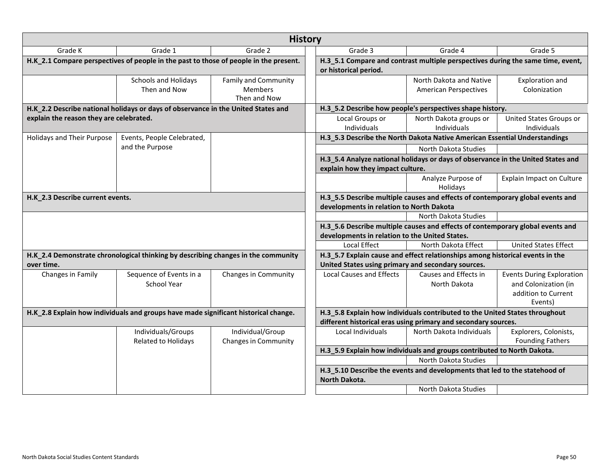| <b>History</b>                          |                                                                                       |                             |  |                                                                                                                            |                                                                                  |                                  |
|-----------------------------------------|---------------------------------------------------------------------------------------|-----------------------------|--|----------------------------------------------------------------------------------------------------------------------------|----------------------------------------------------------------------------------|----------------------------------|
| Grade K                                 | Grade 1                                                                               | Grade 2                     |  | Grade 3                                                                                                                    | Grade 4                                                                          | Grade 5                          |
|                                         | H.K_2.1 Compare perspectives of people in the past to those of people in the present. |                             |  | H.3_5.1 Compare and contrast multiple perspectives during the same time, event,<br>or historical period.                   |                                                                                  |                                  |
|                                         | <b>Schools and Holidays</b>                                                           | <b>Family and Community</b> |  |                                                                                                                            | North Dakota and Native                                                          | Exploration and                  |
|                                         | Then and Now                                                                          | <b>Members</b>              |  |                                                                                                                            | <b>American Perspectives</b>                                                     | Colonization                     |
|                                         |                                                                                       | Then and Now                |  |                                                                                                                            |                                                                                  |                                  |
|                                         | H.K_2.2 Describe national holidays or days of observance in the United States and     |                             |  |                                                                                                                            | H.3_5.2 Describe how people's perspectives shape history.                        |                                  |
| explain the reason they are celebrated. |                                                                                       |                             |  | Local Groups or                                                                                                            | North Dakota groups or                                                           | United States Groups or          |
|                                         |                                                                                       |                             |  | Individuals                                                                                                                | Individuals                                                                      | Individuals                      |
| <b>Holidays and Their Purpose</b>       | Events, People Celebrated,                                                            |                             |  |                                                                                                                            | H.3_5.3 Describe the North Dakota Native American Essential Understandings       |                                  |
|                                         | and the Purpose                                                                       |                             |  |                                                                                                                            | North Dakota Studies                                                             |                                  |
|                                         |                                                                                       |                             |  |                                                                                                                            | H.3_5.4 Analyze national holidays or days of observance in the United States and |                                  |
|                                         |                                                                                       |                             |  | explain how they impact culture.                                                                                           |                                                                                  |                                  |
|                                         |                                                                                       |                             |  |                                                                                                                            | Analyze Purpose of                                                               | <b>Explain Impact on Culture</b> |
|                                         |                                                                                       |                             |  |                                                                                                                            | Holidays                                                                         |                                  |
| H.K_2.3 Describe current events.        |                                                                                       |                             |  | H.3_5.5 Describe multiple causes and effects of contemporary global events and<br>developments in relation to North Dakota |                                                                                  |                                  |
|                                         |                                                                                       |                             |  |                                                                                                                            | North Dakota Studies                                                             |                                  |
|                                         |                                                                                       |                             |  |                                                                                                                            | H.3_5.6 Describe multiple causes and effects of contemporary global events and   |                                  |
|                                         |                                                                                       |                             |  | developments in relation to the United States.                                                                             |                                                                                  |                                  |
|                                         |                                                                                       |                             |  | <b>Local Effect</b>                                                                                                        | North Dakota Effect                                                              | <b>United States Effect</b>      |
|                                         | H.K_2.4 Demonstrate chronological thinking by describing changes in the community     |                             |  |                                                                                                                            | H.3_5.7 Explain cause and effect relationships among historical events in the    |                                  |
| over time.                              |                                                                                       |                             |  | United States using primary and secondary sources.                                                                         |                                                                                  |                                  |
| Changes in Family                       | Sequence of Events in a                                                               | Changes in Community        |  | <b>Local Causes and Effects</b>                                                                                            | Causes and Effects in                                                            | <b>Events During Exploration</b> |
|                                         | School Year                                                                           |                             |  |                                                                                                                            | North Dakota                                                                     | and Colonization (in             |
|                                         |                                                                                       |                             |  |                                                                                                                            |                                                                                  | addition to Current              |
|                                         |                                                                                       |                             |  |                                                                                                                            |                                                                                  | Events)                          |
|                                         | H.K_2.8 Explain how individuals and groups have made significant historical change.   |                             |  |                                                                                                                            | H.3_5.8 Explain how individuals contributed to the United States throughout      |                                  |
|                                         |                                                                                       |                             |  |                                                                                                                            | different historical eras using primary and secondary sources.                   |                                  |
|                                         | Individuals/Groups                                                                    | Individual/Group            |  | Local Individuals                                                                                                          | North Dakota Individuals                                                         | Explorers, Colonists,            |
|                                         | <b>Related to Holidays</b>                                                            | Changes in Community        |  |                                                                                                                            |                                                                                  | <b>Founding Fathers</b>          |
|                                         |                                                                                       |                             |  |                                                                                                                            | H.3_5.9 Explain how individuals and groups contributed to North Dakota.          |                                  |
|                                         |                                                                                       |                             |  |                                                                                                                            | North Dakota Studies                                                             |                                  |
|                                         |                                                                                       |                             |  |                                                                                                                            | H.3_5.10 Describe the events and developments that led to the statehood of       |                                  |
|                                         |                                                                                       |                             |  | North Dakota.                                                                                                              |                                                                                  |                                  |
|                                         |                                                                                       |                             |  |                                                                                                                            | North Dakota Studies                                                             |                                  |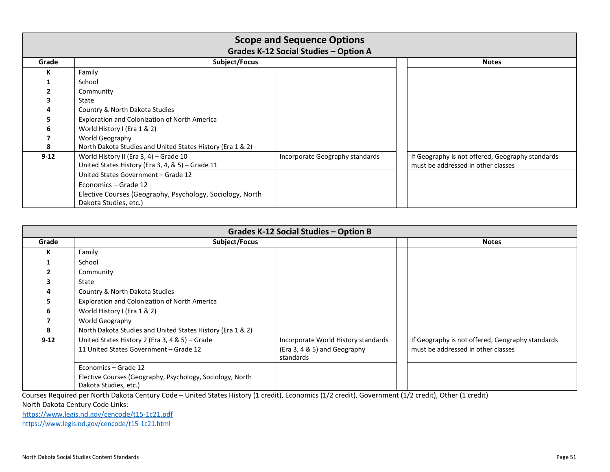|          | <b>Scope and Sequence Options</b><br><b>Grades K-12 Social Studies - Option A</b>          |                                 |  |                                                                                        |
|----------|--------------------------------------------------------------------------------------------|---------------------------------|--|----------------------------------------------------------------------------------------|
| Grade    | Subject/Focus                                                                              |                                 |  | <b>Notes</b>                                                                           |
|          | Family                                                                                     |                                 |  |                                                                                        |
|          | School                                                                                     |                                 |  |                                                                                        |
|          | Community                                                                                  |                                 |  |                                                                                        |
|          | State                                                                                      |                                 |  |                                                                                        |
|          | Country & North Dakota Studies                                                             |                                 |  |                                                                                        |
|          | <b>Exploration and Colonization of North America</b>                                       |                                 |  |                                                                                        |
|          | World History I (Era 1 & 2)                                                                |                                 |  |                                                                                        |
|          | World Geography                                                                            |                                 |  |                                                                                        |
|          | North Dakota Studies and United States History (Era 1 & 2)                                 |                                 |  |                                                                                        |
| $9 - 12$ | World History II (Era 3, 4) – Grade 10<br>United States History (Era 3, 4, & 5) - Grade 11 | Incorporate Geography standards |  | If Geography is not offered, Geography standards<br>must be addressed in other classes |
|          | United States Government - Grade 12                                                        |                                 |  |                                                                                        |
|          | Economics – Grade 12                                                                       |                                 |  |                                                                                        |
|          | Elective Courses (Geography, Psychology, Sociology, North<br>Dakota Studies, etc.)         |                                 |  |                                                                                        |

|          | Grades K-12 Social Studies - Option B                                              |                                           |  |                                                  |
|----------|------------------------------------------------------------------------------------|-------------------------------------------|--|--------------------------------------------------|
| Grade    | Subject/Focus                                                                      |                                           |  | <b>Notes</b>                                     |
| К        | Family                                                                             |                                           |  |                                                  |
|          | School                                                                             |                                           |  |                                                  |
|          | Community                                                                          |                                           |  |                                                  |
|          | State                                                                              |                                           |  |                                                  |
|          | Country & North Dakota Studies                                                     |                                           |  |                                                  |
|          | Exploration and Colonization of North America                                      |                                           |  |                                                  |
|          | World History I (Era 1 & 2)                                                        |                                           |  |                                                  |
|          | World Geography                                                                    |                                           |  |                                                  |
|          | North Dakota Studies and United States History (Era 1 & 2)                         |                                           |  |                                                  |
| $9 - 12$ | United States History 2 (Era 3, 4 & 5) – Grade                                     | Incorporate World History standards       |  | If Geography is not offered, Geography standards |
|          | 11 United States Government - Grade 12                                             | (Era 3, 4 & 5) and Geography<br>standards |  | must be addressed in other classes               |
|          | Economics – Grade 12                                                               |                                           |  |                                                  |
|          | Elective Courses (Geography, Psychology, Sociology, North<br>Dakota Studies, etc.) |                                           |  |                                                  |

Courses Required per North Dakota Century Code – United States History (1 credit), Economics (1/2 credit), Government (1/2 credit), Other (1 credit)

North Dakota Century Code Links:

<https://www.legis.nd.gov/cencode/t15-1c21.pdf>

<https://www.legis.nd.gov/cencode/t15-1c21.html>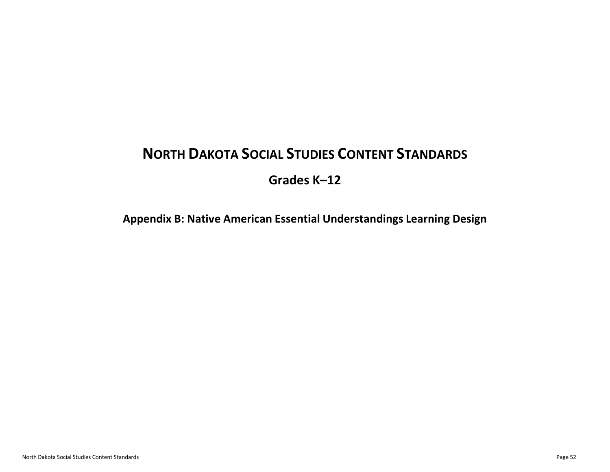# **NORTH DAKOTA SOCIAL STUDIES CONTENT STANDARDS**

# **Grades K–12**

**Appendix B: Native American Essential Understandings Learning Design**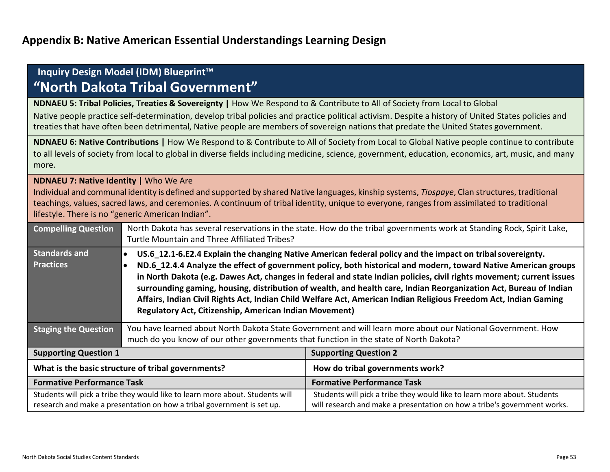# <span id="page-53-0"></span>**Inquiry Design Model (IDM) Blueprint™ "North Dakota Tribal Government"**

**NDNAEU 5: Tribal Policies, Treaties & Sovereignty |** How We Respond to & Contribute to All of Society from Local to Global

Native people practice self-determination, develop tribal policies and practice political activism. Despite a history of United States policies and treaties that have often been detrimental, Native people are members of sovereign nations that predate the United States government.

**NDNAEU 6: Native Contributions |** How We Respond to & Contribute to All of Society from Local to Global Native people continue to contribute to all levels of society from local to global in diverse fields including medicine, science, government, education, economics, art, music, and many more.

**NDNAEU 7: Native Identity |** Who We Are Individual and communal identity is defined and supported by shared Native languages, kinship systems, *Tiospaye*, Clan structures, traditional teachings, values, sacred laws, and ceremonies. A continuum of tribal identity, unique to everyone, ranges from assimilated to traditional lifestyle. There is no "generic American Indian".

| <b>Compelling Question</b>                                                                                                                              | North Dakota has several reservations in the state. How do the tribal governments work at Standing Rock, Spirit Lake,<br>Turtle Mountain and Three Affiliated Tribes?                                                                                                                                                                                                                                                                                                                                                                                                                                                                                                       |                                                                                                                                                      |  |
|---------------------------------------------------------------------------------------------------------------------------------------------------------|-----------------------------------------------------------------------------------------------------------------------------------------------------------------------------------------------------------------------------------------------------------------------------------------------------------------------------------------------------------------------------------------------------------------------------------------------------------------------------------------------------------------------------------------------------------------------------------------------------------------------------------------------------------------------------|------------------------------------------------------------------------------------------------------------------------------------------------------|--|
| <b>Standards and</b><br><b>Practices</b>                                                                                                                | US.6_12.1-6.E2.4 Explain the changing Native American federal policy and the impact on tribal sovereignty.<br>$\bullet$<br>ND.6 12.4.4 Analyze the effect of government policy, both historical and modern, toward Native American groups<br>in North Dakota (e.g. Dawes Act, changes in federal and state Indian policies, civil rights movement; current issues<br>surrounding gaming, housing, distribution of wealth, and health care, Indian Reorganization Act, Bureau of Indian<br>Affairs, Indian Civil Rights Act, Indian Child Welfare Act, American Indian Religious Freedom Act, Indian Gaming<br><b>Regulatory Act, Citizenship, American Indian Movement)</b> |                                                                                                                                                      |  |
| <b>Staging the Question</b>                                                                                                                             | much do you know of our other governments that function in the state of North Dakota?                                                                                                                                                                                                                                                                                                                                                                                                                                                                                                                                                                                       | You have learned about North Dakota State Government and will learn more about our National Government. How                                          |  |
| <b>Supporting Question 1</b>                                                                                                                            |                                                                                                                                                                                                                                                                                                                                                                                                                                                                                                                                                                                                                                                                             | <b>Supporting Question 2</b>                                                                                                                         |  |
| What is the basic structure of tribal governments?                                                                                                      |                                                                                                                                                                                                                                                                                                                                                                                                                                                                                                                                                                                                                                                                             | How do tribal governments work?                                                                                                                      |  |
| <b>Formative Performance Task</b>                                                                                                                       |                                                                                                                                                                                                                                                                                                                                                                                                                                                                                                                                                                                                                                                                             | <b>Formative Performance Task</b>                                                                                                                    |  |
| Students will pick a tribe they would like to learn more about. Students will<br>research and make a presentation on how a tribal government is set up. |                                                                                                                                                                                                                                                                                                                                                                                                                                                                                                                                                                                                                                                                             | Students will pick a tribe they would like to learn more about. Students<br>will research and make a presentation on how a tribe's government works. |  |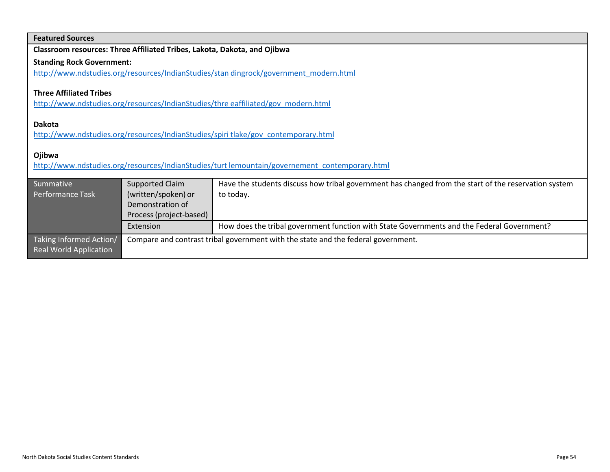| <b>Featured Sources</b>                                                                                             |                                                                                    |                                                                                                      |  |  |  |
|---------------------------------------------------------------------------------------------------------------------|------------------------------------------------------------------------------------|------------------------------------------------------------------------------------------------------|--|--|--|
|                                                                                                                     | Classroom resources: Three Affiliated Tribes, Lakota, Dakota, and Ojibwa           |                                                                                                      |  |  |  |
| <b>Standing Rock Government:</b>                                                                                    |                                                                                    |                                                                                                      |  |  |  |
|                                                                                                                     |                                                                                    | http://www.ndstudies.org/resources/IndianStudies/stan dingrock/government_modern.html                |  |  |  |
| <b>Three Affiliated Tribes</b><br>http://www.ndstudies.org/resources/IndianStudies/thre eaffiliated/gov modern.html |                                                                                    |                                                                                                      |  |  |  |
| <b>Dakota</b>                                                                                                       | http://www.ndstudies.org/resources/IndianStudies/spiri tlake/gov contemporary.html |                                                                                                      |  |  |  |
| Ojibwa                                                                                                              |                                                                                    | http://www.ndstudies.org/resources/IndianStudies/turt lemountain/governement contemporary.html       |  |  |  |
| Summative                                                                                                           | <b>Supported Claim</b>                                                             | Have the students discuss how tribal government has changed from the start of the reservation system |  |  |  |
| Performance Task                                                                                                    | (written/spoken) or                                                                | to today.                                                                                            |  |  |  |
|                                                                                                                     | Demonstration of                                                                   |                                                                                                      |  |  |  |
| Process (project-based)                                                                                             |                                                                                    |                                                                                                      |  |  |  |
|                                                                                                                     | Extension                                                                          | How does the tribal government function with State Governments and the Federal Government?           |  |  |  |
| Taking Informed Action/<br><b>Real World Application</b>                                                            | Compare and contrast tribal government with the state and the federal government.  |                                                                                                      |  |  |  |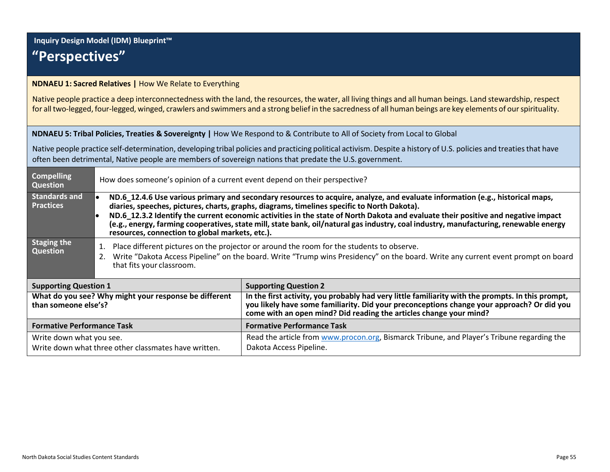# **Inquiry Design Model (IDM) Blueprint™ "Perspectives"**

#### **NDNAEU 1: Sacred Relatives |** How We Relate to Everything

Native people practice a deep interconnectedness with the land, the resources, the water, all living things and all human beings. Land stewardship, respect for all two-legged, four-legged, winged, crawlers and swimmers and a strong belief in the sacredness of all human beings are key elements of ourspirituality.

**NDNAEU 5: Tribal Policies, Treaties & Sovereignty |** How We Respond to & Contribute to All of Society from Local to Global

Native people practice self-determination, developing tribal policies and practicing political activism. Despite a history of U.S. policies and treaties that have often been detrimental, Native people are members of sovereign nations that predate the U.S. government.

| <b>Compelling</b><br>Question                                                 | How does someone's opinion of a current event depend on their perspective?                                                                                                                                                                                                                                                                                                                                                                                                                                                                                    |                                                                                                                                                                                                                                                                       |  |
|-------------------------------------------------------------------------------|---------------------------------------------------------------------------------------------------------------------------------------------------------------------------------------------------------------------------------------------------------------------------------------------------------------------------------------------------------------------------------------------------------------------------------------------------------------------------------------------------------------------------------------------------------------|-----------------------------------------------------------------------------------------------------------------------------------------------------------------------------------------------------------------------------------------------------------------------|--|
| <b>Standards and</b><br><b>Practices</b>                                      | ND.6_12.4.6 Use various primary and secondary resources to acquire, analyze, and evaluate information (e.g., historical maps,<br>diaries, speeches, pictures, charts, graphs, diagrams, timelines specific to North Dakota).<br>ND.6 12.3.2 Identify the current economic activities in the state of North Dakota and evaluate their positive and negative impact<br>(e.g., energy, farming cooperatives, state mill, state bank, oil/natural gas industry, coal industry, manufacturing, renewable energy<br>resources, connection to global markets, etc.). |                                                                                                                                                                                                                                                                       |  |
| <b>Staging the</b><br>Question                                                | Place different pictures on the projector or around the room for the students to observe.<br>1.<br>Write "Dakota Access Pipeline" on the board. Write "Trump wins Presidency" on the board. Write any current event prompt on board<br>2.<br>that fits your classroom.                                                                                                                                                                                                                                                                                        |                                                                                                                                                                                                                                                                       |  |
| <b>Supporting Question 1</b>                                                  |                                                                                                                                                                                                                                                                                                                                                                                                                                                                                                                                                               | <b>Supporting Question 2</b>                                                                                                                                                                                                                                          |  |
| What do you see? Why might your response be different<br>than someone else's? |                                                                                                                                                                                                                                                                                                                                                                                                                                                                                                                                                               | In the first activity, you probably had very little familiarity with the prompts. In this prompt,<br>you likely have some familiarity. Did your preconceptions change your approach? Or did you<br>come with an open mind? Did reading the articles change your mind? |  |
| <b>Formative Performance Task</b><br><b>Formative Performance Task</b>        |                                                                                                                                                                                                                                                                                                                                                                                                                                                                                                                                                               |                                                                                                                                                                                                                                                                       |  |
| Write down what you see.                                                      |                                                                                                                                                                                                                                                                                                                                                                                                                                                                                                                                                               | Read the article from www.procon.org, Bismarck Tribune, and Player's Tribune regarding the                                                                                                                                                                            |  |
| Write down what three other classmates have written.                          |                                                                                                                                                                                                                                                                                                                                                                                                                                                                                                                                                               | Dakota Access Pipeline.                                                                                                                                                                                                                                               |  |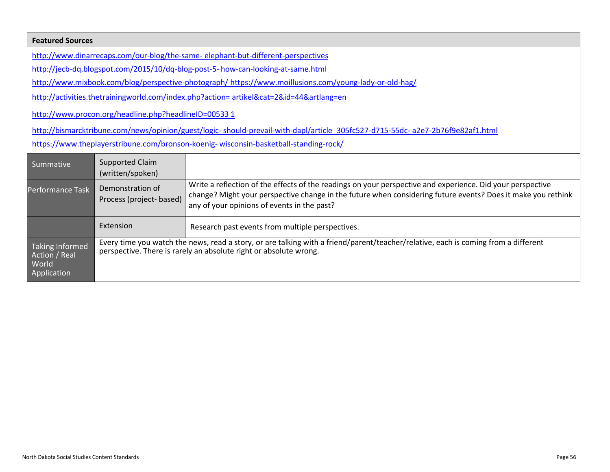|                                                                 | <b>Featured Sources</b>                                                                                                                                                                                 |                                                                                                                                                                                                                                                                           |  |  |
|-----------------------------------------------------------------|---------------------------------------------------------------------------------------------------------------------------------------------------------------------------------------------------------|---------------------------------------------------------------------------------------------------------------------------------------------------------------------------------------------------------------------------------------------------------------------------|--|--|
|                                                                 | http://www.dinarrecaps.com/our-blog/the-same-elephant-but-different-perspectives                                                                                                                        |                                                                                                                                                                                                                                                                           |  |  |
|                                                                 |                                                                                                                                                                                                         | http://jecb-dq.blogspot.com/2015/10/dq-blog-post-5- how-can-looking-at-same.html                                                                                                                                                                                          |  |  |
|                                                                 |                                                                                                                                                                                                         | http://www.mixbook.com/blog/perspective-photograph/ https://www.moillusions.com/young-lady-or-old-hag/                                                                                                                                                                    |  |  |
|                                                                 |                                                                                                                                                                                                         | http://activities.thetrainingworld.com/index.php?action= artikel&cat=2&id=44&artlang=en                                                                                                                                                                                   |  |  |
|                                                                 | http://www.procon.org/headline.php?headlineID=005331                                                                                                                                                    |                                                                                                                                                                                                                                                                           |  |  |
|                                                                 |                                                                                                                                                                                                         | http://bismarcktribune.com/news/opinion/guest/logic-should-prevail-with-dapl/article 305fc527-d715-55dc-a2e7-2b76f9e82af1.html                                                                                                                                            |  |  |
|                                                                 |                                                                                                                                                                                                         | https://www.theplayerstribune.com/bronson-koenig-wisconsin-basketball-standing-rock/                                                                                                                                                                                      |  |  |
| Summative                                                       | <b>Supported Claim</b><br>(written/spoken)                                                                                                                                                              |                                                                                                                                                                                                                                                                           |  |  |
| <b>Performance Task</b>                                         | Demonstration of<br>Process (project-based)                                                                                                                                                             | Write a reflection of the effects of the readings on your perspective and experience. Did your perspective<br>change? Might your perspective change in the future when considering future events? Does it make you rethink<br>any of your opinions of events in the past? |  |  |
|                                                                 | Extension<br>Research past events from multiple perspectives.                                                                                                                                           |                                                                                                                                                                                                                                                                           |  |  |
| <b>Taking Informed</b><br>Action / Real<br>World<br>Application | Every time you watch the news, read a story, or are talking with a friend/parent/teacher/relative, each is coming from a different<br>perspective. There is rarely an absolute right or absolute wrong. |                                                                                                                                                                                                                                                                           |  |  |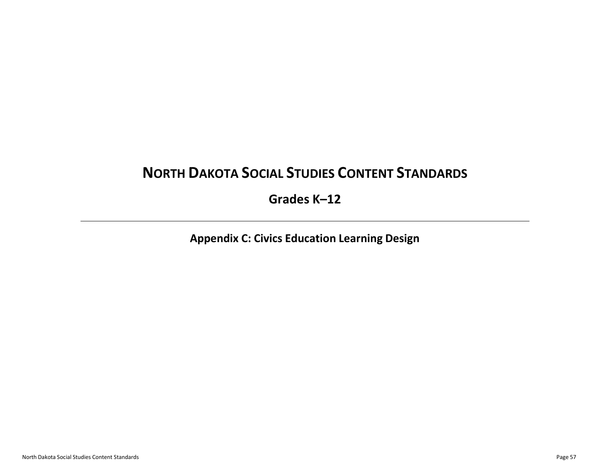# **NORTH DAKOTA SOCIAL STUDIES CONTENT STANDARDS**

**Grades K–12**

**Appendix C: Civics Education Learning Design**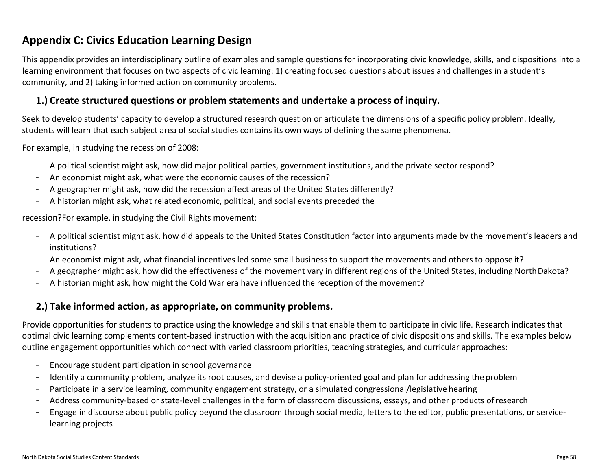## <span id="page-58-0"></span>**Appendix C: Civics Education Learning Design**

This appendix provides an interdisciplinary outline of examples and sample questions for incorporating civic knowledge, skills, and dispositions into a learning environment that focuses on two aspects of civic learning: 1) creating focused questions about issues and challenges in a student's community, and 2) taking informed action on community problems.

## **1.) Create structured questions or problem statements and undertake a process of inquiry.**

Seek to develop students' capacity to develop a structured research question or articulate the dimensions of a specific policy problem. Ideally, students will learn that each subject area of social studies contains its own ways of defining the same phenomena.

For example, in studying the recession of 2008:

- A political scientist might ask, how did major political parties, government institutions, and the private sectorrespond?
- An economist might ask, what were the economic causes of the recession?
- A geographer might ask, how did the recession affect areas of the United States differently?
- A historian might ask, what related economic, political, and social events preceded the

recession?For example, in studying the Civil Rights movement:

- A political scientist might ask, how did appeals to the United States Constitution factor into arguments made by the movement's leaders and institutions?
- An economist might ask, what financial incentives led some small business to support the movements and others to oppose it?
- A geographer might ask, how did the effectiveness of the movement vary in different regions of the United States, including NorthDakota?
- A historian might ask, how might the Cold War era have influenced the reception of the movement?

## **2.) Take informed action, as appropriate, on community problems.**

Provide opportunities for students to practice using the knowledge and skills that enable them to participate in civic life. Research indicates that optimal civic learning complements content-based instruction with the acquisition and practice of civic dispositions and skills. The examples below outline engagement opportunities which connect with varied classroom priorities, teaching strategies, and curricular approaches:

- Encourage student participation in school governance
- Identify a community problem, analyze its root causes, and devise a policy-oriented goal and plan for addressing the problem
- Participate in a service learning, community engagement strategy, or a simulated congressional/legislative hearing
- Address community-based or state-level challenges in the form of classroom discussions, essays, and other products ofresearch
- Engage in discourse about public policy beyond the classroom through social media, letters to the editor, public presentations, or servicelearning projects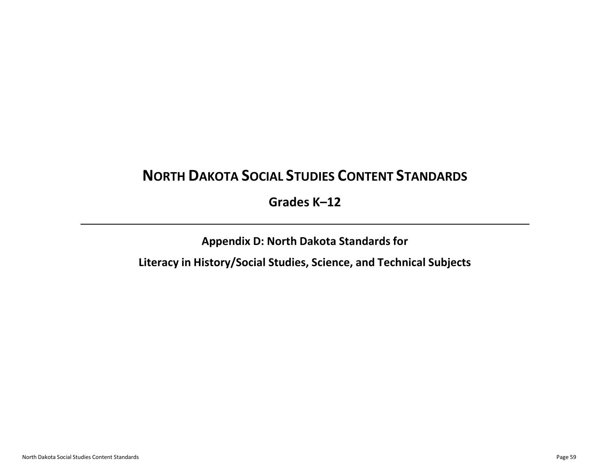# **NORTH DAKOTA SOCIAL STUDIES CONTENT STANDARDS**

**Grades K–12**

**Appendix D: North Dakota Standards for**

**Literacy in History/Social Studies, Science, and Technical Subjects**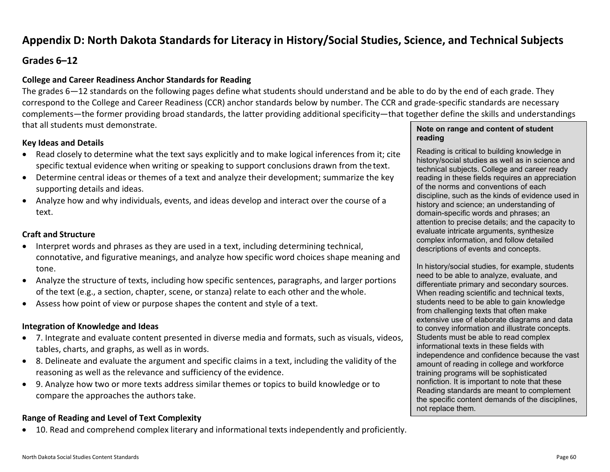## <span id="page-60-0"></span>**Appendix D: North Dakota Standards for Literacy in History/Social Studies, Science, and Technical Subjects**

## **Grades 6–12**

#### **College and Career Readiness Anchor Standardsfor Reading**

The grades 6—12 standards on the following pages define what students should understand and be able to do by the end of each grade. They correspond to the College and Career Readiness (CCR) anchor standards below by number. The CCR and grade-specific standards are necessary complements—the former providing broad standards, the latter providing additional specificity—that together define the skills and understandings that all students must demonstrate.

#### **Key Ideas and Details**

- Read closely to determine what the text says explicitly and to make logical inferences from it; cite specific textual evidence when writing or speaking to support conclusions drawn from thetext.
- Determine central ideas or themes of a text and analyze their development; summarize the key supporting details and ideas.
- Analyze how and why individuals, events, and ideas develop and interact over the course of a text.

#### **Craft and Structure**

- Interpret words and phrases as they are used in a text, including determining technical, connotative, and figurative meanings, and analyze how specific word choices shape meaning and tone.
- Analyze the structure of texts, including how specific sentences, paragraphs, and larger portions of the text (e.g., a section, chapter, scene, or stanza) relate to each other and the whole.
- Assess how point of view or purpose shapes the content and style of a text.

#### **Integration of Knowledge and Ideas**

- 7. Integrate and evaluate content presented in diverse media and formats, such as visuals, videos, tables, charts, and graphs, as well as in words.
- 8. Delineate and evaluate the argument and specific claims in a text, including the validity of the reasoning as well as the relevance and sufficiency of the evidence.
- 9. Analyze how two or more texts address similar themes or topics to build knowledge or to compare the approaches the authors take.

#### **Range of Reading and Level of Text Complexity**

• 10. Read and comprehend complex literary and informational texts independently and proficiently.

#### **Note on range and content of student reading**

Reading is critical to building knowledge in history/social studies as well as in science and technical subjects. College and career ready reading in these fields requires an appreciation of the norms and conventions of each discipline, such as the kinds of evidence used in history and science; an understanding of domain-specific words and phrases; an attention to precise details; and the capacity to evaluate intricate arguments, synthesize complex information, and follow detailed descriptions of events and concepts.

In history/social studies, for example, students need to be able to analyze, evaluate, and differentiate primary and secondary sources. When reading scientific and technical texts, students need to be able to gain knowledge from challenging texts that often make extensive use of elaborate diagrams and data to convey information and illustrate concepts. Students must be able to read complex informational texts in these fields with independence and confidence because the vast amount of reading in college and workforce training programs will be sophisticated nonfiction. It is important to note that these Reading standards are meant to complement the specific content demands of the disciplines, not replace them.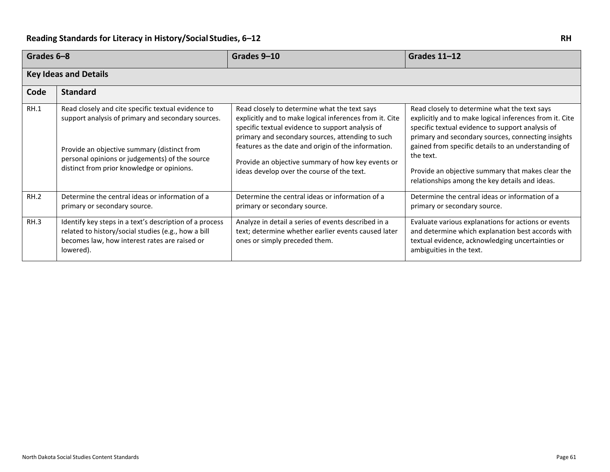## **Reading Standards for Literacy in History/Social Studies, 6–12 RH**

| Grades 6-8  |                                                                                                                                                                                                                                                         | Grades 9-10                                                                                                                                                                                                                                                                                                                                                               | Grades 11-12                                                                                                                                                                                                                                                                                                                                                                                 |
|-------------|---------------------------------------------------------------------------------------------------------------------------------------------------------------------------------------------------------------------------------------------------------|---------------------------------------------------------------------------------------------------------------------------------------------------------------------------------------------------------------------------------------------------------------------------------------------------------------------------------------------------------------------------|----------------------------------------------------------------------------------------------------------------------------------------------------------------------------------------------------------------------------------------------------------------------------------------------------------------------------------------------------------------------------------------------|
|             | <b>Key Ideas and Details</b>                                                                                                                                                                                                                            |                                                                                                                                                                                                                                                                                                                                                                           |                                                                                                                                                                                                                                                                                                                                                                                              |
| Code        | <b>Standard</b>                                                                                                                                                                                                                                         |                                                                                                                                                                                                                                                                                                                                                                           |                                                                                                                                                                                                                                                                                                                                                                                              |
| RH.1        | Read closely and cite specific textual evidence to<br>support analysis of primary and secondary sources.<br>Provide an objective summary (distinct from<br>personal opinions or judgements) of the source<br>distinct from prior knowledge or opinions. | Read closely to determine what the text says<br>explicitly and to make logical inferences from it. Cite<br>specific textual evidence to support analysis of<br>primary and secondary sources, attending to such<br>features as the date and origin of the information.<br>Provide an objective summary of how key events or<br>ideas develop over the course of the text. | Read closely to determine what the text says<br>explicitly and to make logical inferences from it. Cite<br>specific textual evidence to support analysis of<br>primary and secondary sources, connecting insights<br>gained from specific details to an understanding of<br>the text.<br>Provide an objective summary that makes clear the<br>relationships among the key details and ideas. |
| <b>RH.2</b> | Determine the central ideas or information of a<br>primary or secondary source.                                                                                                                                                                         | Determine the central ideas or information of a<br>primary or secondary source.                                                                                                                                                                                                                                                                                           | Determine the central ideas or information of a<br>primary or secondary source.                                                                                                                                                                                                                                                                                                              |
| RH.3        | Identify key steps in a text's description of a process<br>related to history/social studies (e.g., how a bill<br>becomes law, how interest rates are raised or<br>lowered).                                                                            | Analyze in detail a series of events described in a<br>text; determine whether earlier events caused later<br>ones or simply preceded them.                                                                                                                                                                                                                               | Evaluate various explanations for actions or events<br>and determine which explanation best accords with<br>textual evidence, acknowledging uncertainties or<br>ambiguities in the text.                                                                                                                                                                                                     |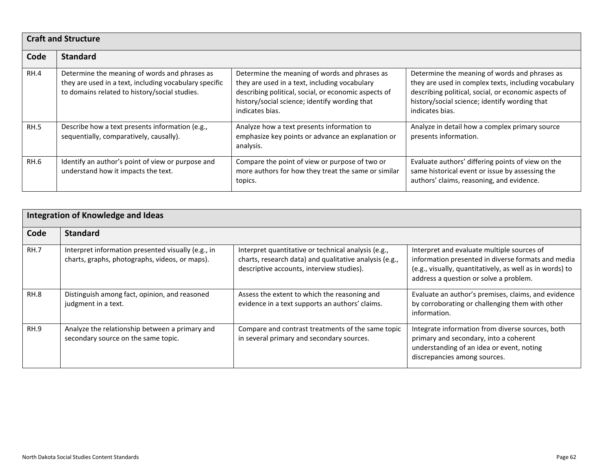| <b>Craft and Structure</b> |                                                                                                                                                          |                                                                                                                                                                                                                            |                                                                                                                                                                                                                                   |
|----------------------------|----------------------------------------------------------------------------------------------------------------------------------------------------------|----------------------------------------------------------------------------------------------------------------------------------------------------------------------------------------------------------------------------|-----------------------------------------------------------------------------------------------------------------------------------------------------------------------------------------------------------------------------------|
| Code                       | <b>Standard</b>                                                                                                                                          |                                                                                                                                                                                                                            |                                                                                                                                                                                                                                   |
| RH.4                       | Determine the meaning of words and phrases as<br>they are used in a text, including vocabulary specific<br>to domains related to history/social studies. | Determine the meaning of words and phrases as<br>they are used in a text, including vocabulary<br>describing political, social, or economic aspects of<br>history/social science; identify wording that<br>indicates bias. | Determine the meaning of words and phrases as<br>they are used in complex texts, including vocabulary<br>describing political, social, or economic aspects of<br>history/social science; identify wording that<br>indicates bias. |
| <b>RH.5</b>                | Describe how a text presents information (e.g.,<br>sequentially, comparatively, causally).                                                               | Analyze how a text presents information to<br>emphasize key points or advance an explanation or<br>analysis.                                                                                                               | Analyze in detail how a complex primary source<br>presents information.                                                                                                                                                           |
| <b>RH.6</b>                | Identify an author's point of view or purpose and<br>understand how it impacts the text.                                                                 | Compare the point of view or purpose of two or<br>more authors for how they treat the same or similar<br>topics.                                                                                                           | Evaluate authors' differing points of view on the<br>same historical event or issue by assessing the<br>authors' claims, reasoning, and evidence.                                                                                 |

|             | Integration of Knowledge and Ideas                                                                   |                                                                                                                                                            |                                                                                                                                                                                                        |  |
|-------------|------------------------------------------------------------------------------------------------------|------------------------------------------------------------------------------------------------------------------------------------------------------------|--------------------------------------------------------------------------------------------------------------------------------------------------------------------------------------------------------|--|
| Code        | <b>Standard</b>                                                                                      |                                                                                                                                                            |                                                                                                                                                                                                        |  |
| <b>RH.7</b> | Interpret information presented visually (e.g., in<br>charts, graphs, photographs, videos, or maps). | Interpret quantitative or technical analysis (e.g.,<br>charts, research data) and qualitative analysis (e.g.,<br>descriptive accounts, interview studies). | Interpret and evaluate multiple sources of<br>information presented in diverse formats and media<br>(e.g., visually, quantitatively, as well as in words) to<br>address a question or solve a problem. |  |
| RH.8        | Distinguish among fact, opinion, and reasoned<br>judgment in a text.                                 | Assess the extent to which the reasoning and<br>evidence in a text supports an authors' claims.                                                            | Evaluate an author's premises, claims, and evidence<br>by corroborating or challenging them with other<br>information.                                                                                 |  |
| <b>RH.9</b> | Analyze the relationship between a primary and<br>secondary source on the same topic.                | Compare and contrast treatments of the same topic<br>in several primary and secondary sources.                                                             | Integrate information from diverse sources, both<br>primary and secondary, into a coherent<br>understanding of an idea or event, noting<br>discrepancies among sources.                                |  |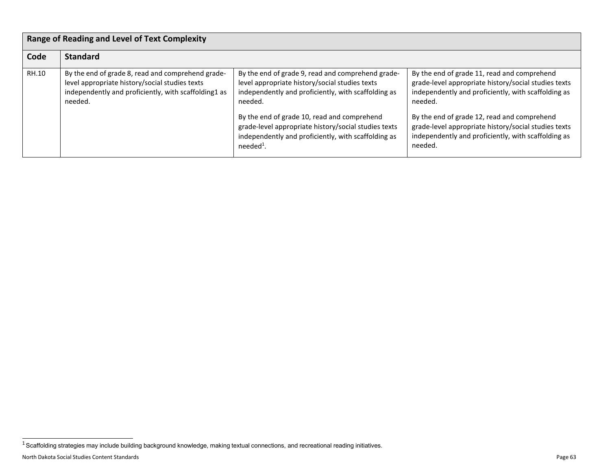<span id="page-63-0"></span>

| <b>Range of Reading and Level of Text Complexity</b> |                                                                                                                                                                        |                                                                                                                                                                           |                                                                                                                                                                       |
|------------------------------------------------------|------------------------------------------------------------------------------------------------------------------------------------------------------------------------|---------------------------------------------------------------------------------------------------------------------------------------------------------------------------|-----------------------------------------------------------------------------------------------------------------------------------------------------------------------|
| Code                                                 | <b>Standard</b>                                                                                                                                                        |                                                                                                                                                                           |                                                                                                                                                                       |
| RH.10                                                | By the end of grade 8, read and comprehend grade-<br>level appropriate history/social studies texts<br>independently and proficiently, with scaffolding1 as<br>needed. | By the end of grade 9, read and comprehend grade-<br>level appropriate history/social studies texts<br>independently and proficiently, with scaffolding as<br>needed.     | By the end of grade 11, read and comprehend<br>grade-level appropriate history/social studies texts<br>independently and proficiently, with scaffolding as<br>needed. |
|                                                      |                                                                                                                                                                        | By the end of grade 10, read and comprehend<br>grade-level appropriate history/social studies texts<br>independently and proficiently, with scaffolding as<br>$needed1$ . | By the end of grade 12, read and comprehend<br>grade-level appropriate history/social studies texts<br>independently and proficiently, with scaffolding as<br>needed. |

 $1$ Scaffolding strategies may include building background knowledge, making textual connections, and recreational reading initiatives.

North Dakota Social Studies Content Standards Page 63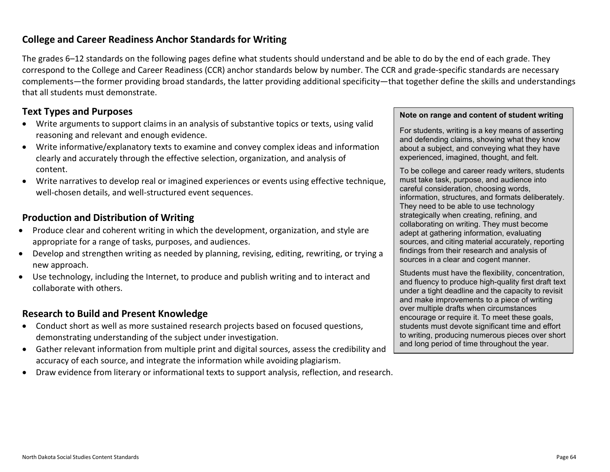## **College and Career Readiness Anchor Standards for Writing**

The grades 6–12 standards on the following pages define what students should understand and be able to do by the end of each grade. They correspond to the College and Career Readiness (CCR) anchor standards below by number. The CCR and grade-specific standards are necessary complements—the former providing broad standards, the latter providing additional specificity—that together define the skills and understandings that all students must demonstrate.

### **Text Types and Purposes**

- Write arguments to support claims in an analysis of substantive topics or texts, using valid reasoning and relevant and enough evidence.
- Write informative/explanatory texts to examine and convey complex ideas and information clearly and accurately through the effective selection, organization, and analysis of content.
- Write narratives to develop real or imagined experiences or events using effective technique, well-chosen details, and well-structured event sequences.

## **Production and Distribution of Writing**

- Produce clear and coherent writing in which the development, organization, and style are appropriate for a range of tasks, purposes, and audiences.
- Develop and strengthen writing as needed by planning, revising, editing, rewriting, or trying a new approach.
- Use technology, including the Internet, to produce and publish writing and to interact and collaborate with others.

## **Research to Build and Present Knowledge**

- Conduct short as well as more sustained research projects based on focused questions, demonstrating understanding of the subject under investigation.
- Gather relevant information from multiple print and digital sources, assess the credibility and accuracy of each source, and integrate the information while avoiding plagiarism.
- Draw evidence from literary or informational texts to support analysis, reflection, and research.

#### **Note on range and content of student writing**

For students, writing is a key means of asserting and defending claims, showing what they know about a subject, and conveying what they have experienced, imagined, thought, and felt.

To be college and career ready writers, students must take task, purpose, and audience into careful consideration, choosing words, information, structures, and formats deliberately. They need to be able to use technology strategically when creating, refining, and collaborating on writing. They must become adept at gathering information, evaluating sources, and citing material accurately, reporting findings from their research and analysis of sources in a clear and cogent manner.

Students must have the flexibility, concentration, and fluency to produce high-quality first draft text under a tight deadline and the capacity to revisit and make improvements to a piece of writing over multiple drafts when circumstances encourage or require it. To meet these goals, students must devote significant time and effort to writing, producing numerous pieces over short and long period of time throughout the year.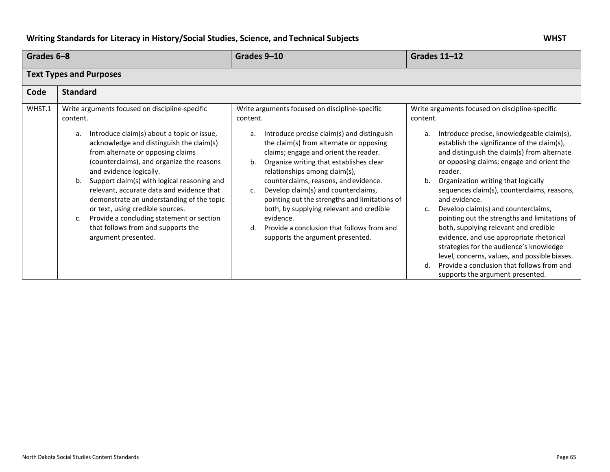## **Writing Standards for Literacy in History/Social Studies, Science, and Technical Subjects WHST**

| Grades 6-8 |                                                                                                                                                                                                                                                                                                                                                                                                                                                                                                                                                                                 | Grades 9-10                                                                                                                                                                                                                                                                                                                                                                                                                                                                                                                                                                           | Grades 11-12                                                                                                                                                                                                                                                                                                                                                                                                                                                                                                                                                                                                                                                                                                                                       |
|------------|---------------------------------------------------------------------------------------------------------------------------------------------------------------------------------------------------------------------------------------------------------------------------------------------------------------------------------------------------------------------------------------------------------------------------------------------------------------------------------------------------------------------------------------------------------------------------------|---------------------------------------------------------------------------------------------------------------------------------------------------------------------------------------------------------------------------------------------------------------------------------------------------------------------------------------------------------------------------------------------------------------------------------------------------------------------------------------------------------------------------------------------------------------------------------------|----------------------------------------------------------------------------------------------------------------------------------------------------------------------------------------------------------------------------------------------------------------------------------------------------------------------------------------------------------------------------------------------------------------------------------------------------------------------------------------------------------------------------------------------------------------------------------------------------------------------------------------------------------------------------------------------------------------------------------------------------|
|            | <b>Text Types and Purposes</b>                                                                                                                                                                                                                                                                                                                                                                                                                                                                                                                                                  |                                                                                                                                                                                                                                                                                                                                                                                                                                                                                                                                                                                       |                                                                                                                                                                                                                                                                                                                                                                                                                                                                                                                                                                                                                                                                                                                                                    |
| Code       | <b>Standard</b>                                                                                                                                                                                                                                                                                                                                                                                                                                                                                                                                                                 |                                                                                                                                                                                                                                                                                                                                                                                                                                                                                                                                                                                       |                                                                                                                                                                                                                                                                                                                                                                                                                                                                                                                                                                                                                                                                                                                                                    |
| WHST.1     | Write arguments focused on discipline-specific<br>content.<br>Introduce claim(s) about a topic or issue,<br>a.<br>acknowledge and distinguish the claim(s)<br>from alternate or opposing claims<br>(counterclaims), and organize the reasons<br>and evidence logically.<br>Support claim(s) with logical reasoning and<br>$b_{1}$<br>relevant, accurate data and evidence that<br>demonstrate an understanding of the topic<br>or text, using credible sources.<br>Provide a concluding statement or section<br>c.<br>that follows from and supports the<br>argument presented. | Write arguments focused on discipline-specific<br>content.<br>Introduce precise claim(s) and distinguish<br>а.<br>the claim(s) from alternate or opposing<br>claims; engage and orient the reader.<br>Organize writing that establishes clear<br>b.<br>relationships among claim(s),<br>counterclaims, reasons, and evidence.<br>Develop claim(s) and counterclaims,<br>c.<br>pointing out the strengths and limitations of<br>both, by supplying relevant and credible<br>evidence.<br>Provide a conclusion that follows from and<br>$d_{\cdot}$<br>supports the argument presented. | Write arguments focused on discipline-specific<br>content.<br>Introduce precise, knowledgeable claim(s),<br>establish the significance of the claim(s),<br>and distinguish the claim(s) from alternate<br>or opposing claims; engage and orient the<br>reader.<br>Organization writing that logically<br>b.<br>sequences claim(s), counterclaims, reasons,<br>and evidence.<br>Develop claim(s) and counterclaims,<br>c.<br>pointing out the strengths and limitations of<br>both, supplying relevant and credible<br>evidence, and use appropriate rhetorical<br>strategies for the audience's knowledge<br>level, concerns, values, and possible biases.<br>Provide a conclusion that follows from and<br>d.<br>supports the argument presented. |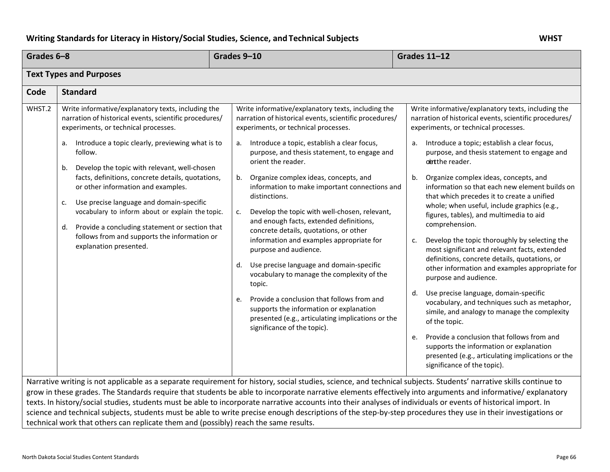#### **Writing Standards for Literacy in History/Social Studies, Science, and Technical Subjects WHST**

| Grades 6-8 |                                                                                                                                                                                                                                                                                                                                                                                                                                                                                                                                                                                                                 | Grades 9-10                                                                                                                                                                                                                                                                                                                                                                                                                                                                                                                                                                                                                                                                                                                                                                                                                                                                                              | Grades 11-12                                                                                                                                                                                                                                                                                                                                                                                                                                                                                                                                                                                                                                                                                                                                                                                                                                                                                                                                                                                                                                                                                                           |  |  |
|------------|-----------------------------------------------------------------------------------------------------------------------------------------------------------------------------------------------------------------------------------------------------------------------------------------------------------------------------------------------------------------------------------------------------------------------------------------------------------------------------------------------------------------------------------------------------------------------------------------------------------------|----------------------------------------------------------------------------------------------------------------------------------------------------------------------------------------------------------------------------------------------------------------------------------------------------------------------------------------------------------------------------------------------------------------------------------------------------------------------------------------------------------------------------------------------------------------------------------------------------------------------------------------------------------------------------------------------------------------------------------------------------------------------------------------------------------------------------------------------------------------------------------------------------------|------------------------------------------------------------------------------------------------------------------------------------------------------------------------------------------------------------------------------------------------------------------------------------------------------------------------------------------------------------------------------------------------------------------------------------------------------------------------------------------------------------------------------------------------------------------------------------------------------------------------------------------------------------------------------------------------------------------------------------------------------------------------------------------------------------------------------------------------------------------------------------------------------------------------------------------------------------------------------------------------------------------------------------------------------------------------------------------------------------------------|--|--|
|            | <b>Text Types and Purposes</b>                                                                                                                                                                                                                                                                                                                                                                                                                                                                                                                                                                                  |                                                                                                                                                                                                                                                                                                                                                                                                                                                                                                                                                                                                                                                                                                                                                                                                                                                                                                          |                                                                                                                                                                                                                                                                                                                                                                                                                                                                                                                                                                                                                                                                                                                                                                                                                                                                                                                                                                                                                                                                                                                        |  |  |
| Code       | <b>Standard</b>                                                                                                                                                                                                                                                                                                                                                                                                                                                                                                                                                                                                 |                                                                                                                                                                                                                                                                                                                                                                                                                                                                                                                                                                                                                                                                                                                                                                                                                                                                                                          |                                                                                                                                                                                                                                                                                                                                                                                                                                                                                                                                                                                                                                                                                                                                                                                                                                                                                                                                                                                                                                                                                                                        |  |  |
| WHST.2     | Write informative/explanatory texts, including the<br>narration of historical events, scientific procedures/<br>experiments, or technical processes.<br>Introduce a topic clearly, previewing what is to<br>а.<br>follow.<br>Develop the topic with relevant, well-chosen<br>b.<br>facts, definitions, concrete details, quotations,<br>or other information and examples.<br>Use precise language and domain-specific<br>c.<br>vocabulary to inform about or explain the topic.<br>d. Provide a concluding statement or section that<br>follows from and supports the information or<br>explanation presented. | Write informative/explanatory texts, including the<br>narration of historical events, scientific procedures/<br>experiments, or technical processes.<br>Introduce a topic, establish a clear focus,<br>purpose, and thesis statement, to engage and<br>orient the reader.<br>Organize complex ideas, concepts, and<br>b.<br>information to make important connections and<br>distinctions.<br>Develop the topic with well-chosen, relevant,<br>c.<br>and enough facts, extended definitions,<br>concrete details, quotations, or other<br>information and examples appropriate for<br>purpose and audience.<br>Use precise language and domain-specific<br>d.<br>vocabulary to manage the complexity of the<br>topic.<br>Provide a conclusion that follows from and<br>e.<br>supports the information or explanation<br>presented (e.g., articulating implications or the<br>significance of the topic). | Write informative/explanatory texts, including the<br>narration of historical events, scientific procedures/<br>experiments, or technical processes.<br>a. Introduce a topic; establish a clear focus,<br>purpose, and thesis statement to engage and<br>on the reader.<br>Organize complex ideas, concepts, and<br>b.<br>information so that each new element builds on<br>that which precedes it to create a unified<br>whole; when useful, include graphics (e.g.,<br>figures, tables), and multimedia to aid<br>comprehension.<br>Develop the topic thoroughly by selecting the<br>c.<br>most significant and relevant facts, extended<br>definitions, concrete details, quotations, or<br>other information and examples appropriate for<br>purpose and audience.<br>d. Use precise language, domain-specific<br>vocabulary, and techniques such as metaphor,<br>simile, and analogy to manage the complexity<br>of the topic.<br>Provide a conclusion that follows from and<br>e.<br>supports the information or explanation<br>presented (e.g., articulating implications or the<br>significance of the topic). |  |  |
|            |                                                                                                                                                                                                                                                                                                                                                                                                                                                                                                                                                                                                                 | Narrative writing is not applicable as a separate requirement for history, social studies, science, and technical subjects. Students' narrative skills continue to                                                                                                                                                                                                                                                                                                                                                                                                                                                                                                                                                                                                                                                                                                                                       |                                                                                                                                                                                                                                                                                                                                                                                                                                                                                                                                                                                                                                                                                                                                                                                                                                                                                                                                                                                                                                                                                                                        |  |  |
|            |                                                                                                                                                                                                                                                                                                                                                                                                                                                                                                                                                                                                                 | grow in these grades. The Standards require that students be able to incorporate narrative elements effectively into arguments and informative/explanatory<br>texts. In history/social studies, students must be able to incorporate narrative accounts into their analyses of individuals or events of historical import. In                                                                                                                                                                                                                                                                                                                                                                                                                                                                                                                                                                            |                                                                                                                                                                                                                                                                                                                                                                                                                                                                                                                                                                                                                                                                                                                                                                                                                                                                                                                                                                                                                                                                                                                        |  |  |
|            |                                                                                                                                                                                                                                                                                                                                                                                                                                                                                                                                                                                                                 | science and technical subjects, students must be able to write precise enough descriptions of the step-by-step procedures they use in their investigations or                                                                                                                                                                                                                                                                                                                                                                                                                                                                                                                                                                                                                                                                                                                                            |                                                                                                                                                                                                                                                                                                                                                                                                                                                                                                                                                                                                                                                                                                                                                                                                                                                                                                                                                                                                                                                                                                                        |  |  |
|            | technical work that others can replicate them and (possibly) reach the same results.                                                                                                                                                                                                                                                                                                                                                                                                                                                                                                                            |                                                                                                                                                                                                                                                                                                                                                                                                                                                                                                                                                                                                                                                                                                                                                                                                                                                                                                          |                                                                                                                                                                                                                                                                                                                                                                                                                                                                                                                                                                                                                                                                                                                                                                                                                                                                                                                                                                                                                                                                                                                        |  |  |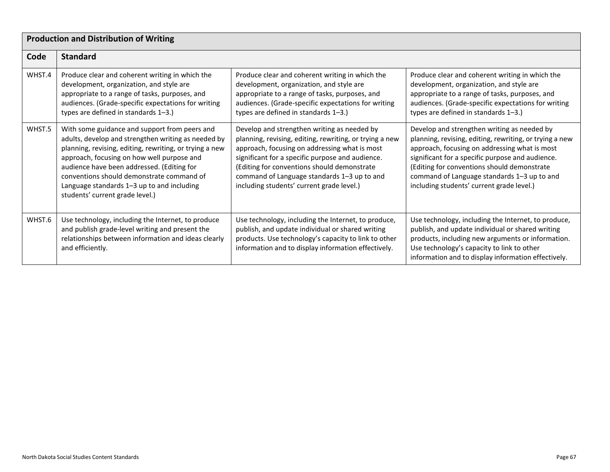| <b>Production and Distribution of Writing</b> |                                                                                                                                                                                                                                                                                                                                                                                           |                                                                                                                                                                                                                                                                                                                                                        |                                                                                                                                                                                                                                                                                                                                                        |  |  |
|-----------------------------------------------|-------------------------------------------------------------------------------------------------------------------------------------------------------------------------------------------------------------------------------------------------------------------------------------------------------------------------------------------------------------------------------------------|--------------------------------------------------------------------------------------------------------------------------------------------------------------------------------------------------------------------------------------------------------------------------------------------------------------------------------------------------------|--------------------------------------------------------------------------------------------------------------------------------------------------------------------------------------------------------------------------------------------------------------------------------------------------------------------------------------------------------|--|--|
| Code                                          | <b>Standard</b>                                                                                                                                                                                                                                                                                                                                                                           |                                                                                                                                                                                                                                                                                                                                                        |                                                                                                                                                                                                                                                                                                                                                        |  |  |
| WHST.4                                        | Produce clear and coherent writing in which the<br>development, organization, and style are<br>appropriate to a range of tasks, purposes, and<br>audiences. (Grade-specific expectations for writing<br>types are defined in standards 1-3.)                                                                                                                                              | Produce clear and coherent writing in which the<br>development, organization, and style are<br>appropriate to a range of tasks, purposes, and<br>audiences. (Grade-specific expectations for writing<br>types are defined in standards 1-3.)                                                                                                           | Produce clear and coherent writing in which the<br>development, organization, and style are<br>appropriate to a range of tasks, purposes, and<br>audiences. (Grade-specific expectations for writing<br>types are defined in standards 1-3.)                                                                                                           |  |  |
| WHST.5                                        | With some guidance and support from peers and<br>adults, develop and strengthen writing as needed by<br>planning, revising, editing, rewriting, or trying a new<br>approach, focusing on how well purpose and<br>audience have been addressed. (Editing for<br>conventions should demonstrate command of<br>Language standards 1-3 up to and including<br>students' current grade level.) | Develop and strengthen writing as needed by<br>planning, revising, editing, rewriting, or trying a new<br>approach, focusing on addressing what is most<br>significant for a specific purpose and audience.<br>(Editing for conventions should demonstrate<br>command of Language standards 1-3 up to and<br>including students' current grade level.) | Develop and strengthen writing as needed by<br>planning, revising, editing, rewriting, or trying a new<br>approach, focusing on addressing what is most<br>significant for a specific purpose and audience.<br>(Editing for conventions should demonstrate<br>command of Language standards 1-3 up to and<br>including students' current grade level.) |  |  |
| WHST.6                                        | Use technology, including the Internet, to produce<br>and publish grade-level writing and present the<br>relationships between information and ideas clearly<br>and efficiently.                                                                                                                                                                                                          | Use technology, including the Internet, to produce,<br>publish, and update individual or shared writing<br>products. Use technology's capacity to link to other<br>information and to display information effectively.                                                                                                                                 | Use technology, including the Internet, to produce,<br>publish, and update individual or shared writing<br>products, including new arguments or information.<br>Use technology's capacity to link to other<br>information and to display information effectively.                                                                                      |  |  |